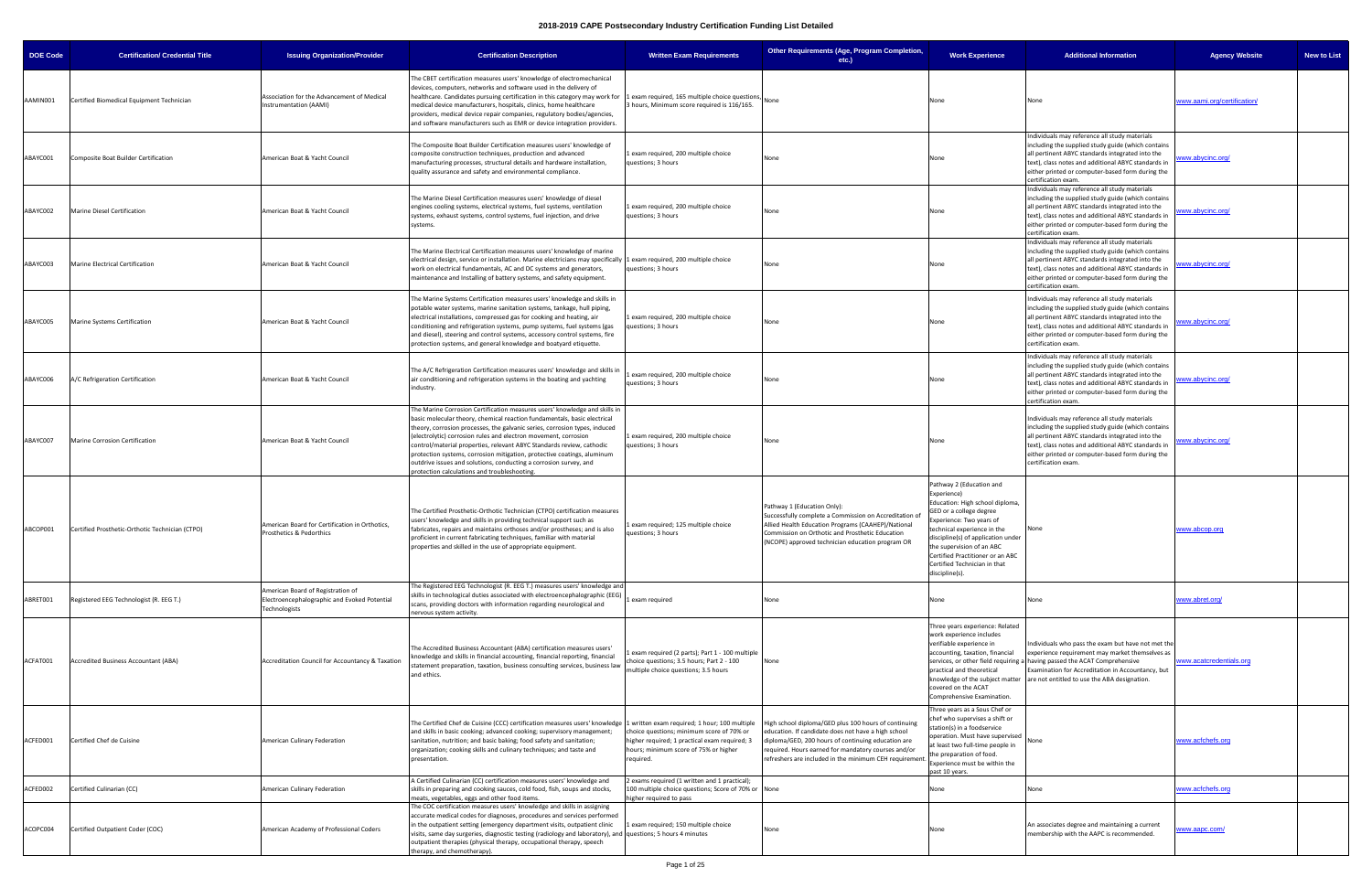| <b>DOE Code</b> | <b>Certification/ Credential Title</b>          | <b>Issuing Organization/Provider</b>                                                               | <b>Certification Description</b>                                                                                                                                                                                                                                                                                                                                                                                                                                                                                                                                                 | <b>Written Exam Requirements</b>                                                                                                                 | Other Requirements (Age, Program Completion,<br>$etc.$ )                                                                                                                                                                                                                           | <b>Work Experience</b>                                                                                                                                                                                                                                                                                                   | <b>Additional Information</b>                                                                                                                                                                                                                                                             | <b>Agency Website</b>       | <b>New to List</b> |
|-----------------|-------------------------------------------------|----------------------------------------------------------------------------------------------------|----------------------------------------------------------------------------------------------------------------------------------------------------------------------------------------------------------------------------------------------------------------------------------------------------------------------------------------------------------------------------------------------------------------------------------------------------------------------------------------------------------------------------------------------------------------------------------|--------------------------------------------------------------------------------------------------------------------------------------------------|------------------------------------------------------------------------------------------------------------------------------------------------------------------------------------------------------------------------------------------------------------------------------------|--------------------------------------------------------------------------------------------------------------------------------------------------------------------------------------------------------------------------------------------------------------------------------------------------------------------------|-------------------------------------------------------------------------------------------------------------------------------------------------------------------------------------------------------------------------------------------------------------------------------------------|-----------------------------|--------------------|
| AAMIN001        | Certified Biomedical Equipment Technician       | Association for the Advancement of Medical<br>Instrumentation (AAMI)                               | The CBET certification measures users' knowledge of electromechanical<br>devices, computers, networks and software used in the delivery of<br>healthcare. Candidates pursuing certification in this category may work for 1 exam required, 165 multiple choice questions,<br>medical device manufacturers, hospitals, clinics, home healthcare<br>providers, medical device repair companies, regulatory bodies/agencies,<br>and software manufacturers such as EMR or device integration providers.                                                                             | 3 hours, Minimum score required is 116/165.                                                                                                      |                                                                                                                                                                                                                                                                                    | None                                                                                                                                                                                                                                                                                                                     | None                                                                                                                                                                                                                                                                                      | www.aami.org/certification/ |                    |
| ABAYC001        | Composite Boat Builder Certification            | American Boat & Yacht Council                                                                      | The Composite Boat Builder Certification measures users' knowledge of<br>composite construction techniques, production and advanced<br>manufacturing processes, structural details and hardware installation,<br>quality assurance and safety and environmental compliance.                                                                                                                                                                                                                                                                                                      | 1 exam required, 200 multiple choice<br>questions; 3 hours                                                                                       | None                                                                                                                                                                                                                                                                               | None                                                                                                                                                                                                                                                                                                                     | Individuals may reference all study materials<br>including the supplied study guide (which contains<br>all pertinent ABYC standards integrated into the<br>text), class notes and additional ABYC standards in<br>either printed or computer-based form during the<br>certification exam. | ww.abycinc.org              |                    |
| ABAYC002        | <b>Marine Diesel Certification</b>              | American Boat & Yacht Council                                                                      | The Marine Diesel Certification measures users' knowledge of diesel<br>engines cooling systems, electrical systems, fuel systems, ventilation<br>systems, exhaust systems, control systems, fuel injection, and drive<br>systems.                                                                                                                                                                                                                                                                                                                                                | 1 exam required, 200 multiple choice<br>questions; 3 hours                                                                                       | None                                                                                                                                                                                                                                                                               | None                                                                                                                                                                                                                                                                                                                     | Individuals may reference all study materials<br>including the supplied study guide (which contains<br>all pertinent ABYC standards integrated into the<br>text), class notes and additional ABYC standards in<br>either printed or computer-based form during the<br>certification exam. | ww.abycinc.org/             |                    |
| ABAYC003        | Marine Electrical Certification                 | American Boat & Yacht Council                                                                      | The Marine Electrical Certification measures users' knowledge of marine<br>electrical design, service or installation. Marine electricians may specifically 1 exam required, 200 multiple choice<br>work on electrical fundamentals, AC and DC systems and generators,<br>maintenance and Installing of battery systems, and safety equipment.                                                                                                                                                                                                                                   | questions; 3 hours                                                                                                                               | None                                                                                                                                                                                                                                                                               | None                                                                                                                                                                                                                                                                                                                     | Individuals may reference all study materials<br>including the supplied study guide (which contains<br>all pertinent ABYC standards integrated into the<br>text), class notes and additional ABYC standards in<br>either printed or computer-based form during the<br>certification exam. | ww.abycinc.org/             |                    |
| ABAYC005        | Marine Systems Certification                    | American Boat & Yacht Council                                                                      | The Marine Systems Certification measures users' knowledge and skills in<br>potable water systems, marine sanitation systems, tankage, hull piping,<br>electrical installations, compressed gas for cooking and heating, air<br>conditioning and refrigeration systems, pump systems, fuel systems (gas<br>and diesel), steering and control systems, accessory control systems, fire<br>protection systems, and general knowledge and boatyard etiquette.                                                                                                                       | 1 exam required, 200 multiple choice<br>questions; 3 hours                                                                                       | None                                                                                                                                                                                                                                                                               | None                                                                                                                                                                                                                                                                                                                     | Individuals may reference all study materials<br>including the supplied study guide (which contains<br>all pertinent ABYC standards integrated into the<br>text), class notes and additional ABYC standards in<br>either printed or computer-based form during the<br>certification exam. | ww.abycinc.org              |                    |
| ABAYC006        | A/C Refrigeration Certification                 | American Boat & Yacht Council                                                                      | The A/C Refrigeration Certification measures users' knowledge and skills in<br>air conditioning and refrigeration systems in the boating and yachting<br>industry.                                                                                                                                                                                                                                                                                                                                                                                                               | exam required, 200 multiple choice<br>questions; 3 hours                                                                                         | None                                                                                                                                                                                                                                                                               | None                                                                                                                                                                                                                                                                                                                     | Individuals may reference all study materials<br>including the supplied study guide (which contains<br>all pertinent ABYC standards integrated into the<br>text), class notes and additional ABYC standards in<br>either printed or computer-based form during the<br>certification exam. | ww.abycinc.org/             |                    |
| ABAYC007        | Marine Corrosion Certification                  | American Boat & Yacht Council                                                                      | The Marine Corrosion Certification measures users' knowledge and skills in<br>basic molecular theory, chemical reaction fundamentals, basic electrical<br>theory, corrosion processes, the galvanic series, corrosion types, induced<br>(electrolytic) corrosion rules and electron movement, corrosion<br>control/material properties, relevant ABYC Standards review, cathodic<br>protection systems, corrosion mitigation, protective coatings, aluminum<br>outdrive issues and solutions, conducting a corrosion survey, and<br>protection calculations and troubleshooting. | 1 exam required, 200 multiple choice<br>questions; 3 hours                                                                                       | None                                                                                                                                                                                                                                                                               | None                                                                                                                                                                                                                                                                                                                     | Individuals may reference all study materials<br>including the supplied study guide (which contains<br>all pertinent ABYC standards integrated into the<br>text), class notes and additional ABYC standards in<br>either printed or computer-based form during the<br>certification exam. | ww.abycinc.org/             |                    |
| ABCOP001        | Certified Prosthetic-Orthotic Technician (CTPO) | American Board for Certification in Orthotics,<br>Prosthetics & Pedorthics                         | The Certified Prosthetic-Orthotic Technician (CTPO) certification measures<br>users' knowledge and skills in providing technical support such as<br>fabricates, repairs and maintains orthoses and/or prostheses; and is also<br>proficient in current fabricating techniques, familiar with material<br>properties and skilled in the use of appropriate equipment.                                                                                                                                                                                                             | exam required; 125 multiple choice<br>questions; 3 hours                                                                                         | Pathway 1 (Education Only):<br>Successfully complete a Commission on Accreditation of<br>Allied Health Education Programs (CAAHEP)/National<br>Commission on Orthotic and Prosthetic Education<br>(NCOPE) approved technician education program OR                                 | Pathway 2 (Education and<br>Experience)<br>Education: High school diploma,<br>GED or a college degree<br>xperience: Two years of<br>technical experience in the<br>discipline(s) of application under<br>the supervision of an ABC<br>Certified Practitioner or an ABC<br>Certified Technician in that<br>discipline(s). | None                                                                                                                                                                                                                                                                                      | www.abcop.org               |                    |
| ABRET001        | Registered EEG Technologist (R. EEG T.)         | American Board of Registration of<br>Electroencephalographic and Evoked Potential<br>Technologists | The Registered EEG Technologist (R. EEG T.) measures users' knowledge and<br>skills in technological duties associated with electroencephalographic (EEG)<br>scans, providing doctors with information regarding neurological and<br>nervous system activity.                                                                                                                                                                                                                                                                                                                    | exam required                                                                                                                                    | None                                                                                                                                                                                                                                                                               | None                                                                                                                                                                                                                                                                                                                     | None                                                                                                                                                                                                                                                                                      | www.abret.org/              |                    |
| ACFAT001        | <b>Accredited Business Accountant (ABA)</b>     | Accreditation Council for Accountancy & Taxation                                                   | The Accredited Business Accountant (ABA) certification measures users'<br>knowledge and skills in financial accounting, financial reporting, financial<br>statement preparation, taxation, business consulting services, business law<br>and ethics.                                                                                                                                                                                                                                                                                                                             | exam required (2 parts); Part 1 - 100 multiple<br>hoice questions; 3.5 hours; Part 2 - 100<br>multiple choice questions; 3.5 hours               | None                                                                                                                                                                                                                                                                               | Three years experience: Related<br>work experience includes<br>verifiable experience in<br>accounting, taxation, financial<br>practical and theoretical<br>knowledge of the subject matter<br>covered on the ACAT<br>Comprehensive Examination.                                                                          | Individuals who pass the exam but have not met the<br>experience requirement may market themselves as<br>services, or other field requiring a having passed the ACAT Comprehensive<br>Examination for Accreditation in Accountancy, but<br>are not entitled to use the ABA designation.   | vww.acatcredentials.org     |                    |
| ACFED001        | Certified Chef de Cuisine                       | American Culinary Federation                                                                       | The Certified Chef de Cuisine (CCC) certification measures users' knowledge 1 written exam required; 1 hour; 100 multiple<br>and skills in basic cooking; advanced cooking; supervisory management;<br>sanitation, nutrition; and basic baking; food safety and sanitation;<br>organization; cooking skills and culinary techniques; and taste and<br>presentation.                                                                                                                                                                                                              | choice questions; minimum score of 70% or<br>higher required; 1 practical exam required; 3<br>hours; minimum score of 75% or higher<br>required. | High school diploma/GED plus 100 hours of continuing<br>education. If candidate does not have a high school<br>diploma/GED, 200 hours of continuing education are<br>required. Hours earned for mandatory courses and/or<br>refreshers are included in the minimum CEH requirement | Three years as a Sous Chef or<br>hef who supervises a shift or<br>tation(s) in a foodservice<br>peration. Must have supervised<br>t least two full-time people in<br>he preparation of food.<br>Experience must be within the<br>past 10 years.                                                                          | None                                                                                                                                                                                                                                                                                      | www.acfchefs.org            |                    |
| ACFED002        | Certified Culinarian (CC)                       | American Culinary Federation                                                                       | A Certified Culinarian (CC) certification measures users' knowledge and<br>skills in preparing and cooking sauces, cold food, fish, soups and stocks,<br>meats, vegetables, eggs and other food items.                                                                                                                                                                                                                                                                                                                                                                           | 2 exams required (1 written and 1 practical);<br>100 multiple choice questions; Score of 70% or None<br>higher required to pass                  |                                                                                                                                                                                                                                                                                    | None                                                                                                                                                                                                                                                                                                                     | None                                                                                                                                                                                                                                                                                      | www.acfchefs.org            |                    |
| ACOPC004        | Certified Outpatient Coder (COC)                | American Academy of Professional Coders                                                            | The COC certification measures users' knowledge and skills in assigning<br>accurate medical codes for diagnoses, procedures and services performed<br>in the outpatient setting (emergency department visits, outpatient clinic<br>visits, same day surgeries, diagnostic testing (radiology and laboratory), and questions; 5 hours 4 minutes<br>outpatient therapies (physical therapy, occupational therapy, speech<br>therapy, and chemotherapy).                                                                                                                            | 1 exam required; 150 multiple choice                                                                                                             | None                                                                                                                                                                                                                                                                               | None                                                                                                                                                                                                                                                                                                                     | An associates degree and maintaining a current<br>membership with the AAPC is recommended.                                                                                                                                                                                                | vww.aapc.com/               |                    |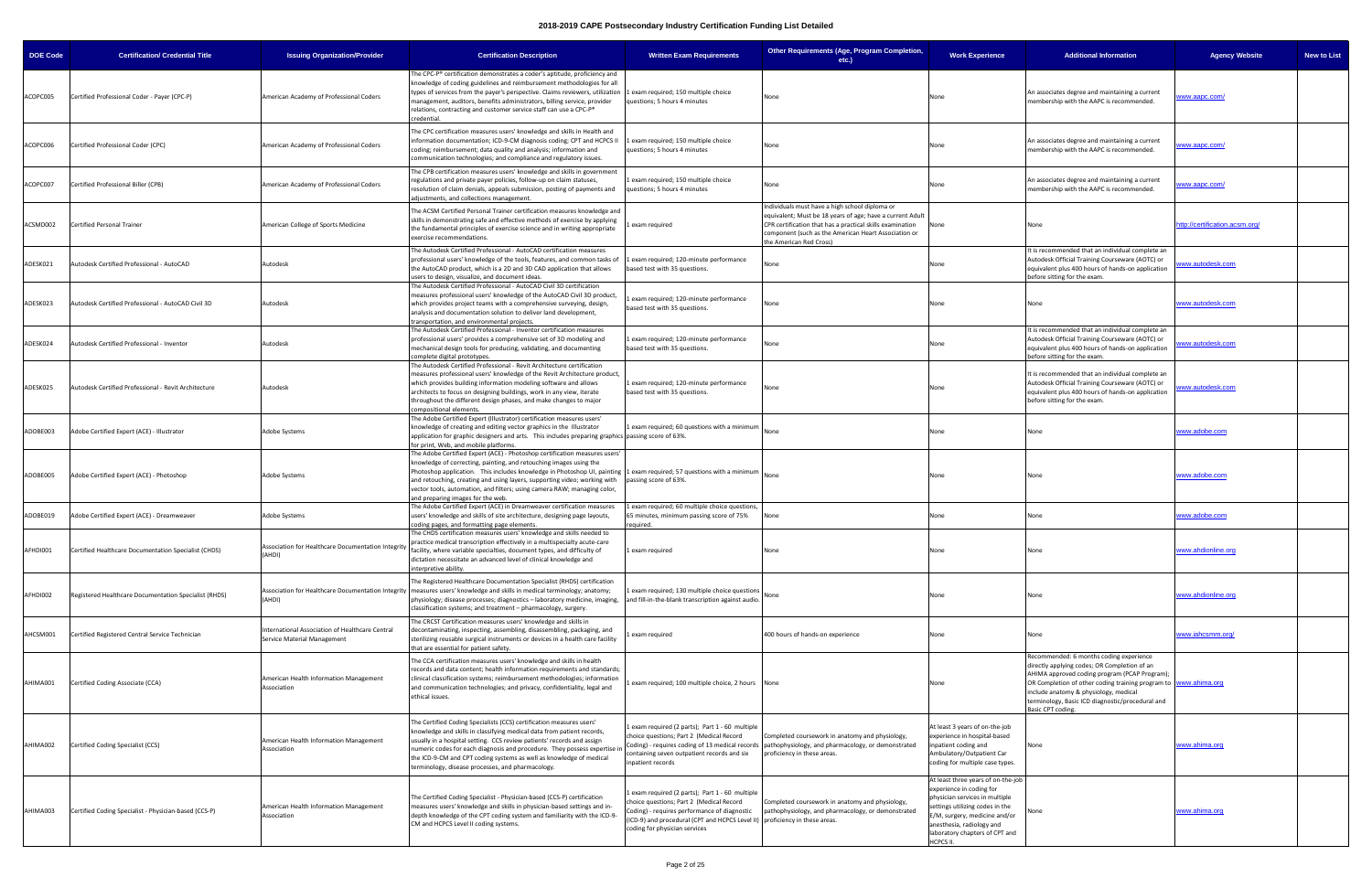| <b>DOE Code</b> | <b>Certification/ Credential Title</b>                | <b>Issuing Organization/Provider</b>                                           | <b>Certification Description</b>                                                                                                                                                                                                                                                                                                                                                                                                                                                              | <b>Written Exam Requirements</b>                                                                                                                                                                                                                         | Other Requirements (Age, Program Completion,<br>etc.)                                                                                                                                                                                                       | <b>Work Experience</b>                                                                                                                                                                                                                                 | <b>Additional Information</b>                                                                                                                                                                                                                                                                                                 | <b>Agency Website</b>          | <b>New to List</b> |
|-----------------|-------------------------------------------------------|--------------------------------------------------------------------------------|-----------------------------------------------------------------------------------------------------------------------------------------------------------------------------------------------------------------------------------------------------------------------------------------------------------------------------------------------------------------------------------------------------------------------------------------------------------------------------------------------|----------------------------------------------------------------------------------------------------------------------------------------------------------------------------------------------------------------------------------------------------------|-------------------------------------------------------------------------------------------------------------------------------------------------------------------------------------------------------------------------------------------------------------|--------------------------------------------------------------------------------------------------------------------------------------------------------------------------------------------------------------------------------------------------------|-------------------------------------------------------------------------------------------------------------------------------------------------------------------------------------------------------------------------------------------------------------------------------------------------------------------------------|--------------------------------|--------------------|
| ACOPC005        | Certified Professional Coder - Payer (CPC-P)          | American Academy of Professional Coders                                        | The CPC-P® certification demonstrates a coder's aptitude, proficiency and<br>knowledge of coding guidelines and reimbursement methodologies for all<br>types of services from the payer's perspective. Claims reviewers, utilization 1 exam required; 150 multiple choice<br>management, auditors, benefits administrators, billing service, provider<br>relations, contracting and customer service staff can use a CPC-P®<br>credential.                                                    | questions; 5 hours 4 minutes                                                                                                                                                                                                                             | None                                                                                                                                                                                                                                                        | None                                                                                                                                                                                                                                                   | An associates degree and maintaining a current<br>membership with the AAPC is recommended.                                                                                                                                                                                                                                    | ww.aapc.com/                   |                    |
| ACOPC006        | Certified Professional Coder (CPC)                    | American Academy of Professional Coders                                        | The CPC certification measures users' knowledge and skills in Health and<br>information documentation; ICD-9-CM diagnosis coding; CPT and HCPCS II<br>coding; reimbursement; data quality and analysis; information and<br>communication technologies; and compliance and regulatory issues.                                                                                                                                                                                                  | 1 exam required; 150 multiple choice<br>questions; 5 hours 4 minutes                                                                                                                                                                                     | None                                                                                                                                                                                                                                                        | None                                                                                                                                                                                                                                                   | An associates degree and maintaining a current<br>membership with the AAPC is recommended.                                                                                                                                                                                                                                    | ww.aapc.com/                   |                    |
| ACOPC007        | Certified Professional Biller (CPB)                   | American Academy of Professional Coders                                        | The CPB certification measures users' knowledge and skills in government<br>regulations and private payer policies, follow-up on claim statuses,<br>resolution of claim denials, appeals submission, posting of payments and<br>adjustments, and collections management.                                                                                                                                                                                                                      | exam required; 150 multiple choice<br>uestions; 5 hours 4 minutes                                                                                                                                                                                        | None                                                                                                                                                                                                                                                        | None                                                                                                                                                                                                                                                   | An associates degree and maintaining a current<br>membership with the AAPC is recommended.                                                                                                                                                                                                                                    | ww.aapc.com/                   |                    |
| ACSMD002        | Certified Personal Trainer                            | American College of Sports Medicine                                            | The ACSM Certified Personal Trainer certification measures knowledge and<br>skills in demonstrating safe and effective methods of exercise by applying<br>the fundamental principles of exercise science and in writing appropriate<br>exercise recommendations.                                                                                                                                                                                                                              | exam required                                                                                                                                                                                                                                            | Individuals must have a high school diploma or<br>equivalent; Must be 18 years of age; have a current Adult<br>CPR certification that has a practical skills examination<br>component (such as the American Heart Association or<br>the American Red Cross) | None                                                                                                                                                                                                                                                   | None                                                                                                                                                                                                                                                                                                                          | http://certification.acsm.org/ |                    |
| ADESK021        | Autodesk Certified Professional - AutoCAD             | Autodesk                                                                       | The Autodesk Certified Professional - AutoCAD certification measures<br>professional users' knowledge of the tools, features, and common tasks of<br>the AutoCAD product, which is a 2D and 3D CAD application that allows<br>isers to design, visualize, and document ideas.<br>The Autodesk Certified Professional - AutoCAD Civil 3D certification                                                                                                                                         | exam required; 120-minute performance<br>ased test with 35 questions.                                                                                                                                                                                    | None                                                                                                                                                                                                                                                        | None                                                                                                                                                                                                                                                   | It is recommended that an individual complete an<br>Autodesk Official Training Courseware (AOTC) or<br>equivalent plus 400 hours of hands-on application<br>before sitting for the exam.                                                                                                                                      | ww.autodesk.com                |                    |
| ADESK023        | Autodesk Certified Professional - AutoCAD Civil 3D    | Autodesk                                                                       | measures professional users' knowledge of the AutoCAD Civil 3D product,<br>which provides project teams with a comprehensive surveying, design,<br>analysis and documentation solution to deliver land development,<br>transportation, and environmental projects.                                                                                                                                                                                                                            | exam required; 120-minute performance<br>based test with 35 questions.                                                                                                                                                                                   | None                                                                                                                                                                                                                                                        | None                                                                                                                                                                                                                                                   | None                                                                                                                                                                                                                                                                                                                          | www.autodesk.com               |                    |
| ADESK024        | Autodesk Certified Professional - Inventor            | Autodesk                                                                       | The Autodesk Certified Professional - Inventor certification measures<br>professional users' provides a comprehensive set of 3D modeling and<br>mechanical design tools for producing, validating, and documenting<br>complete digital prototypes.                                                                                                                                                                                                                                            | 1 exam required; 120-minute performance<br>based test with 35 questions.                                                                                                                                                                                 | None                                                                                                                                                                                                                                                        | Vone                                                                                                                                                                                                                                                   | It is recommended that an individual complete an<br>Autodesk Official Training Courseware (AOTC) or<br>equivalent plus 400 hours of hands-on application<br>before sitting for the exam.                                                                                                                                      | ww.autodesk.com                |                    |
| ADESK025        | Autodesk Certified Professional - Revit Architecture  | Autodesk                                                                       | The Autodesk Certified Professional - Revit Architecture certification<br>measures professional users' knowledge of the Revit Architecture product,<br>which provides building information modeling software and allows<br>architects to focus on designing buildings, work in any view, iterate<br>throughout the different design phases, and make changes to major<br>ompositional elements.                                                                                               | exam required; 120-minute performance<br>based test with 35 questions.                                                                                                                                                                                   | None                                                                                                                                                                                                                                                        | Vone                                                                                                                                                                                                                                                   | It is recommended that an individual complete an<br>Autodesk Official Training Courseware (AOTC) or<br>equivalent plus 400 hours of hands-on application<br>before sitting for the exam.                                                                                                                                      | ww.autodesk.com                |                    |
| ADOBE003        | Adobe Certified Expert (ACE) - Illustrator            | Adobe Systems                                                                  | The Adobe Certified Expert (Illustrator) certification measures users'<br>knowledge of creating and editing vector graphics in the Illustrator<br>application for graphic designers and arts. This includes preparing graphics passing score of 63%.<br>for print, Web, and mobile platforms.                                                                                                                                                                                                 | 1 exam required; 60 questions with a minimum                                                                                                                                                                                                             |                                                                                                                                                                                                                                                             | None                                                                                                                                                                                                                                                   | None                                                                                                                                                                                                                                                                                                                          | www.adobe.com                  |                    |
| ADOBE005        | Adobe Certified Expert (ACE) - Photoshop              | <b>Adobe Systems</b>                                                           | The Adobe Certified Expert (ACE) - Photoshop certification measures users'<br>knowledge of correcting, painting, and retouching images using the<br>Photoshop application. This includes knowledge in Photoshop UI, painting 1 exam required; 57 questions with a minimum<br>and retouching, creating and using layers, supporting video; working with passing score of 63%.<br>vector tools, automation, and filters; using camera RAW; managing color,<br>and preparing images for the web. |                                                                                                                                                                                                                                                          | None                                                                                                                                                                                                                                                        | None                                                                                                                                                                                                                                                   | None                                                                                                                                                                                                                                                                                                                          | www.adobe.com                  |                    |
| ADOBE019        | Adobe Certified Expert (ACE) - Dreamweaver            | <b>Adobe Systems</b>                                                           | The Adobe Certified Expert (ACE) in Dreamweaver certification measures<br>users' knowledge and skills of site architecture, designing page layouts,<br>oding pages, and formatting page elements.                                                                                                                                                                                                                                                                                             | exam required; 60 multiple choice questions,<br>55 minutes, minimum passing score of 75%<br>required.                                                                                                                                                    |                                                                                                                                                                                                                                                             | Vone                                                                                                                                                                                                                                                   | None                                                                                                                                                                                                                                                                                                                          | www.adobe.com                  |                    |
| AFHDI001        | Certified Healthcare Documentation Specialist (CHDS)  | Association for Healthcare Documentation Integrity<br>(AHDI)                   | The CHDS certification measures users' knowledge and skills needed to<br>practice medical transcription effectively in a multispecialty acute-care<br>facility, where variable specialties, document types, and difficulty of<br>dictation necessitate an advanced level of clinical knowledge and<br>nterpretive ability.                                                                                                                                                                    | 1 exam required                                                                                                                                                                                                                                          | None                                                                                                                                                                                                                                                        | Vone                                                                                                                                                                                                                                                   | None                                                                                                                                                                                                                                                                                                                          | www.ahdionline.org             |                    |
| AFHDI002        | Registered Healthcare Documentation Specialist (RHDS) | (AHDI)                                                                         | The Registered Healthcare Documentation Specialist (RHDS) certification<br>Association for Healthcare Documentation Integrity  measures users' knowledge and skills in medical terminology; anatomy;<br>physiology; disease processes; diagnostics - laboratory medicine, imaging,<br>classification systems; and treatment - pharmacology, surgery.                                                                                                                                          | exam required; 130 multiple choice questions<br>and fill-in-the-blank transcription against audio.                                                                                                                                                       |                                                                                                                                                                                                                                                             | Vone                                                                                                                                                                                                                                                   | None                                                                                                                                                                                                                                                                                                                          | www.ahdionline.org             |                    |
| AHCSM001        | Certified Registered Central Service Technician       | International Association of Healthcare Central<br>Service Material Management | The CRCST Certification measures users' knowledge and skills in<br>decontaminating, inspecting, assembling, disassembling, packaging, and<br>sterilizing reusable surgical instruments or devices in a health care facility<br>that are essential for patient safety.                                                                                                                                                                                                                         | exam required                                                                                                                                                                                                                                            | 400 hours of hands-on experience                                                                                                                                                                                                                            | None                                                                                                                                                                                                                                                   | None                                                                                                                                                                                                                                                                                                                          | www.iahcsmm.org/               |                    |
| AHIMA001        | Certified Coding Associate (CCA)                      | American Health Information Management<br>Association                          | The CCA certification measures users' knowledge and skills in health<br>records and data content; health information requirements and standards;<br>clinical classification systems; reimbursement methodologies; information<br>and communication technologies; and privacy, confidentiality, legal and<br>ethical issues.                                                                                                                                                                   | exam required; 100 multiple choice, 2 hours None                                                                                                                                                                                                         |                                                                                                                                                                                                                                                             | None                                                                                                                                                                                                                                                   | Recommended: 6 months coding experience<br>directly applying codes; OR Completion of an<br>AHIMA approved coding program (PCAP Program);<br>OR Completion of other coding training program to www.ahima.org<br>include anatomy & physiology, medical<br>terminology, Basic ICD diagnostic/procedural and<br>Basic CPT coding. |                                |                    |
| AHIMA002        | Certified Coding Specialist (CCS)                     | American Health Information Management<br>Association                          | The Certified Coding Specialists (CCS) certification measures users'<br>knowledge and skills in classifying medical data from patient records,<br>usually in a hospital setting. CCS review patients' records and assign<br>numeric codes for each diagnosis and procedure. They possess expertise in<br>the ICD-9-CM and CPT coding systems as well as knowledge of medical<br>terminology, disease processes, and pharmacology.                                                             | 1 exam required (2 parts); Part 1 - 60 multiple<br>choice questions; Part 2 (Medical Record<br>containing seven outpatient records and six<br>npatient records                                                                                           | Completed coursework in anatomy and physiology,<br>Coding) - requires coding of 13 medical records   pathophysiology, and pharmacology, or demonstrated<br>proficiency in these areas.                                                                      | At least 3 years of on-the-job<br>experience in hospital-based<br>npatient coding and<br>Ambulatory/Outpatient Car<br>coding for multiple case types.                                                                                                  | None                                                                                                                                                                                                                                                                                                                          | www.ahima.org                  |                    |
| AHIMA003        | Certified Coding Specialist - Physician-based (CCS-P) | American Health Information Management<br>Association                          | The Certified Coding Specialist - Physician-based (CCS-P) certification<br>measures users' knowledge and skills in physician-based settings and in-<br>depth knowledge of the CPT coding system and familiarity with the ICD-9-<br>CM and HCPCS Level II coding systems.                                                                                                                                                                                                                      | exam required (2 parts); Part 1 - 60 multiple<br>hoice questions; Part 2 (Medical Record<br>Coding) - requires performance of diagnostic<br>(ICD-9) and procedural (CPT and HCPCS Level II) proficiency in these areas.<br>coding for physician services | Completed coursework in anatomy and physiology,<br>pathophysiology, and pharmacology, or demonstrated                                                                                                                                                       | At least three years of on-the-job<br>experience in coding for<br>physician services in multiple<br>ettings utilizing codes in the<br>:/M, surgery, medicine and/or<br>anesthesia, radiology and<br>laboratory chapters of CPT and<br><b>ICPCS II.</b> |                                                                                                                                                                                                                                                                                                                               | www.ahima.org                  |                    |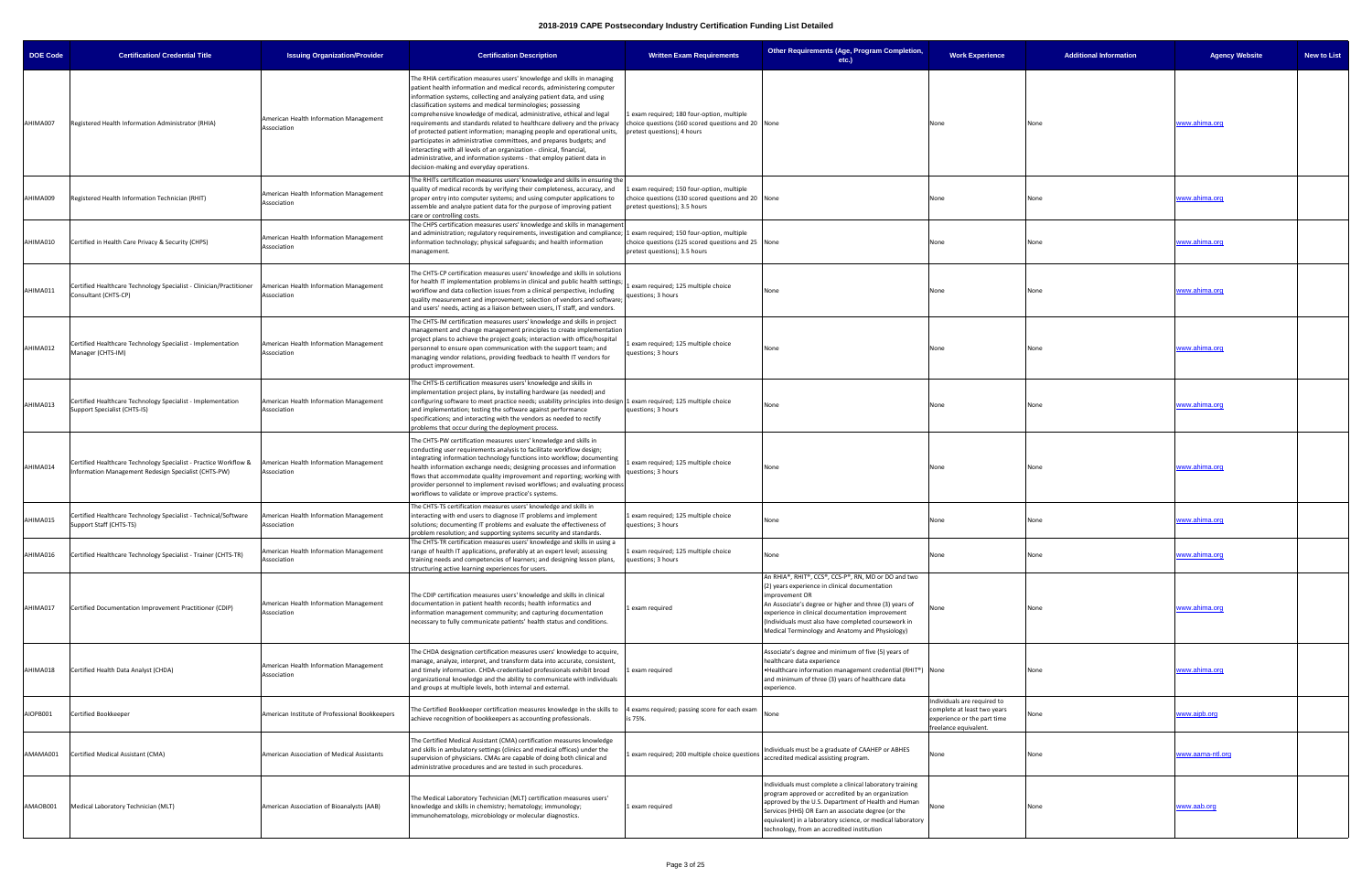| <b>DOE Code</b> | <b>Certification/ Credential Title</b>                                                                                  | <b>Issuing Organization/Provider</b>                  | <b>Certification Description</b>                                                                                                                                                                                                                                                                                                                                                                                                                                                                                                                                                                                                                                                                                                                                                                   | <b>Written Exam Requirements</b>                                                                                                | Other Requirements (Age, Program Completion,<br>$etc.$ )                                                                                                                                                                                                                                                                                        | <b>Work Experience</b>                                                                                            | <b>Additional Information</b> | <b>Agency Website</b>   | <b>New to List</b> |
|-----------------|-------------------------------------------------------------------------------------------------------------------------|-------------------------------------------------------|----------------------------------------------------------------------------------------------------------------------------------------------------------------------------------------------------------------------------------------------------------------------------------------------------------------------------------------------------------------------------------------------------------------------------------------------------------------------------------------------------------------------------------------------------------------------------------------------------------------------------------------------------------------------------------------------------------------------------------------------------------------------------------------------------|---------------------------------------------------------------------------------------------------------------------------------|-------------------------------------------------------------------------------------------------------------------------------------------------------------------------------------------------------------------------------------------------------------------------------------------------------------------------------------------------|-------------------------------------------------------------------------------------------------------------------|-------------------------------|-------------------------|--------------------|
| AHIMA007        | Registered Health Information Administrator (RHIA)                                                                      | American Health Information Management<br>Association | The RHIA certification measures users' knowledge and skills in managing<br>patient health information and medical records, administering computer<br>information systems, collecting and analyzing patient data, and using<br>classification systems and medical terminologies; possessing<br>comprehensive knowledge of medical, administrative, ethical and legal<br>requirements and standards related to healthcare delivery and the privacy<br>of protected patient information; managing people and operational units,<br>participates in administrative committees, and prepares budgets; and<br>interacting with all levels of an organization - clinical, financial,<br>administrative, and information systems - that employ patient data in<br>decision-making and everyday operations. | exam required; 180 four-option, multiple<br>choice questions (160 scored questions and 20 None<br>pretest questions); 4 hours   |                                                                                                                                                                                                                                                                                                                                                 | None                                                                                                              | None                          | www.ahima.org           |                    |
| AHIMA009        | Registered Health Information Technician (RHIT)                                                                         | American Health Information Management<br>Association | The RHITs certification measures users' knowledge and skills in ensuring the<br>quality of medical records by verifying their completeness, accuracy, and<br>proper entry into computer systems; and using computer applications to<br>assemble and analyze patient data for the purpose of improving patient<br>care or controlling costs.                                                                                                                                                                                                                                                                                                                                                                                                                                                        | exam required; 150 four-option, multiple<br>choice questions (130 scored questions and 20 None<br>pretest questions); 3.5 hours |                                                                                                                                                                                                                                                                                                                                                 | None                                                                                                              | None                          | www.ahima.org           |                    |
| AHIMA010        | Certified in Health Care Privacy & Security (CHPS)                                                                      | American Health Information Management<br>Association | The CHPS certification measures users' knowledge and skills in management<br>and administration; regulatory requirements, investigation and compliance; 1 exam required; 150 four-option, multiple<br>information technology; physical safeguards; and health information<br>management.                                                                                                                                                                                                                                                                                                                                                                                                                                                                                                           | choice questions (125 scored questions and 25 None<br>pretest questions); 3.5 hours                                             |                                                                                                                                                                                                                                                                                                                                                 | None                                                                                                              | None                          | <u>www.ahima.org</u>    |                    |
| AHIMA011        | Certified Healthcare Technology Specialist - Clinician/Practitioner<br>Consultant (CHTS-CP)                             | American Health Information Management<br>Association | The CHTS-CP certification measures users' knowledge and skills in solutions<br>for health IT implementation problems in clinical and public health settings;<br>workflow and data collection issues from a clinical perspective, including<br>quality measurement and improvement; selection of vendors and software;<br>and users' needs, acting as a liaison between users, IT staff, and vendors.                                                                                                                                                                                                                                                                                                                                                                                               | exam required; 125 multiple choice<br>questions; 3 hours                                                                        | None                                                                                                                                                                                                                                                                                                                                            | None                                                                                                              | None                          | www.ahima.org           |                    |
| AHIMA012        | Certified Healthcare Technology Specialist - Implementation<br>Manager (CHTS-IM)                                        | American Health Information Management<br>Association | The CHTS-IM certification measures users' knowledge and skills in project<br>management and change management principles to create implementation<br>project plans to achieve the project goals; interaction with office/hospital<br>personnel to ensure open communication with the support team; and<br>managing vendor relations, providing feedback to health IT vendors for<br>product improvement.                                                                                                                                                                                                                                                                                                                                                                                           | exam required; 125 multiple choice<br>questions; 3 hours                                                                        | None                                                                                                                                                                                                                                                                                                                                            | None                                                                                                              | None                          | www.ahima.org           |                    |
| AHIMA013        | Certified Healthcare Technology Specialist - Implementation<br>Support Specialist (CHTS-IS)                             | American Health Information Management<br>Association | The CHTS-IS certification measures users' knowledge and skills in<br>implementation project plans, by installing hardware (as needed) and<br>configuring software to meet practice needs; usability principles into design 1 exam required; 125 multiple choice<br>and implementation; testing the software against performance<br>specifications; and interacting with the vendors as needed to rectify<br>problems that occur during the deployment process.                                                                                                                                                                                                                                                                                                                                     | questions; 3 hours                                                                                                              | None                                                                                                                                                                                                                                                                                                                                            | None                                                                                                              | None                          | www.ahima.org           |                    |
| AHIMA014        | Certified Healthcare Technology Specialist - Practice Workflow &<br>nformation Management Redesign Specialist (CHTS-PW) | American Health Information Management<br>Association | The CHTS-PW certification measures users' knowledge and skills in<br>conducting user requirements analysis to facilitate workflow design;<br>integrating information technology functions into workflow; documenting<br>health information exchange needs; designing processes and information<br>flows that accommodate quality improvement and reporting; working with<br>provider personnel to implement revised workflows; and evaluating process<br>workflows to validate or improve practice's systems                                                                                                                                                                                                                                                                                       | exam required; 125 multiple choice<br>questions; 3 hours                                                                        | None                                                                                                                                                                                                                                                                                                                                            | None                                                                                                              | None                          | www.ahima.org           |                    |
| AHIMA015        | Certified Healthcare Technology Specialist - Technical/Software<br>Support Staff (CHTS-TS)                              | American Health Information Management<br>Association | The CHTS-TS certification measures users' knowledge and skills in<br>interacting with end users to diagnose IT problems and implement<br>solutions; documenting IT problems and evaluate the effectiveness of<br>problem resolution; and supporting systems security and standards.                                                                                                                                                                                                                                                                                                                                                                                                                                                                                                                | exam required; 125 multiple choice<br>questions; 3 hours                                                                        | None                                                                                                                                                                                                                                                                                                                                            | None                                                                                                              | None                          | www.ahima.org           |                    |
| AHIMA016        | Certified Healthcare Technology Specialist - Trainer (CHTS-TR)                                                          | American Health Information Management<br>Association | The CHTS-TR certification measures users' knowledge and skills in using a<br>range of health IT applications, preferably at an expert level; assessing<br>training needs and competencies of learners; and designing lesson plans,<br>structuring active learning experiences for users.                                                                                                                                                                                                                                                                                                                                                                                                                                                                                                           | Lexam required; 125 multiple choice<br>questions; 3 hours                                                                       | None                                                                                                                                                                                                                                                                                                                                            | None                                                                                                              | None                          | www.ahima.org           |                    |
| AHIMA017        | Certified Documentation Improvement Practitioner (CDIP)                                                                 | American Health Information Management<br>Association | The CDIP certification measures users' knowledge and skills in clinical<br>documentation in patient health records; health informatics and<br>information management community; and capturing documentation<br>necessary to fully communicate patients' health status and conditions.                                                                                                                                                                                                                                                                                                                                                                                                                                                                                                              | exam required                                                                                                                   | An RHIA®, RHIT®, CCS®, CCS-P®, RN, MD or DO and two<br>(2) years experience in clinical documentation<br>improvement OR<br>An Associate's degree or higher and three (3) years of<br>experience in clinical documentation improvement<br>(Individuals must also have completed coursework in<br>Medical Terminology and Anatomy and Physiology) | None                                                                                                              | None                          | www.ahima.org           |                    |
| AHIMA018        | Certified Health Data Analyst (CHDA)                                                                                    | American Health Information Management<br>Association | The CHDA designation certification measures users' knowledge to acquire,<br>manage, analyze, interpret, and transform data into accurate, consistent,<br>and timely information. CHDA-credentialed professionals exhibit broad<br>organizational knowledge and the ability to communicate with individuals<br>and groups at multiple levels, both internal and external.                                                                                                                                                                                                                                                                                                                                                                                                                           | exam required                                                                                                                   | Associate's degree and minimum of five (5) years of<br>healthcare data experience<br>•Healthcare information management credential (RHIT®) None<br>and minimum of three (3) years of healthcare data<br>experience.                                                                                                                             |                                                                                                                   | None                          | www.ahima.org           |                    |
| AIOPB001        | Certified Bookkeeper                                                                                                    | American Institute of Professional Bookkeepers        | The Certified Bookkeeper certification measures knowledge in the skills to<br>achieve recognition of bookkeepers as accounting professionals.                                                                                                                                                                                                                                                                                                                                                                                                                                                                                                                                                                                                                                                      | exams required; passing score for each exam<br>is 75%.                                                                          | None                                                                                                                                                                                                                                                                                                                                            | ndividuals are required to<br>complete at least two years<br>experience or the part time<br>freelance equivalent. |                               | www.aipb.org            |                    |
| AMAMA001        | Certified Medical Assistant (CMA)                                                                                       | American Association of Medical Assistants            | The Certified Medical Assistant (CMA) certification measures knowledge<br>and skills in ambulatory settings (clinics and medical offices) under the<br>supervision of physicians. CMAs are capable of doing both clinical and<br>administrative procedures and are tested in such procedures.                                                                                                                                                                                                                                                                                                                                                                                                                                                                                                      | exam required; 200 multiple choice questions                                                                                    | Individuals must be a graduate of CAAHEP or ABHES<br>accredited medical assisting program.                                                                                                                                                                                                                                                      | None                                                                                                              | None                          | <u>www.aama-ntl.org</u> |                    |
| AMAOB001        | Medical Laboratory Technician (MLT)                                                                                     | American Association of Bioanalysts (AAB)             | The Medical Laboratory Technician (MLT) certification measures users'<br>knowledge and skills in chemistry; hematology; immunology;<br>immunohematology, microbiology or molecular diagnostics.                                                                                                                                                                                                                                                                                                                                                                                                                                                                                                                                                                                                    | l exam required                                                                                                                 | Individuals must complete a clinical laboratory training<br>program approved or accredited by an organization<br>approved by the U.S. Department of Health and Human<br>Services (HHS) OR Earn an associate degree (or the<br>equivalent) in a laboratory science, or medical laboratory<br>technology, from an accredited institution          | None                                                                                                              | None                          | <u>www.aab.org</u>      |                    |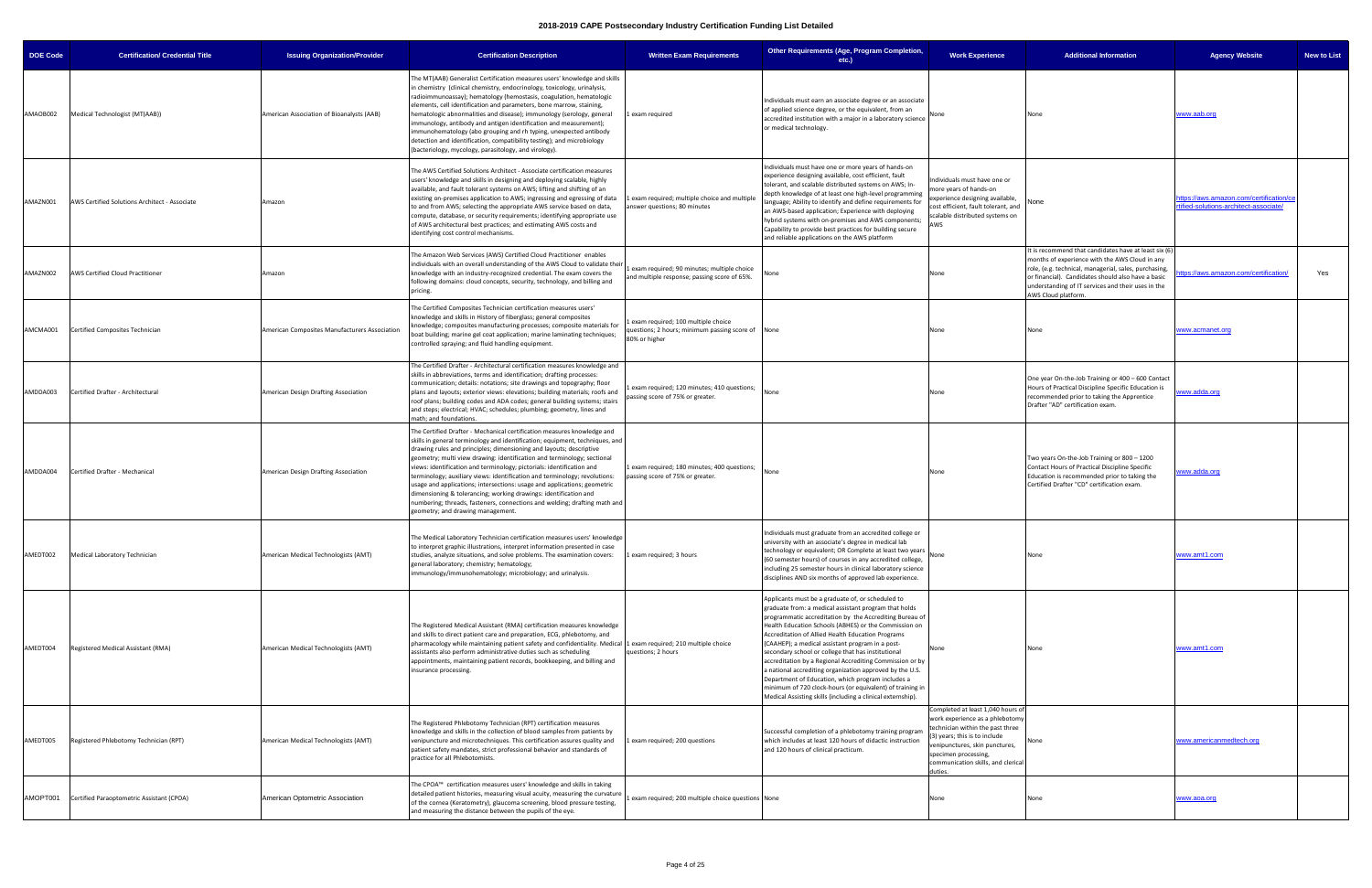| <b>DOE Code</b> | <b>Certification/ Credential Title</b>        | <b>Issuing Organization/Provider</b>          | <b>Certification Description</b>                                                                                                                                                                                                                                                                                                                                                                                                                                                                                                                                                                                                                                                                                                   | <b>Written Exam Requirements</b>                                                                        | Other Requirements (Age, Program Completion,<br>etc.)                                                                                                                                                                                                                                                                                                                                                                                                                                                                                                                                                                                                                                                  | <b>Work Experience</b>                                                                                                                                                                                                                             | <b>Additional Information</b>                                                                                                                                                                                                                                                                      | <b>Agency Website</b><br><b>New to List</b>                                      |
|-----------------|-----------------------------------------------|-----------------------------------------------|------------------------------------------------------------------------------------------------------------------------------------------------------------------------------------------------------------------------------------------------------------------------------------------------------------------------------------------------------------------------------------------------------------------------------------------------------------------------------------------------------------------------------------------------------------------------------------------------------------------------------------------------------------------------------------------------------------------------------------|---------------------------------------------------------------------------------------------------------|--------------------------------------------------------------------------------------------------------------------------------------------------------------------------------------------------------------------------------------------------------------------------------------------------------------------------------------------------------------------------------------------------------------------------------------------------------------------------------------------------------------------------------------------------------------------------------------------------------------------------------------------------------------------------------------------------------|----------------------------------------------------------------------------------------------------------------------------------------------------------------------------------------------------------------------------------------------------|----------------------------------------------------------------------------------------------------------------------------------------------------------------------------------------------------------------------------------------------------------------------------------------------------|----------------------------------------------------------------------------------|
| AMAOB002        | Medical Technologist (MT(AAB))                | American Association of Bioanalysts (AAB)     | The MT(AAB) Generalist Certification measures users' knowledge and skills<br>in chemistry (clinical chemistry, endocrinology, toxicology, urinalysis,<br>radioimmunoassay); hematology (hemostasis, coagulation, hematologic<br>elements, cell identification and parameters, bone marrow, staining,<br>hematologic abnormalities and disease); immunology (serology, general<br>immunology, antibody and antigen identification and measurement);<br>immunohematology (abo grouping and rh typing, unexpected antibody<br>detection and identification, compatibility testing); and microbiology<br>(bacteriology, mycology, parasitology, and virology).                                                                         | Lexam required                                                                                          | Individuals must earn an associate degree or an associate<br>of applied science degree, or the equivalent, from an<br>accredited institution with a major in a laboratory science<br>or medical technology.                                                                                                                                                                                                                                                                                                                                                                                                                                                                                            | None                                                                                                                                                                                                                                               | None                                                                                                                                                                                                                                                                                               | www.aab.org                                                                      |
| AMAZN001        | AWS Certified Solutions Architect - Associate | Amazon                                        | The AWS Certified Solutions Architect - Associate certification measures<br>users' knowledge and skills in designing and deploying scalable, highly<br>available, and fault tolerant systems on AWS; lifting and shifting of an<br>existing on-premises application to AWS; ingressing and egressing of data<br>to and from AWS; selecting the appropriate AWS service based on data,<br>compute, database, or security requirements; identifying appropriate use<br>of AWS architectural best practices; and estimating AWS costs and<br>identifying cost control mechanisms.                                                                                                                                                     | exam required; multiple choice and multiple<br>nswer questions; 80 minutes                              | Individuals must have one or more years of hands-on<br>experience designing available, cost efficient, fault<br>tolerant, and scalable distributed systems on AWS; In-<br>depth knowledge of at least one high-level programming<br>language; Ability to identify and define requirements for<br>an AWS-based application; Experience with deploying<br>hybrid systems with on-premises and AWS components;<br>Capability to provide best practices for building secure<br>and reliable applications on the AWS platform                                                                                                                                                                               | ndividuals must have one or<br>more years of hands-on<br>experience designing available,<br>ost efficient, fault tolerant, and<br>calable distributed systems on<br>AWS                                                                            | None                                                                                                                                                                                                                                                                                               | https://aws.amazon.com/certification/c<br>rtified-solutions-architect-associate/ |
| AMAZN002        | AWS Certified Cloud Practitioner              | Amazon                                        | The Amazon Web Services (AWS) Certified Cloud Practitioner enables<br>individuals with an overall understanding of the AWS Cloud to validate their<br>knowledge with an industry-recognized credential. The exam covers the<br>following domains: cloud concepts, security, technology, and billing and<br>pricing.                                                                                                                                                                                                                                                                                                                                                                                                                | exam required; 90 minutes; multiple choice<br>and multiple response; passing score of 65%.              |                                                                                                                                                                                                                                                                                                                                                                                                                                                                                                                                                                                                                                                                                                        | None                                                                                                                                                                                                                                               | t is recommend that candidates have at least six (6)<br>months of experience with the AWS Cloud in any<br>role, (e.g. technical, managerial, sales, purchasing,<br>or financial). Candidates should also have a basic<br>understanding of IT services and their uses in the<br>AWS Cloud platform. | Yes<br>ps://aws.amazon.com/certification/                                        |
| AMCMA001        | Certified Composites Technician               | American Composites Manufacturers Association | The Certified Composites Technician certification measures users'<br>knowledge and skills in History of fiberglass; general composites<br>knowledge; composites manufacturing processes; composite materials for<br>boat building; marine gel coat application; marine laminating techniques;<br>controlled spraying; and fluid handling equipment.                                                                                                                                                                                                                                                                                                                                                                                | exam required; 100 multiple choice<br>uestions; 2 hours; minimum passing score of None<br>80% or higher |                                                                                                                                                                                                                                                                                                                                                                                                                                                                                                                                                                                                                                                                                                        | None                                                                                                                                                                                                                                               | None                                                                                                                                                                                                                                                                                               | www.acmanet.org                                                                  |
| AMDDA003        | Certified Drafter - Architectural             | American Design Drafting Association          | The Certified Drafter - Architectural certification measures knowledge and<br>skills in abbreviations, terms and identification; drafting processes:<br>communication; details: notations; site drawings and topography; floor<br>plans and layouts; exterior views: elevations; building materials; roofs and<br>roof plans; building codes and ADA codes; general building systems; stairs<br>and steps; electrical; HVAC; schedules; plumbing; geometry, lines and<br>math; and foundations.                                                                                                                                                                                                                                    | exam required; 120 minutes; 410 questions;<br>assing score of 75% or greater.                           |                                                                                                                                                                                                                                                                                                                                                                                                                                                                                                                                                                                                                                                                                                        | None                                                                                                                                                                                                                                               | One year On-the-Job Training or 400 - 600 Contact<br>Hours of Practical Discipline Specific Education is<br>recommended prior to taking the Apprentice<br>Drafter "AD" certification exam.                                                                                                         | ww.adda.org                                                                      |
| AMDDA004        | Certified Drafter - Mechanical                | American Design Drafting Association          | The Certified Drafter - Mechanical certification measures knowledge and<br>skills in general terminology and identification; equipment, techniques, and<br>drawing rules and principles; dimensioning and layouts; descriptive<br>geometry; multi view drawing: identification and terminology; sectional<br>views: identification and terminology; pictorials: identification and<br>terminology; auxiliary views: identification and terminology; revolutions:<br>usage and applications; intersections: usage and applications; geometric<br>dimensioning & tolerancing; working drawings: identification and<br>numbering; threads, fasteners, connections and welding; drafting math and<br>geometry; and drawing management. | exam required; 180 minutes; 400 questions;<br>passing score of 75% or greater.                          | None                                                                                                                                                                                                                                                                                                                                                                                                                                                                                                                                                                                                                                                                                                   | None                                                                                                                                                                                                                                               | Two years On-the-Job Training or 800 - 1200<br>Contact Hours of Practical Discipline Specific<br>Education is recommended prior to taking the<br>Certified Drafter "CD" certification exam.                                                                                                        | ww.adda.org                                                                      |
| AMEDT002        | Medical Laboratory Technician                 | American Medical Technologists (AMT)          | The Medical Laboratory Technician certification measures users' knowledge<br>to interpret graphic illustrations, interpret information presented in case<br>studies, analyze situations, and solve problems. The examination covers:<br>general laboratory; chemistry; hematology;<br>immunology/immunohematology; microbiology; and urinalysis.                                                                                                                                                                                                                                                                                                                                                                                   | Lexam required; 3 hours                                                                                 | Individuals must graduate from an accredited college or<br>iversity with an associate's degree in medical lab<br>differently find the direction of the teast two years vertical technology or equivalent; OR Complete at least two years<br>(60 semester hours) of courses in any accredited college,<br>including 25 semester hours in clinical laboratory science<br>disciplines AND six months of approved lab experience.                                                                                                                                                                                                                                                                          |                                                                                                                                                                                                                                                    |                                                                                                                                                                                                                                                                                                    | www.amt1.com                                                                     |
| AMEDT004        | Registered Medical Assistant (RMA)            | American Medical Technologists (AMT)          | The Registered Medical Assistant (RMA) certification measures knowledge<br>and skills to direct patient care and preparation, ECG, phlebotomy, and<br>pharmacology while maintaining patient safety and confidentiality. Medical 1 exam required; 210 multiple choice<br>assistants also perform administrative duties such as scheduling<br>appointments, maintaining patient records, bookkeeping, and billing and<br>insurance processing.                                                                                                                                                                                                                                                                                      | questions; 2 hours                                                                                      | Applicants must be a graduate of, or scheduled to<br>graduate from: a medical assistant program that holds<br>programmatic accreditation by the Accrediting Bureau of<br>Health Education Schools (ABHES) or the Commission on<br>Accreditation of Allied Health Education Programs<br>(CAAHEP); a medical assistant program in a post-<br>secondary school or college that has institutional<br>accreditation by a Regional Accrediting Commission or by<br>a national accrediting organization approved by the U.S.<br>Department of Education, which program includes a<br>minimum of 720 clock-hours (or equivalent) of training in<br>Medical Assisting skills (including a clinical externship). | None                                                                                                                                                                                                                                               | None                                                                                                                                                                                                                                                                                               | www.amt1.com                                                                     |
| AMEDT005        | Registered Phlebotomy Technician (RPT)        | American Medical Technologists (AMT)          | The Registered Phlebotomy Technician (RPT) certification measures<br>knowledge and skills in the collection of blood samples from patients by<br>venipuncture and microtechniques. This certification assures quality and<br>patient safety mandates, strict professional behavior and standards of<br>practice for all Phlebotomists.                                                                                                                                                                                                                                                                                                                                                                                             | exam required; 200 questions                                                                            | Successful completion of a phlebotomy training program<br>which includes at least 120 hours of didactic instruction<br>and 120 hours of clinical practicum.                                                                                                                                                                                                                                                                                                                                                                                                                                                                                                                                            | Completed at least 1,040 hours of<br>work experience as a phlebotomy<br>technician within the past three<br>3) years; this is to include<br>venipunctures, skin punctures,<br>specimen processing,<br>communication skills, and clerical<br>duties |                                                                                                                                                                                                                                                                                                    | www.americanmedtech.org                                                          |
| AMOPT001        | Certified Paraoptometric Assistant (CPOA)     | American Optometric Association               | The CPOA™ certification measures users' knowledge and skills in taking<br>detailed patient histories, measuring visual acuity, measuring the curvature<br>of the cornea (Keratometry), glaucoma screening, blood pressure testing,<br>and measuring the distance between the pupils of the eye.                                                                                                                                                                                                                                                                                                                                                                                                                                    | exam required; 200 multiple choice questions None                                                       |                                                                                                                                                                                                                                                                                                                                                                                                                                                                                                                                                                                                                                                                                                        | None                                                                                                                                                                                                                                               | None                                                                                                                                                                                                                                                                                               | www.aoa.org                                                                      |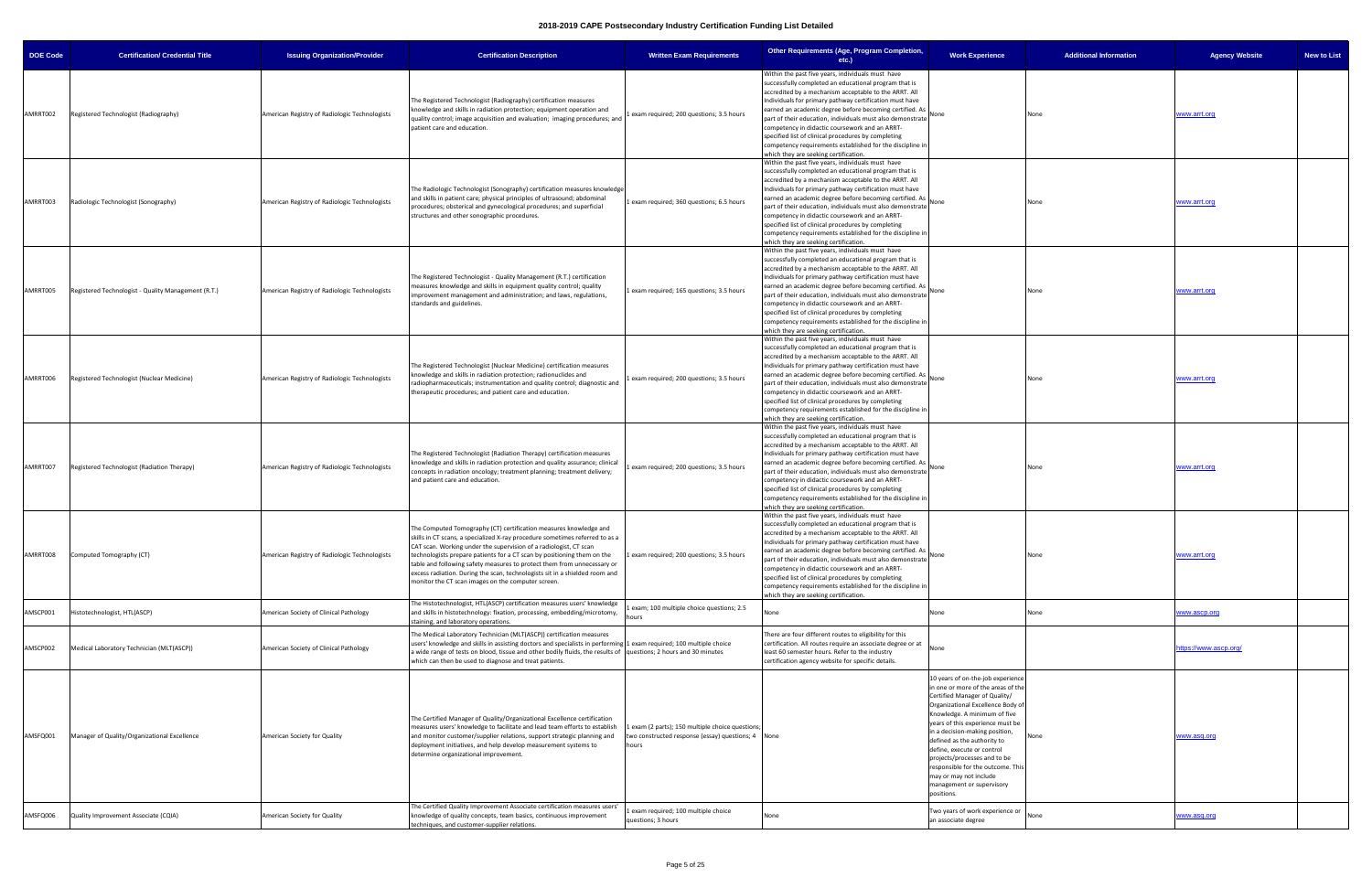| <b>DOE Code</b> | <b>Certification/ Credential Title</b>              | <b>Issuing Organization/Provider</b>          | <b>Certification Description</b>                                                                                                                                                                                                                                                                                                                                                                                                                                                                                  | <b>Written Exam Requirements</b>                                                                                | Other Requirements (Age, Program Completion,<br>etc.)                                                                                                                                                                                                                                                                                                                                                                                                                                                                                                                  | <b>Work Experience</b>                                                                                                                                                                                                                                                                                                                                                                                                                                     | <b>Additional Information</b> | <b>New to List</b><br><b>Agency Website</b> |
|-----------------|-----------------------------------------------------|-----------------------------------------------|-------------------------------------------------------------------------------------------------------------------------------------------------------------------------------------------------------------------------------------------------------------------------------------------------------------------------------------------------------------------------------------------------------------------------------------------------------------------------------------------------------------------|-----------------------------------------------------------------------------------------------------------------|------------------------------------------------------------------------------------------------------------------------------------------------------------------------------------------------------------------------------------------------------------------------------------------------------------------------------------------------------------------------------------------------------------------------------------------------------------------------------------------------------------------------------------------------------------------------|------------------------------------------------------------------------------------------------------------------------------------------------------------------------------------------------------------------------------------------------------------------------------------------------------------------------------------------------------------------------------------------------------------------------------------------------------------|-------------------------------|---------------------------------------------|
| AMRRT002        | Registered Technologist (Radiography)               | American Registry of Radiologic Technologists | The Registered Technologist (Radiography) certification measures<br>knowledge and skills in radiation protection; equipment operation and<br>quality control; image acquisition and evaluation; imaging procedures; and<br>patient care and education.                                                                                                                                                                                                                                                            | exam required; 200 questions; 3.5 hours                                                                         | Within the past five years, individuals must have<br>successfully completed an educational program that is<br>accredited by a mechanism acceptable to the ARRT. All<br>Individuals for primary pathway certification must have<br>earned an academic degree before becoming certified. As<br>part of their education, individuals must also demonstrate<br>competency in didactic coursework and an ARRT-<br>specified list of clinical procedures by completing<br>competency requirements established for the discipline in<br>which they are seeking certification. | None                                                                                                                                                                                                                                                                                                                                                                                                                                                       | None                          | www.arrt.org                                |
| AMRRT003        | Radiologic Technologist (Sonography)                | American Registry of Radiologic Technologists | The Radiologic Technologist (Sonography) certification measures knowledge<br>and skills in patient care; physical principles of ultrasound; abdominal<br>procedures; obsterical and gynecological procedures; and superficial<br>structures and other sonographic procedures.                                                                                                                                                                                                                                     | 1 exam required; 360 questions; 6.5 hours                                                                       | Within the past five years, individuals must have<br>successfully completed an educational program that is<br>accredited by a mechanism acceptable to the ARRT. All<br>Individuals for primary pathway certification must have<br>earned an academic degree before becoming certified. As<br>part of their education, individuals must also demonstrate<br>competency in didactic coursework and an ARRT-<br>specified list of clinical procedures by completing<br>competency requirements established for the discipline in<br>which they are seeking certification. | None                                                                                                                                                                                                                                                                                                                                                                                                                                                       | None                          | www.arrt.org                                |
| AMRRT005        | Registered Technologist - Quality Management (R.T.) | American Registry of Radiologic Technologists | The Registered Technologist - Quality Management (R.T.) certification<br>measures knowledge and skills in equipment quality control; quality<br>improvement management and administration; and laws, regulations,<br>standards and guidelines.                                                                                                                                                                                                                                                                    | 1 exam required; 165 questions; 3.5 hours                                                                       | Within the past five years, individuals must have<br>successfully completed an educational program that is<br>accredited by a mechanism acceptable to the ARRT. All<br>Individuals for primary pathway certification must have<br>earned an academic degree before becoming certified. As<br>part of their education, individuals must also demonstrate<br>competency in didactic coursework and an ARRT-<br>specified list of clinical procedures by completing<br>competency requirements established for the discipline in<br>which they are seeking certification. | None                                                                                                                                                                                                                                                                                                                                                                                                                                                       |                               | www.arrt.org                                |
| AMRRT006        | Registered Technologist (Nuclear Medicine)          | American Registry of Radiologic Technologists | The Registered Technologist (Nuclear Medicine) certification measures<br>knowledge and skills in radiation protection; radionuclides and<br>radiopharmaceuticals; instrumentation and quality control; diagnostic and<br>therapeutic procedures; and patient care and education.                                                                                                                                                                                                                                  | exam required; 200 questions; 3.5 hours                                                                         | Within the past five years, individuals must have<br>successfully completed an educational program that is<br>accredited by a mechanism acceptable to the ARRT. All<br>Individuals for primary pathway certification must have<br>earned an academic degree before becoming certified. As<br>part of their education, individuals must also demonstrate<br>competency in didactic coursework and an ARRT-<br>specified list of clinical procedures by completing<br>competency requirements established for the discipline in<br>which they are seeking certification. | None                                                                                                                                                                                                                                                                                                                                                                                                                                                       | None                          | www.arrt.org                                |
| AMRRT007        | Registered Technologist (Radiation Therapy)         | American Registry of Radiologic Technologists | The Registered Technologist (Radiation Therapy) certification measures<br>knowledge and skills in radiation protection and quality assurance; clinical<br>concepts in radiation oncology; treatment planning; treatment delivery;<br>and patient care and education.                                                                                                                                                                                                                                              | exam required; 200 questions; 3.5 hours                                                                         | Within the past five years, individuals must have<br>successfully completed an educational program that is<br>accredited by a mechanism acceptable to the ARRT. All<br>Individuals for primary pathway certification must have<br>earned an academic degree before becoming certified. As<br>part of their education, individuals must also demonstrate<br>competency in didactic coursework and an ARRT-<br>specified list of clinical procedures by completing<br>competency requirements established for the discipline in<br>which they are seeking certification. | None                                                                                                                                                                                                                                                                                                                                                                                                                                                       | None                          | www.arrt.org                                |
| AMRRT008        | Computed Tomography (CT)                            | American Registry of Radiologic Technologists | The Computed Tomography (CT) certification measures knowledge and<br>skills in CT scans, a specialized X-ray procedure sometimes referred to as a<br>CAT scan. Working under the supervision of a radiologist, CT scan<br>technologists prepare patients for a CT scan by positioning them on the<br>table and following safety measures to protect them from unnecessary or<br>excess radiation. During the scan, technologists sit in a shielded room and<br>monitor the CT scan images on the computer screen. | exam required; 200 questions; 3.5 hours                                                                         | Within the past five years, individuals must have<br>successfully completed an educational program that is<br>accredited by a mechanism acceptable to the ARRT. All<br>dividuals for primary pathway certification must have<br>earned an academic degree before becoming certified. As<br>part of their education, individuals must also demonstrate<br>competency in didactic coursework and an ARRT-<br>specified list of clinical procedures by completing<br>competency requirements established for the discipline in<br>which they are seeking certification.   |                                                                                                                                                                                                                                                                                                                                                                                                                                                            |                               | www.arrt.org                                |
| AMSCP001        | Histotechnologist, HTL(ASCP)                        | American Society of Clinical Pathology        | The Histotechnologist, HTL(ASCP) certification measures users' knowledge<br>and skills in histotechnology: fixation, processing, embedding/microtomy,<br>staining, and laboratory operations.                                                                                                                                                                                                                                                                                                                     | exam; 100 multiple choice questions; 2.5<br>ours                                                                | None                                                                                                                                                                                                                                                                                                                                                                                                                                                                                                                                                                   | None                                                                                                                                                                                                                                                                                                                                                                                                                                                       | None                          | www.ascp.org                                |
| AMSCP002        | Medical Laboratory Technician (MLT(ASCP))           | American Society of Clinical Pathology        | The Medical Laboratory Technician (MLT(ASCP)) certification measures<br>users' knowledge and skills in assisting doctors and specialists in performing 1 exam required; 100 multiple choice<br>a wide range of tests on blood, tissue and other bodily fluids, the results of questions; 2 hours and 30 minutes<br>which can then be used to diagnose and treat patients.                                                                                                                                         |                                                                                                                 | There are four different routes to eligibility for this<br>certification. All routes require an associate degree or at<br>least 60 semester hours. Refer to the industry<br>certification agency website for specific details.                                                                                                                                                                                                                                                                                                                                         | None                                                                                                                                                                                                                                                                                                                                                                                                                                                       |                               | https://www.ascp.org/                       |
| AMSFQ001        | Manager of Quality/Organizational Excellence        | American Society for Quality                  | The Certified Manager of Quality/Organizational Excellence certification<br>measures users' knowledge to facilitate and lead team efforts to establish<br>and monitor customer/supplier relations, support strategic planning and<br>deployment initiatives, and help develop measurement systems to<br>determine organizational improvement.                                                                                                                                                                     | 1 exam (2 parts); 150 multiple choice questions;<br>two constructed response (essay) questions; 4 None<br>hours |                                                                                                                                                                                                                                                                                                                                                                                                                                                                                                                                                                        | 10 years of on-the-job experience<br>in one or more of the areas of the<br>Certified Manager of Quality/<br>Organizational Excellence Body of<br>Knowledge. A minimum of five<br>years of this experience must be<br>in a decision-making position,<br>defined as the authority to<br>define, execute or control<br>projects/processes and to be<br>responsible for the outcome. This<br>may or may not include<br>management or supervisory<br>positions. | None                          | www.asq.org                                 |
| AMSFQ006        | Quality Improvement Associate (CQIA)                | American Society for Quality                  | The Certified Quality Improvement Associate certification measures users'<br>knowledge of quality concepts, team basics, continuous improvement<br>techniques, and customer-supplier relations.                                                                                                                                                                                                                                                                                                                   | exam required; 100 multiple choice<br>questions; 3 hours                                                        | None                                                                                                                                                                                                                                                                                                                                                                                                                                                                                                                                                                   | Two years of work experience or<br>an associate degree                                                                                                                                                                                                                                                                                                                                                                                                     | None                          | ww.asq.org                                  |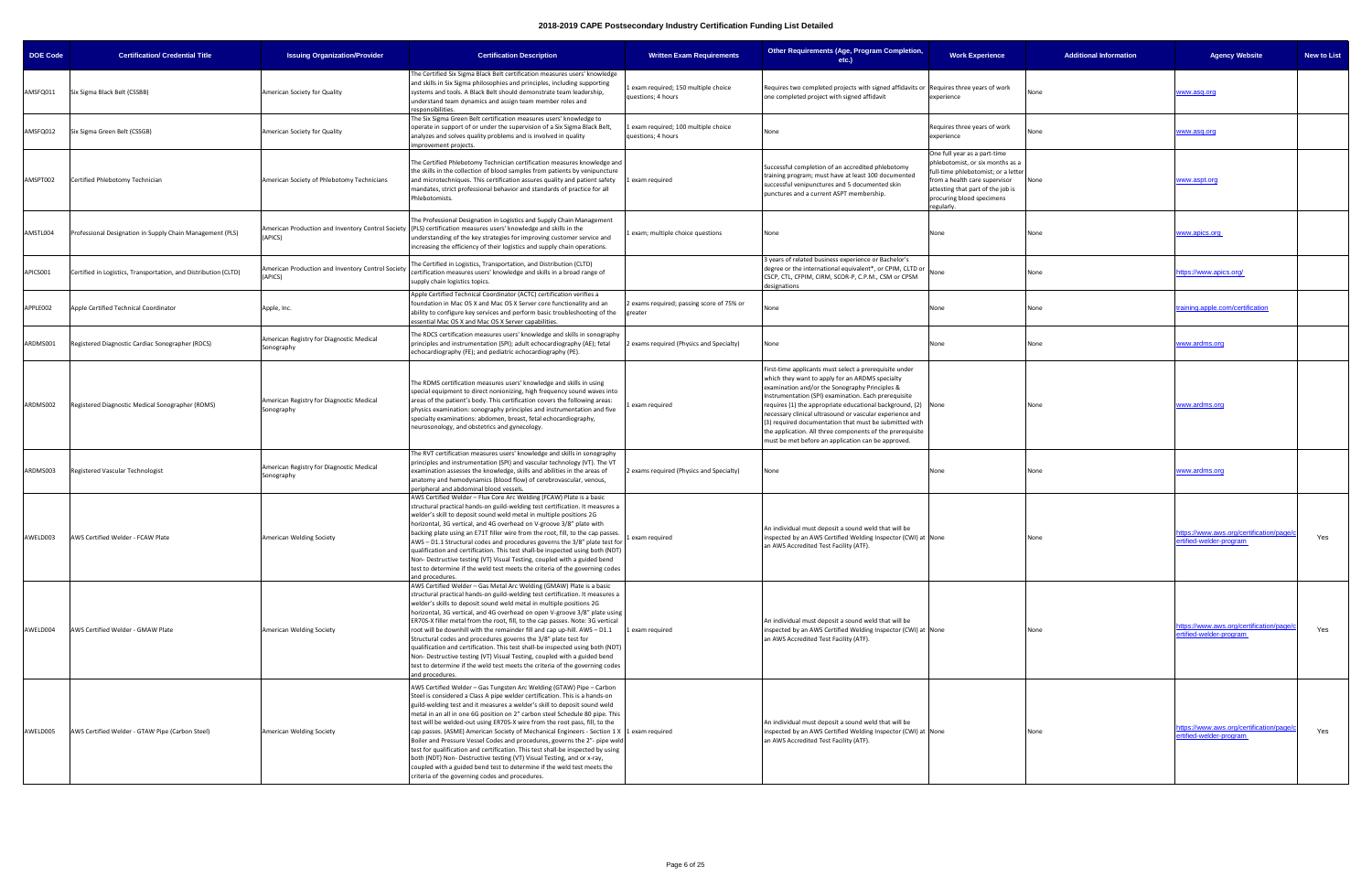| <b>DOE Code</b> | <b>Certification/ Credential Title</b>                          | <b>Issuing Organization/Provider</b>                        | <b>Certification Description</b>                                                                                                                                                                                                                                                                                                                                                                                                                                                                                                                                                                                                                                                                                                                                                                                                                                      | <b>Written Exam Requirements</b>                         | Other Requirements (Age, Program Completion,<br>$etc.$ )                                                                                                                                                                                                                                                                                                                                                                                                                                                                      | <b>Work Experience</b>                                                                                                                                                                                                | <b>Additional Information</b> | <b>Agency Website</b><br><b>New to List</b>                               |
|-----------------|-----------------------------------------------------------------|-------------------------------------------------------------|-----------------------------------------------------------------------------------------------------------------------------------------------------------------------------------------------------------------------------------------------------------------------------------------------------------------------------------------------------------------------------------------------------------------------------------------------------------------------------------------------------------------------------------------------------------------------------------------------------------------------------------------------------------------------------------------------------------------------------------------------------------------------------------------------------------------------------------------------------------------------|----------------------------------------------------------|-------------------------------------------------------------------------------------------------------------------------------------------------------------------------------------------------------------------------------------------------------------------------------------------------------------------------------------------------------------------------------------------------------------------------------------------------------------------------------------------------------------------------------|-----------------------------------------------------------------------------------------------------------------------------------------------------------------------------------------------------------------------|-------------------------------|---------------------------------------------------------------------------|
| AMSFQ011        | Six Sigma Black Belt (CSSBB)                                    | American Society for Quality                                | The Certified Six Sigma Black Belt certification measures users' knowledge<br>and skills in Six Sigma philosophies and principles, including supporting<br>systems and tools. A Black Belt should demonstrate team leadership,<br>understand team dynamics and assign team member roles and<br>responsibilities.                                                                                                                                                                                                                                                                                                                                                                                                                                                                                                                                                      | exam required; 150 multiple choice<br>questions; 4 hours | Requires two completed projects with signed affidavits or Requires three years of work<br>one completed project with signed affidavit                                                                                                                                                                                                                                                                                                                                                                                         | experience                                                                                                                                                                                                            | None                          | www.asq.org                                                               |
| AMSFQ012        | Six Sigma Green Belt (CSSGB)                                    | American Society for Quality                                | The Six Sigma Green Belt certification measures users' knowledge to<br>operate in support of or under the supervision of a Six Sigma Black Belt,<br>analyzes and solves quality problems and is involved in quality<br>improvement projects.                                                                                                                                                                                                                                                                                                                                                                                                                                                                                                                                                                                                                          | exam required; 100 multiple choice<br>questions; 4 hours | None                                                                                                                                                                                                                                                                                                                                                                                                                                                                                                                          | Requires three years of work<br>experience                                                                                                                                                                            |                               | ww.asq.org                                                                |
| AMSPT002        | Certified Phlebotomy Technician                                 | American Society of Phlebotomy Technicians                  | The Certified Phlebotomy Technician certification measures knowledge and<br>the skills in the collection of blood samples from patients by venipuncture<br>and microtechniques. This certification assures quality and patient safety<br>mandates, strict professional behavior and standards of practice for all<br>Phlebotomists.                                                                                                                                                                                                                                                                                                                                                                                                                                                                                                                                   | 1 exam required                                          | Successful completion of an accredited phlebotomy<br>training program; must have at least 100 documented<br>successful venipunctures and 5 documented skin<br>punctures and a current ASPT membership.                                                                                                                                                                                                                                                                                                                        | One full year as a part-time<br>hlebotomist, or six months as a<br>ull-time phlebotomist; or a letter<br>from a health care supervisor<br>attesting that part of the job is<br>procuring blood specimens<br>egularly. | None                          | www.aspt.org                                                              |
| AMSTL004        | Professional Designation in Supply Chain Management (PLS)       | (APICS)                                                     | The Professional Designation in Logistics and Supply Chain Management<br>American Production and Inventory Control Society (PLS) certification measures users' knowledge and skills in the<br>understanding of the key strategies for improving customer service and<br>increasing the efficiency of their logistics and supply chain operations.                                                                                                                                                                                                                                                                                                                                                                                                                                                                                                                     | exam; multiple choice questions                          | None                                                                                                                                                                                                                                                                                                                                                                                                                                                                                                                          | None                                                                                                                                                                                                                  | None                          | www.apics.org                                                             |
| APICS001        | Certified in Logistics, Transportation, and Distribution (CLTD) | American Production and Inventory Control Society<br>APICS) | The Certified in Logistics, Transportation, and Distribution (CLTD)<br>certification measures users' knowledge and skills in a broad range of<br>supply chain logistics topics.                                                                                                                                                                                                                                                                                                                                                                                                                                                                                                                                                                                                                                                                                       |                                                          | 3 years of related business experience or Bachelor's<br>degree or the international equivalent*, or CPIM, CLTD or<br>CSCP, CTL, CFPIM, CIRM, SCOR-P, C.P.M., CSM or CPSM<br>designations                                                                                                                                                                                                                                                                                                                                      | None                                                                                                                                                                                                                  | None                          | <u>https://www.apics.orq/</u>                                             |
| APPLE002        | Apple Certified Technical Coordinator                           | Apple, Inc.                                                 | Apple Certified Technical Coordinator (ACTC) certification verifies a<br>foundation in Mac OS X and Mac OS X Server core functionality and an<br>ability to configure key services and perform basic troubleshooting of the<br>essential Mac OS X and Mac OS X Server capabilities                                                                                                                                                                                                                                                                                                                                                                                                                                                                                                                                                                                    | 2 exams required; passing score of 75% or<br>greater     | None                                                                                                                                                                                                                                                                                                                                                                                                                                                                                                                          | None                                                                                                                                                                                                                  | None                          | training.apple.com/certification                                          |
| ARDMS001        | Registered Diagnostic Cardiac Sonographer (RDCS)                | American Registry for Diagnostic Medical<br>Sonography      | The RDCS certification measures users' knowledge and skills in sonography<br>principles and instrumentation (SPI); adult echocardiography (AE); fetal<br>echocardiography (FE); and pediatric echocardiography (PE).                                                                                                                                                                                                                                                                                                                                                                                                                                                                                                                                                                                                                                                  | exams required (Physics and Specialty)                   | None                                                                                                                                                                                                                                                                                                                                                                                                                                                                                                                          | None                                                                                                                                                                                                                  | None                          | <u>vww.ardms.org</u>                                                      |
| ARDMS002        | Registered Diagnostic Medical Sonographer (RDMS)                | American Registry for Diagnostic Medical<br>Sonography      | The RDMS certification measures users' knowledge and skills in using<br>special equipment to direct nonionizing, high frequency sound waves into<br>areas of the patient's body. This certification covers the following areas:<br>physics examination: sonography principles and instrumentation and five<br>specialty examinations: abdomen, breast, fetal echocardiography,<br>neurosonology, and obstetrics and gynecology.                                                                                                                                                                                                                                                                                                                                                                                                                                       | exam required                                            | First-time applicants must select a prerequisite under<br>which they want to apply for an ARDMS specialty<br>examination and/or the Sonography Principles &<br>Instrumentation (SPI) examination. Each prerequisite<br>requires (1) the appropriate educational background, (2) None<br>necessary clinical ultrasound or vascular experience and<br>(3) required documentation that must be submitted with<br>the application. All three components of the prerequisite<br>must be met before an application can be approved. |                                                                                                                                                                                                                       | None                          | www.ardms.org                                                             |
| ARDMS003        | Registered Vascular Technologist                                | American Registry for Diagnostic Medical<br>Sonography      | The RVT certification measures users' knowledge and skills in sonography<br>principles and instrumentation (SPI) and vascular technology (VT). The VT<br>examination assesses the knowledge, skills and abilities in the areas of<br>anatomy and hemodynamics (blood flow) of cerebrovascular, venous,<br>peripheral and abdominal blood vessels.                                                                                                                                                                                                                                                                                                                                                                                                                                                                                                                     | 2 exams required (Physics and Specialty)                 | None                                                                                                                                                                                                                                                                                                                                                                                                                                                                                                                          | None                                                                                                                                                                                                                  | None                          | <u>www.ardms.org</u>                                                      |
| AWELD003        | AWS Certified Welder - FCAW Plate                               | American Welding Society                                    | AWS Certified Welder - Flux Core Arc Welding (FCAW) Plate is a basic<br>structural practical hands-on guild-welding test certification. It measures a<br>welder's skill to deposit sound weld metal in multiple positions 2G<br>horizontal, 3G vertical, and 4G overhead on V-groove 3/8" plate with<br>backing plate using an E71T filler wire from the root, fill, to the cap passes.<br>AWS - D1.1 Structural codes and procedures governs the 3/8" plate test for<br>qualification and certification. This test shall-be inspected using both (NDT)<br>Non-Destructive testing (VT) Visual Testing, coupled with a guided bend<br>test to determine if the weld test meets the criteria of the governing codes<br>and procedures.                                                                                                                                 | 1 exam required                                          | An individual must deposit a sound weld that will be<br>inspected by an AWS Certified Welding Inspector (CWI) at None<br>an AWS Accredited Test Facility (ATF).                                                                                                                                                                                                                                                                                                                                                               |                                                                                                                                                                                                                       | None                          | https://www.aws.org/certification/page/<br>Yes<br>ertified-welder-program |
| AWELD004        | AWS Certified Welder - GMAW Plate                               | American Welding Society                                    | AWS Certified Welder - Gas Metal Arc Welding (GMAW) Plate is a basic<br>structural practical hands-on guild-welding test certification. It measures a<br>welder's skills to deposit sound weld metal in multiple positions 2G<br>horizontal, 3G vertical, and 4G overhead on open V-groove 3/8" plate using<br>ER70S-X filler metal from the root, fill, to the cap passes. Note: 3G vertical<br>root will be downhill with the remainder fill and cap up-hill. AWS - D1.1<br>Structural codes and procedures governs the 3/8" plate test for<br>qualification and certification. This test shall-be inspected using both (NDT)<br>Non-Destructive testing (VT) Visual Testing, coupled with a guided bend<br>test to determine if the weld test meets the criteria of the governing codes<br>and procedures.                                                         | 1 exam required                                          | An individual must deposit a sound weld that will be<br>inspected by an AWS Certified Welding Inspector (CWI) at None<br>an AWS Accredited Test Facility (ATF).                                                                                                                                                                                                                                                                                                                                                               |                                                                                                                                                                                                                       | None                          | https://www.aws.org/certification/page/<br>Yes<br>ertified-welder-program |
| AWELD005        | AWS Certified Welder - GTAW Pipe (Carbon Steel)                 | American Welding Society                                    | AWS Certified Welder - Gas Tungsten Arc Welding (GTAW) Pipe - Carbon<br>Steel is considered a Class A pipe welder certification. This is a hands-on<br>guild-welding test and it measures a welder's skill to deposit sound weld<br>metal in an all in one 6G position on 2" carbon steel Schedule 80 pipe. This<br>test will be welded-out using ER70S-X wire from the root pass, fill, to the<br>cap passes. (ASME) American Society of Mechanical Engineers - Section 1 X 1 exam required<br>Boiler and Pressure Vessel Codes and procedures, governs the 2"- pipe weld<br>test for qualification and certification. This test shall-be inspected by using<br>both (NDT) Non- Destructive testing (VT) Visual Testing, and or x-ray,<br>coupled with a guided bend test to determine if the weld test meets the<br>criteria of the governing codes and procedures. |                                                          | An individual must deposit a sound weld that will be<br>inspected by an AWS Certified Welding Inspector (CWI) at None<br>an AWS Accredited Test Facility (ATF).                                                                                                                                                                                                                                                                                                                                                               |                                                                                                                                                                                                                       |                               | https://www.aws.org/certification/page/<br>Yes<br>ertified-welder-program |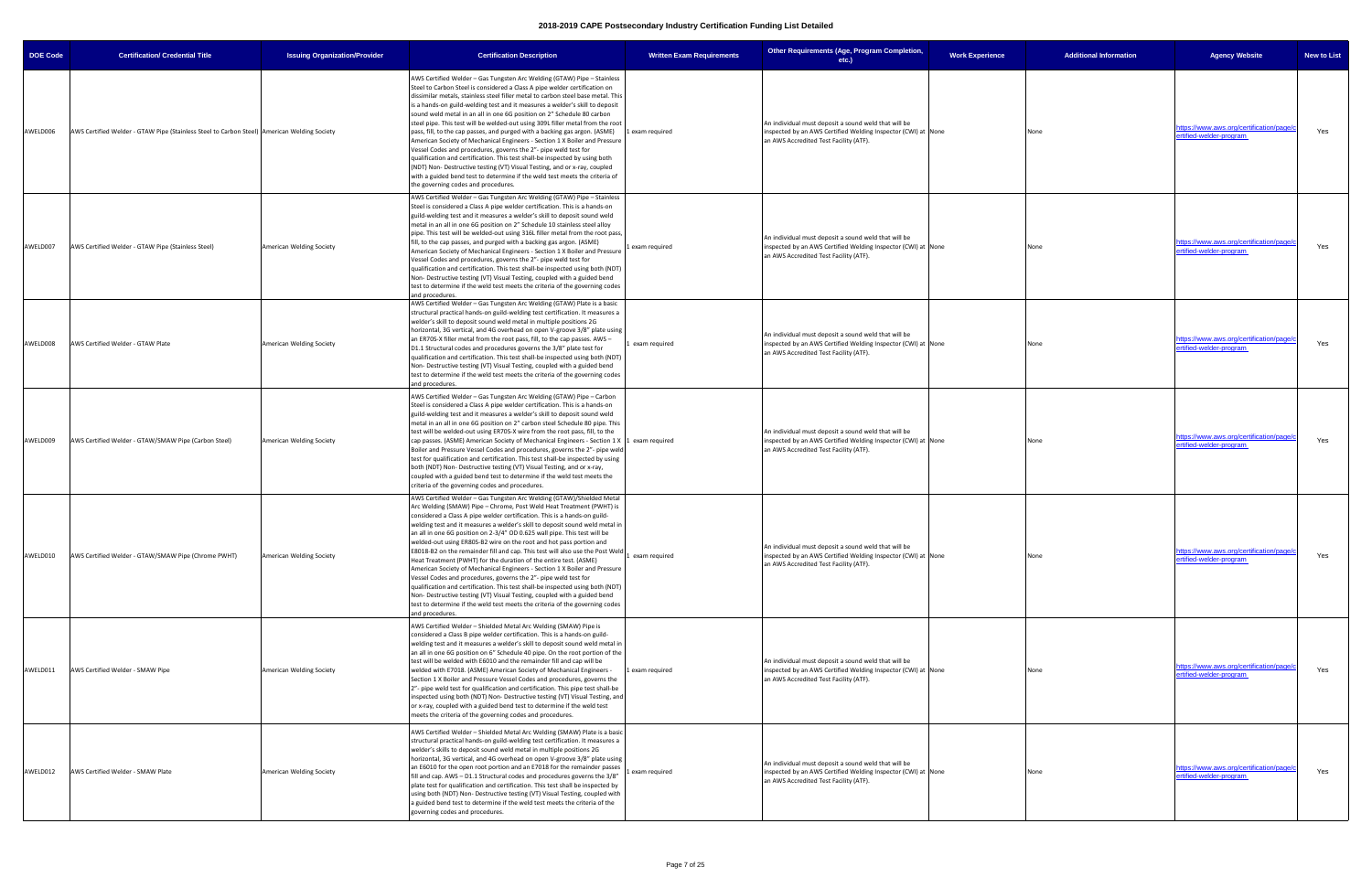| <b>DOE Code</b> | <b>Certification/ Credential Title</b>                                                        | <b>Issuing Organization/Provider</b> | <b>Certification Description</b>                                                                                                                                                                                                                                                                                                                                                                                                                                                                                                                                                                                                                                                                                                                                                                                                                                                                                                                                                                                                     | <b>Written Exam Requirements</b> | Other Requirements (Age, Program Completion,<br>$etc.$ )                                                                                                        | <b>Work Experience</b> | <b>Additional Information</b> | <b>Agency Website</b>                                               | <b>New to List</b> |
|-----------------|-----------------------------------------------------------------------------------------------|--------------------------------------|--------------------------------------------------------------------------------------------------------------------------------------------------------------------------------------------------------------------------------------------------------------------------------------------------------------------------------------------------------------------------------------------------------------------------------------------------------------------------------------------------------------------------------------------------------------------------------------------------------------------------------------------------------------------------------------------------------------------------------------------------------------------------------------------------------------------------------------------------------------------------------------------------------------------------------------------------------------------------------------------------------------------------------------|----------------------------------|-----------------------------------------------------------------------------------------------------------------------------------------------------------------|------------------------|-------------------------------|---------------------------------------------------------------------|--------------------|
| AWELD006        | AWS Certified Welder - GTAW Pipe (Stainless Steel to Carbon Steel)   American Welding Society |                                      | AWS Certified Welder - Gas Tungsten Arc Welding (GTAW) Pipe - Stainless<br>Steel to Carbon Steel is considered a Class A pipe welder certification on<br>dissimilar metals, stainless steel filler metal to carbon steel base metal. This<br>is a hands-on guild-welding test and it measures a welder's skill to deposit<br>sound weld metal in an all in one 6G position on 2" Schedule 80 carbon<br>steel pipe. This test will be welded-out using 309L filler metal from the root<br>pass, fill, to the cap passes, and purged with a backing gas argon. (ASME)<br>American Society of Mechanical Engineers - Section 1 X Boiler and Pressure<br>Vessel Codes and procedures, governs the 2"- pipe weld test for<br>qualification and certification. This test shall-be inspected by using both<br>(NDT) Non- Destructive testing (VT) Visual Testing, and or x-ray, coupled<br>with a guided bend test to determine if the weld test meets the criteria of<br>the governing codes and procedures.                               | Lexam required                   | An individual must deposit a sound weld that will be<br>inspected by an AWS Certified Welding Inspector (CWI) at None<br>an AWS Accredited Test Facility (ATF). |                        | None                          | https://www.aws.org/certification/page/<br>ertified-welder-program  | Yes                |
| AWELD007        | AWS Certified Welder - GTAW Pipe (Stainless Steel)                                            | <b>American Welding Society</b>      | AWS Certified Welder - Gas Tungsten Arc Welding (GTAW) Pipe - Stainless<br>Steel is considered a Class A pipe welder certification. This is a hands-on<br>guild-welding test and it measures a welder's skill to deposit sound weld<br>metal in an all in one 6G position on 2" Schedule 10 stainless steel alloy<br>pipe. This test will be welded-out using 316L filler metal from the root pass,<br>fill, to the cap passes, and purged with a backing gas argon. (ASME)<br>American Society of Mechanical Engineers - Section 1 X Boiler and Pressure<br>Vessel Codes and procedures, governs the 2"- pipe weld test for<br>qualification and certification. This test shall-be inspected using both (NDT)<br>Non-Destructive testing (VT) Visual Testing, coupled with a guided bend<br>test to determine if the weld test meets the criteria of the governing codes<br>and procedures.                                                                                                                                         | exam required                    | An individual must deposit a sound weld that will be<br>inspected by an AWS Certified Welding Inspector (CWI) at None<br>an AWS Accredited Test Facility (ATF). |                        | None                          | https://www.aws.org/certification/page/<br>ertified-welder-program  | Yes                |
| AWELD008        | AWS Certified Welder - GTAW Plate                                                             | American Welding Society             | AWS Certified Welder - Gas Tungsten Arc Welding (GTAW) Plate is a basic<br>structural practical hands-on guild-welding test certification. It measures a<br>welder's skill to deposit sound weld metal in multiple positions 2G<br>horizontal, 3G vertical, and 4G overhead on open V-groove 3/8" plate using<br>an ER70S-X filler metal from the root pass, fill, to the cap passes. AWS -<br>D1.1 Structural codes and procedures governs the 3/8" plate test for<br>qualification and certification. This test shall-be inspected using both (NDT)<br>Non-Destructive testing (VT) Visual Testing, coupled with a guided bend<br>test to determine if the weld test meets the criteria of the governing codes<br>and procedures.                                                                                                                                                                                                                                                                                                  | exam required                    | An individual must deposit a sound weld that will be<br>inspected by an AWS Certified Welding Inspector (CWI) at None<br>an AWS Accredited Test Facility (ATF). |                        | None                          | https://www.aws.org/certification/page/<br>ertified-welder-program  | Yes                |
| AWELD009        | AWS Certified Welder - GTAW/SMAW Pipe (Carbon Steel)                                          | American Welding Society             | AWS Certified Welder - Gas Tungsten Arc Welding (GTAW) Pipe - Carbon<br>Steel is considered a Class A pipe welder certification. This is a hands-on<br>guild-welding test and it measures a welder's skill to deposit sound weld<br>metal in an all in one 6G position on 2" carbon steel Schedule 80 pipe. This<br>test will be welded-out using ER70S-X wire from the root pass, fill, to the<br>cap passes. (ASME) American Society of Mechanical Engineers - Section 1 X 1 exam required<br>Boiler and Pressure Vessel Codes and procedures, governs the 2"- pipe weld<br>test for qualification and certification. This test shall-be inspected by using<br>both (NDT) Non- Destructive testing (VT) Visual Testing, and or x-ray,<br>coupled with a guided bend test to determine if the weld test meets the<br>criteria of the governing codes and procedures.                                                                                                                                                                |                                  | An individual must deposit a sound weld that will be<br>inspected by an AWS Certified Welding Inspector (CWI) at None<br>an AWS Accredited Test Facility (ATF). |                        | None                          | https://www.aws.org/certification/page/<br>ertified-welder-program  | Yes                |
| AWELD010        | AWS Certified Welder - GTAW/SMAW Pipe (Chrome PWHT)                                           | American Welding Society             | AWS Certified Welder - Gas Tungsten Arc Welding (GTAW)/Shielded Metal<br>Arc Welding (SMAW) Pipe - Chrome, Post Weld Heat Treatment (PWHT) is<br>considered a Class A pipe welder certification. This is a hands-on guild-<br>welding test and it measures a welder's skill to deposit sound weld metal in<br>an all in one 6G position on 2-3/4" OD 0.625 wall pipe. This test will be<br>elded-out using ER80S-B2 wire on the root and hot pass portion and<br>E8018-B2 on the remainder fill and cap. This test will also use the Post Weld<br>Heat Treatment (PWHT) for the duration of the entire test. (ASME)<br>American Society of Mechanical Engineers - Section 1 X Boiler and Pressure<br>Vessel Codes and procedures, governs the 2"- pipe weld test for<br>qualification and certification. This test shall-be inspected using both (NDT)<br>Non-Destructive testing (VT) Visual Testing, coupled with a guided bend<br>test to determine if the weld test meets the criteria of the governing codes<br>and procedures. | exam required                    | An individual must deposit a sound weld that will be<br>inspected by an AWS Certified Welding Inspector (CWI) at None<br>an AWS Accredited Test Facility (ATF). |                        |                               | https://www.aws.org/certification/page/<br>ertified-welder-program  | Yes                |
| AWELD011        | AWS Certified Welder - SMAW Pipe                                                              | American Welding Society             | AWS Certified Welder - Shielded Metal Arc Welding (SMAW) Pipe is<br>considered a Class B pipe welder certification. This is a hands-on guild-<br>welding test and it measures a welder's skill to deposit sound weld metal in<br>an all in one 6G position on 6" Schedule 40 pipe. On the root portion of the<br>test will be welded with E6010 and the remainder fill and cap will be<br>welded with E7018. (ASME) American Society of Mechanical Engineers -<br>Section 1 X Boiler and Pressure Vessel Codes and procedures, governs the<br>2"- pipe weld test for qualification and certification. This pipe test shall-be<br>inspected using both (NDT) Non- Destructive testing (VT) Visual Testing, and<br>or x-ray, coupled with a guided bend test to determine if the weld test<br>meets the criteria of the governing codes and procedures.                                                                                                                                                                                | Lexam required                   | An individual must deposit a sound weld that will be<br>inspected by an AWS Certified Welding Inspector (CWI) at None<br>an AWS Accredited Test Facility (ATF). |                        |                               | https://www.aws.org/certification/page/c<br>ertified-welder-program | Yes                |
| AWELD012        | AWS Certified Welder - SMAW Plate                                                             | American Welding Society             | AWS Certified Welder - Shielded Metal Arc Welding (SMAW) Plate is a basic<br>structural practical hands-on guild-welding test certification. It measures a<br>welder's skills to deposit sound weld metal in multiple positions 2G<br>horizontal, 3G vertical, and 4G overhead on open V-groove 3/8" plate using<br>an E6010 for the open root portion and an E7018 for the remainder passes<br>fill and cap. AWS - D1.1 Structural codes and procedures governs the 3/8"<br>plate test for qualification and certification. This test shall be inspected by<br>using both (NDT) Non- Destructive testing (VT) Visual Testing, coupled with<br>a guided bend test to determine if the weld test meets the criteria of the<br>governing codes and procedures.                                                                                                                                                                                                                                                                         | exam required                    | An individual must deposit a sound weld that will be<br>inspected by an AWS Certified Welding Inspector (CWI) at None<br>an AWS Accredited Test Facility (ATF). |                        | None                          | https://www.aws.org/certification/page/<br>ertified-welder-program  | Yes                |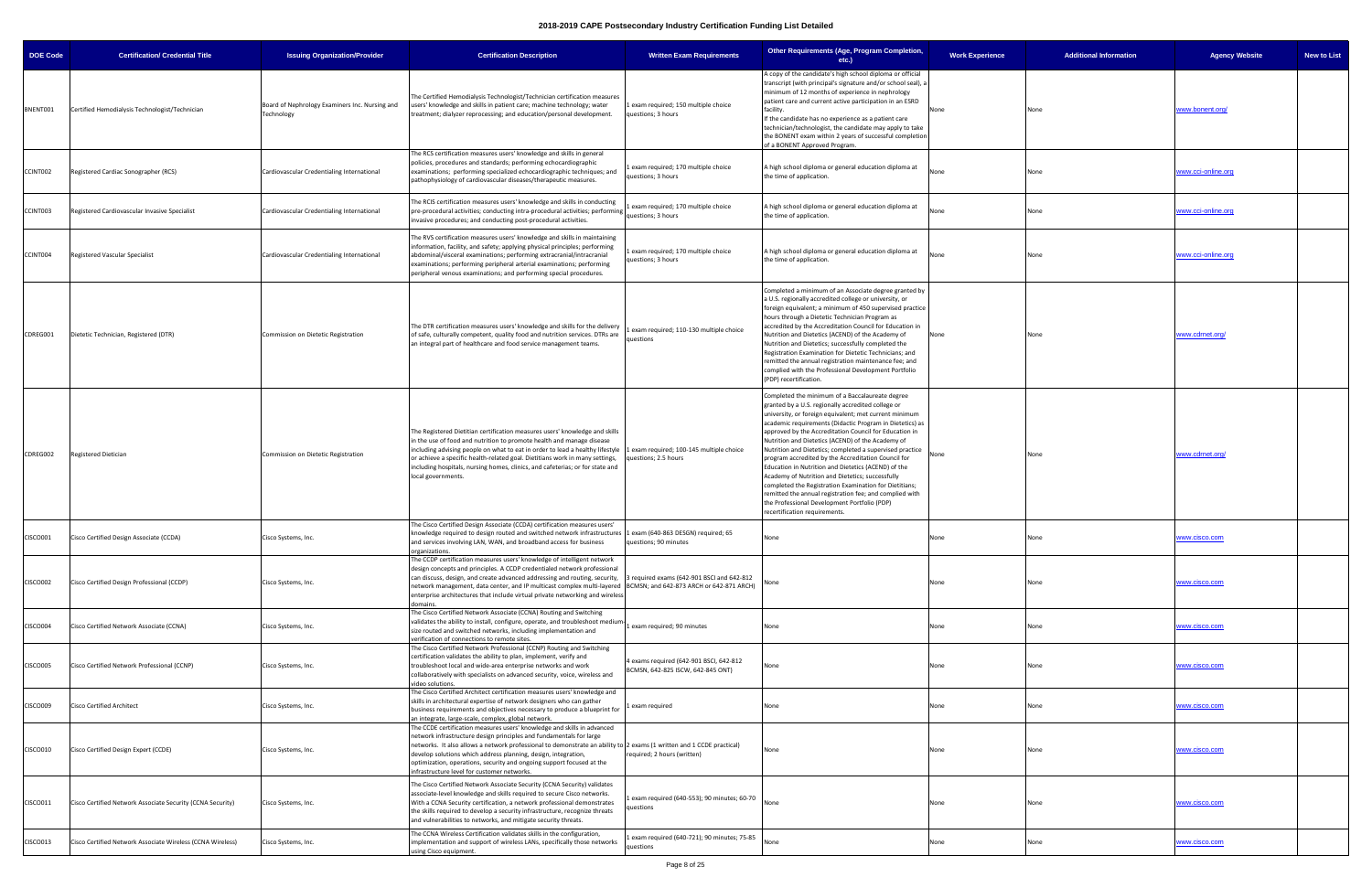| <b>DOE Code</b> | <b>Certification/ Credential Title</b>                     | <b>Issuing Organization/Provider</b>                         | <b>Certification Description</b>                                                                                                                                                                                                                                                                                                                                                                                                                                  | <b>Written Exam Requirements</b>                                             | Other Requirements (Age, Program Completion,<br>etc.)                                                                                                                                                                                                                                                                                                                                                                                                                                                                                                                                                                                                                                                                                                                          | <b>Work Experience</b> | <b>Additional Information</b> | <b>Agency Website</b><br><b>New to List</b> |
|-----------------|------------------------------------------------------------|--------------------------------------------------------------|-------------------------------------------------------------------------------------------------------------------------------------------------------------------------------------------------------------------------------------------------------------------------------------------------------------------------------------------------------------------------------------------------------------------------------------------------------------------|------------------------------------------------------------------------------|--------------------------------------------------------------------------------------------------------------------------------------------------------------------------------------------------------------------------------------------------------------------------------------------------------------------------------------------------------------------------------------------------------------------------------------------------------------------------------------------------------------------------------------------------------------------------------------------------------------------------------------------------------------------------------------------------------------------------------------------------------------------------------|------------------------|-------------------------------|---------------------------------------------|
| BNENT001        | Certified Hemodialysis Technologist/Technician             | Board of Nephrology Examiners Inc. Nursing and<br>Technology | The Certified Hemodialysis Technologist/Technician certification measures<br>users' knowledge and skills in patient care; machine technology; water<br>treatment; dialyzer reprocessing; and education/personal development.                                                                                                                                                                                                                                      | exam required; 150 multiple choice<br>questions; 3 hours                     | A copy of the candidate's high school diploma or official<br>transcript (with principal's signature and/or school seal), a<br>minimum of 12 months of experience in nephrology<br>patient care and current active participation in an ESRD<br>facility.<br>If the candidate has no experience as a patient care<br>technician/technologist, the candidate may apply to take<br>the BONENT exam within 2 years of successful completion<br>of a BONENT Approved Program.                                                                                                                                                                                                                                                                                                        | None                   | None                          | www.bonent.org/                             |
| CCINT002        | Registered Cardiac Sonographer (RCS)                       | Cardiovascular Credentialing International                   | The RCS certification measures users' knowledge and skills in general<br>policies, procedures and standards; performing echocardiographic<br>examinations; performing specialized echocardiographic techniques; and<br>pathophysiology of cardiovascular diseases/therapeutic measures.                                                                                                                                                                           | exam required; 170 multiple choice<br>questions; 3 hours                     | A high school diploma or general education diploma at<br>the time of application.                                                                                                                                                                                                                                                                                                                                                                                                                                                                                                                                                                                                                                                                                              | None                   |                               | www.cci-online.org                          |
| CCINT003        | Registered Cardiovascular Invasive Specialist              | Cardiovascular Credentialing International                   | The RCIS certification measures users' knowledge and skills in conducting<br>pre-procedural activities; conducting intra-procedural activities; performing<br>invasive procedures; and conducting post-procedural activities.                                                                                                                                                                                                                                     | exam required; 170 multiple choice<br>questions; 3 hours                     | A high school diploma or general education diploma at<br>the time of application.                                                                                                                                                                                                                                                                                                                                                                                                                                                                                                                                                                                                                                                                                              | None                   | None                          | www.cci-online.org                          |
| CCINT004        | Registered Vascular Specialist                             | Cardiovascular Credentialing International                   | The RVS certification measures users' knowledge and skills in maintaining<br>information, facility, and safety; applying physical principles; performing<br>abdominal/visceral examinations; performing extracranial/intracranial<br>examinations; performing peripheral arterial examinations; performing<br>peripheral venous examinations; and performing special procedures.                                                                                  | exam required; 170 multiple choice<br>questions; 3 hours                     | A high school diploma or general education diploma at<br>the time of application.                                                                                                                                                                                                                                                                                                                                                                                                                                                                                                                                                                                                                                                                                              | None                   | None                          | www.cci-online.org                          |
| CDREG001        | Dietetic Technician, Registered (DTR)                      | Commission on Dietetic Registration                          | The DTR certification measures users' knowledge and skills for the delivery<br>of safe, culturally competent, quality food and nutrition services. DTRs are<br>an integral part of healthcare and food service management teams.                                                                                                                                                                                                                                  | exam required; 110-130 multiple choice<br>questions                          | Completed a minimum of an Associate degree granted by<br>a U.S. regionally accredited college or university, or<br>foreign equivalent; a minimum of 450 supervised practice<br>hours through a Dietetic Technician Program as<br>accredited by the Accreditation Council for Education in<br>Nutrition and Dietetics (ACEND) of the Academy of<br>Nutrition and Dietetics; successfully completed the<br>Registration Examination for Dietetic Technicians; and<br>remitted the annual registration maintenance fee; and<br>complied with the Professional Development Portfolio<br>(PDP) recertification.                                                                                                                                                                     | None                   | None                          | www.cdrnet.org/                             |
| CDREG002        | Registered Dietician                                       | Commission on Dietetic Registration                          | The Registered Dietitian certification measures users' knowledge and skills<br>in the use of food and nutrition to promote health and manage disease<br>including advising people on what to eat in order to lead a healthy lifestyle<br>or achieve a specific health-related goal. Dietitians work in many settings,<br>including hospitals, nursing homes, clinics, and cafeterias; or for state and<br>local governments.                                      | exam required; 100-145 multiple choice<br>uestions; 2.5 hours                | Completed the minimum of a Baccalaureate degree<br>granted by a U.S. regionally accredited college or<br>university, or foreign equivalent; met current minimum<br>academic requirements (Didactic Program in Dietetics) as<br>approved by the Accreditation Council for Education in<br>Nutrition and Dietetics (ACEND) of the Academy of<br>Nutrition and Dietetics; completed a supervised practice<br>program accredited by the Accreditation Council for<br>Education in Nutrition and Dietetics (ACEND) of the<br>Academy of Nutrition and Dietetics; successfully<br>completed the Registration Examination for Dietitians;<br>remitted the annual registration fee; and complied with<br>the Professional Development Portfolio (PDP)<br>recertification requirements. | None                   | None                          | www.cdrnet.org/                             |
| CISCO001        | Cisco Certified Design Associate (CCDA)                    | Cisco Systems, Inc.                                          | The Cisco Certified Design Associate (CCDA) certification measures users'<br>knowledge required to design routed and switched network infrastructures 1 exam (640-863 DESGN) required; 65<br>and services involving LAN, WAN, and broadband access for business<br>organizations.                                                                                                                                                                                 | questions; 90 minutes                                                        | None                                                                                                                                                                                                                                                                                                                                                                                                                                                                                                                                                                                                                                                                                                                                                                           | None                   | None                          | www.cisco.com                               |
| <b>CISCO002</b> | Cisco Certified Design Professional (CCDP)                 | Cisco Systems, Inc.                                          | The CCDP certification measures users' knowledge of intelligent network<br>design concepts and principles. A CCDP credentialed network professional<br>can discuss, design, and create advanced addressing and routing, security,<br>network management, data center, and IP multicast complex multi-layered BCMSN; and 642-873 ARCH or 642-871 ARCH)<br>enterprise architectures that include virtual private networking and wireless<br>domains.                | 3 required exams (642-901 BSCI and 642-812                                   |                                                                                                                                                                                                                                                                                                                                                                                                                                                                                                                                                                                                                                                                                                                                                                                | None                   | None                          | <u>www.cisco.com</u>                        |
| <b>CISCO004</b> | Cisco Certified Network Associate (CCNA)                   | Cisco Systems, Inc.                                          | The Cisco Certified Network Associate (CCNA) Routing and Switching<br>validates the ability to install, configure, operate, and troubleshoot medium-<br>size routed and switched networks, including implementation and<br>verification of connections to remote sites.                                                                                                                                                                                           | exam required; 90 minutes                                                    | None                                                                                                                                                                                                                                                                                                                                                                                                                                                                                                                                                                                                                                                                                                                                                                           | None                   | None                          | ww.cisco.com                                |
| <b>CISCO005</b> | Cisco Certified Network Professional (CCNP)                | Cisco Systems, Inc.                                          | The Cisco Certified Network Professional (CCNP) Routing and Switching<br>certification validates the ability to plan, implement, verify and<br>troubleshoot local and wide-area enterprise networks and work<br>collaboratively with specialists on advanced security, voice, wireless and<br>video solutions.                                                                                                                                                    | 4 exams required (642-901 BSCI, 642-812<br>BCMSN, 642-825 ISCW, 642-845 ONT) | None                                                                                                                                                                                                                                                                                                                                                                                                                                                                                                                                                                                                                                                                                                                                                                           | None                   | None                          | www.cisco.com                               |
| <b>CISCO009</b> | <b>Cisco Certified Architect</b>                           | Cisco Systems, Inc.                                          | The Cisco Certified Architect certification measures users' knowledge and<br>skills in architectural expertise of network designers who can gather<br>business requirements and objectives necessary to produce a blueprint for<br>an integrate, large-scale, complex, global network.                                                                                                                                                                            | exam required                                                                | None                                                                                                                                                                                                                                                                                                                                                                                                                                                                                                                                                                                                                                                                                                                                                                           | None                   | None                          | www.cisco.com                               |
| CISCO010        | Cisco Certified Design Expert (CCDE)                       | Cisco Systems, Inc.                                          | The CCDE certification measures users' knowledge and skills in advanced<br>network infrastructure design principles and fundamentals for large<br>networks. It also allows a network professional to demonstrate an ability to 2 exams (1 written and 1 CCDE practical)<br>develop solutions which address planning, design, integration,<br>optimization, operations, security and ongoing support focused at the<br>infrastructure level for customer networks. | required; 2 hours (written)                                                  | None                                                                                                                                                                                                                                                                                                                                                                                                                                                                                                                                                                                                                                                                                                                                                                           | None                   | None                          | www.cisco.com                               |
| CISCO011        | Cisco Certified Network Associate Security (CCNA Security) | Cisco Systems, Inc.                                          | The Cisco Certified Network Associate Security (CCNA Security) validates<br>associate-level knowledge and skills required to secure Cisco networks.<br>With a CCNA Security certification, a network professional demonstrates<br>the skills required to develop a security infrastructure, recognize threats<br>and vulnerabilities to networks, and mitigate security threats.                                                                                  | exam required (640-553); 90 minutes; 60-70<br>questions                      |                                                                                                                                                                                                                                                                                                                                                                                                                                                                                                                                                                                                                                                                                                                                                                                | None                   | None                          | www.cisco.com                               |
| CISCO013        | Cisco Certified Network Associate Wireless (CCNA Wireless) | Cisco Systems, Inc.                                          | The CCNA Wireless Certification validates skills in the configuration,<br>implementation and support of wireless LANs, specifically those networks<br>using Cisco equipment.                                                                                                                                                                                                                                                                                      | exam required (640-721); 90 minutes; 75-85<br>questions                      | None                                                                                                                                                                                                                                                                                                                                                                                                                                                                                                                                                                                                                                                                                                                                                                           | None                   | None                          | <u>vww.cisco.com</u>                        |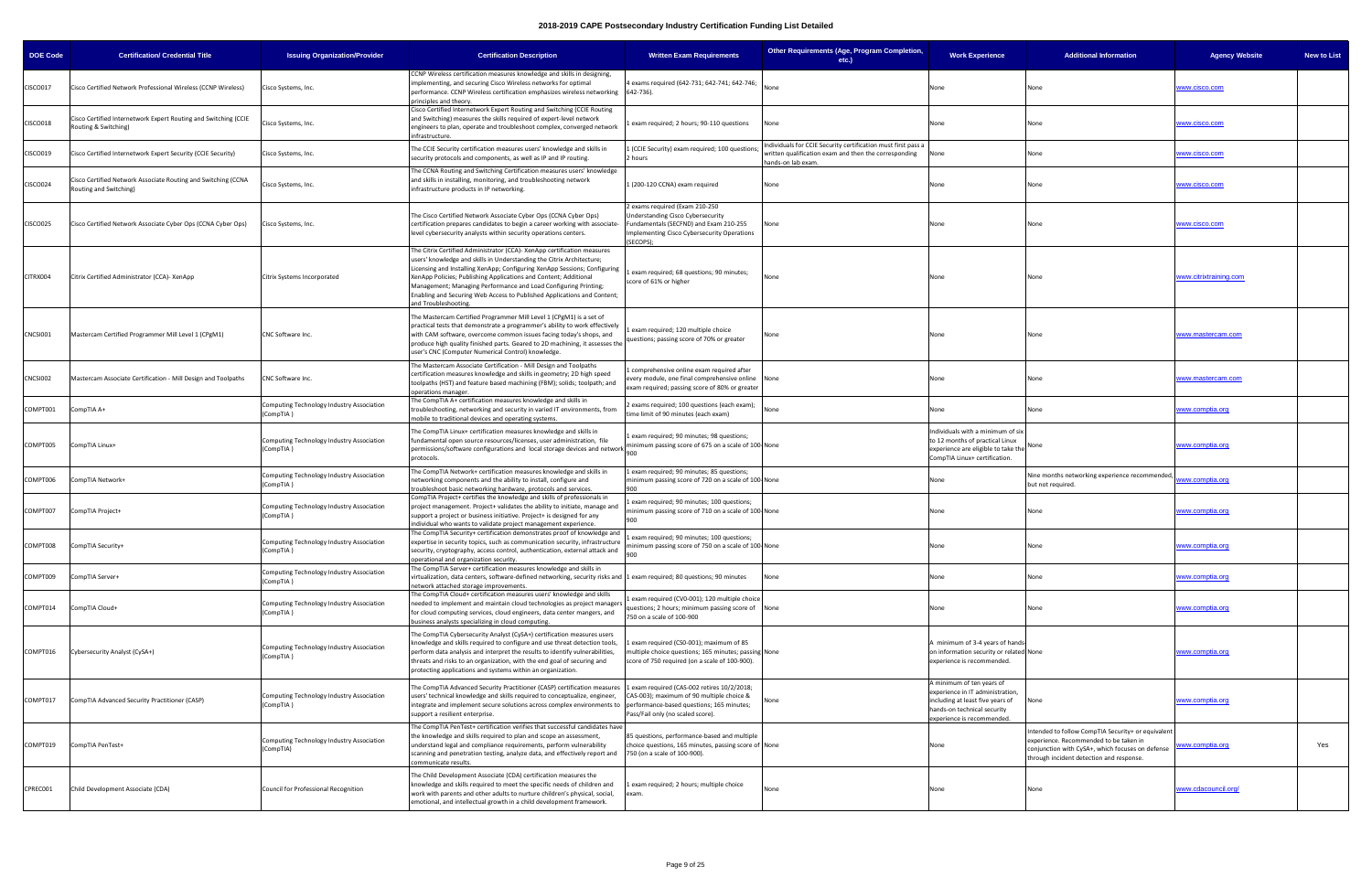| DOE Code        | <b>Certification/ Credential Title</b>                                                  | <b>Issuing Organization/Provider</b>                    | <b>Certification Description</b>                                                                                                                                                                                                                                                                                                                                                                                                                                       | <b>Written Exam Requirements</b>                                                                                                                                               | Other Requirements (Age, Program Completion,<br>$etc.$ )                                                                                     | <b>Work Experience</b>                                                                                                                                         | <b>Additional Information</b>                                                                                                                                                               | <b>New to List</b><br><b>Agency Website</b> |
|-----------------|-----------------------------------------------------------------------------------------|---------------------------------------------------------|------------------------------------------------------------------------------------------------------------------------------------------------------------------------------------------------------------------------------------------------------------------------------------------------------------------------------------------------------------------------------------------------------------------------------------------------------------------------|--------------------------------------------------------------------------------------------------------------------------------------------------------------------------------|----------------------------------------------------------------------------------------------------------------------------------------------|----------------------------------------------------------------------------------------------------------------------------------------------------------------|---------------------------------------------------------------------------------------------------------------------------------------------------------------------------------------------|---------------------------------------------|
| CISCO017        | Cisco Certified Network Professional Wireless (CCNP Wireless)                           | Cisco Systems, Inc.                                     | CCNP Wireless certification measures knowledge and skills in designing,<br>implementing, and securing Cisco Wireless networks for optimal<br>performance. CCNP Wireless certification emphasizes wireless networking 642-736).<br>principles and theory.                                                                                                                                                                                                               | exams required (642-731; 642-741; 642-746;                                                                                                                                     |                                                                                                                                              | None                                                                                                                                                           | None                                                                                                                                                                                        | <u>www.cisco.com</u>                        |
| <b>CISCO018</b> | Cisco Certified Internetwork Expert Routing and Switching (CCIE<br>Routing & Switching) | Cisco Systems, Inc.                                     | Cisco Certified Internetwork Expert Routing and Switching (CCIE Routing<br>and Switching) measures the skills required of expert-level network<br>engineers to plan, operate and troubleshoot complex, converged network<br>infrastructure.                                                                                                                                                                                                                            | exam required; 2 hours; 90-110 questions                                                                                                                                       | None                                                                                                                                         | None                                                                                                                                                           | None                                                                                                                                                                                        | www.cisco.com                               |
| CISCO019        | Cisco Certified Internetwork Expert Security (CCIE Security)                            | Cisco Systems, Inc.                                     | The CCIE Security certification measures users' knowledge and skills in<br>security protocols and components, as well as IP and IP routing.                                                                                                                                                                                                                                                                                                                            | (CCIE Security) exam required; 100 questions<br>hours                                                                                                                          | Individuals for CCIE Security certification must first pass a<br>written qualification exam and then the corresponding<br>hands-on lab exam. | None                                                                                                                                                           | None                                                                                                                                                                                        | www.cisco.com                               |
| <b>CISCO024</b> | Cisco Certified Network Associate Routing and Switching (CCNA<br>Routing and Switching) | Cisco Systems, Inc.                                     | The CCNA Routing and Switching Certification measures users' knowledge<br>and skills in installing, monitoring, and troubleshooting network<br>infrastructure products in IP networking.                                                                                                                                                                                                                                                                               | I (200-120 CCNA) exam required                                                                                                                                                 | None                                                                                                                                         | None                                                                                                                                                           | None                                                                                                                                                                                        | ww.cisco.com                                |
| CISCO025        | Cisco Certified Network Associate Cyber Ops (CCNA Cyber Ops)                            | Cisco Systems, Inc.                                     | The Cisco Certified Network Associate Cyber Ops (CCNA Cyber Ops)<br>certification prepares candidates to begin a career working with associate-<br>level cybersecurity analysts within security operations centers.                                                                                                                                                                                                                                                    | exams required (Exam 210-250<br><b>Jnderstanding Cisco Cybersecurity</b><br>Fundamentals (SECFND) and Exam 210-255<br>Implementing Cisco Cybersecurity Operations<br>(SECOPS); | None                                                                                                                                         | None                                                                                                                                                           | None                                                                                                                                                                                        | www.cisco.com                               |
| CITRX004        | Citrix Certified Administrator (CCA)- XenApp                                            | Citrix Systems Incorporated                             | The Citrix Certified Administrator (CCA)- XenApp certification measures<br>users' knowledge and skills in Understanding the Citrix Architecture;<br>Licensing and Installing XenApp; Configuring XenApp Sessions; Configuring<br>XenApp Policies; Publishing Applications and Content; Additional<br>Management; Managing Performance and Load Configuring Printing;<br>Enabling and Securing Web Access to Published Applications and Content;<br>and Troubleshooting | exam required; 68 questions; 90 minutes;<br>score of 61% or higher                                                                                                             | None                                                                                                                                         | None                                                                                                                                                           | None                                                                                                                                                                                        | www.citrixtraining.com                      |
| CNCSI001        | Mastercam Certified Programmer Mill Level 1 (CPgM1)                                     | CNC Software Inc.                                       | The Mastercam Certified Programmer Mill Level 1 (CPgM1) is a set of<br>practical tests that demonstrate a programmer's ability to work effectively<br>with CAM software, overcome common issues facing today's shops, and<br>produce high quality finished parts. Geared to 2D machining, it assesses the<br>user's CNC (Computer Numerical Control) knowledge.                                                                                                        | exam required; 120 multiple choice<br>questions; passing score of 70% or greater                                                                                               |                                                                                                                                              | None                                                                                                                                                           | None                                                                                                                                                                                        | www.mastercam.com                           |
| CNCSI002        | Mastercam Associate Certification - Mill Design and Toolpaths                           | CNC Software Inc.                                       | The Mastercam Associate Certification - Mill Design and Toolpaths<br>certification measures knowledge and skills in geometry; 2D high speed<br>toolpaths (HST) and feature based machining (FBM); solids; toolpath; and<br>operations manager                                                                                                                                                                                                                          | comprehensive online exam required after<br>very module, one final comprehensive online None<br>xam required; passing score of 80% or greater                                  |                                                                                                                                              | None                                                                                                                                                           | None                                                                                                                                                                                        | www.mastercam.com                           |
| COMPT001        | CompTIA A+                                                                              | Computing Technology Industry Association<br>(CompTIA ) | The CompTIA A+ certification measures knowledge and skills in<br>troubleshooting, networking and security in varied IT environments, from<br>mobile to traditional devices and operating systems                                                                                                                                                                                                                                                                       | exams required; 100 questions (each exam);<br>ime limit of 90 minutes (each exam)                                                                                              |                                                                                                                                              | None                                                                                                                                                           | None                                                                                                                                                                                        | <u>vww.comptia.org</u>                      |
| COMPT005        | CompTIA Linux+                                                                          | Computing Technology Industry Association<br>(CompTIA)  | The CompTIA Linux+ certification measures knowledge and skills in<br>fundamental open source resources/licenses, user administration, file<br>permissions/software configurations and local storage devices and network [1000]<br>protocols.                                                                                                                                                                                                                           | exam required; 90 minutes; 98 questions;<br>inimum passing score of 675 on a scale of 100-None                                                                                 |                                                                                                                                              | Individuals with a minimum of six<br>to 12 months of practical Linux<br>experience are eligible to take the<br>CompTIA Linux+ certification.                   | None                                                                                                                                                                                        | www.comptia.org                             |
| COMPT006        | CompTIA Network+                                                                        | Computing Technology Industry Association<br>(CompTIA ) | The CompTIA Network+ certification measures knowledge and skills in<br>networking components and the ability to install, configure and<br>troubleshoot basic networking hardware, protocols and services.                                                                                                                                                                                                                                                              | Lexam required; 90 minutes; 85 questions;<br>minimum passing score of 720 on a scale of 100-None<br>900                                                                        |                                                                                                                                              | None                                                                                                                                                           | Nine months networking experience recommended,<br>but not required.                                                                                                                         | ww.comptia.org                              |
| COMPT007        | CompTIA Project+                                                                        | Computing Technology Industry Association<br>(CompTIA)  | CompTIA Project+ certifies the knowledge and skills of professionals in<br>project management. Project+ validates the ability to initiate, manage and<br>support a project or business initiative. Project+ is designed for any<br>individual who wants to validate project management experience.                                                                                                                                                                     | exam required; 90 minutes; 100 questions;<br>ninimum passing score of 710 on a scale of 100-None<br>900                                                                        |                                                                                                                                              | None                                                                                                                                                           | None                                                                                                                                                                                        | vww.comptia.org                             |
|                 | COMPT008 CompTIA Security+                                                              | Computing Technology Industry Association<br>(CompTIA)  | The CompTIA Security+ certification demonstrates proof of knowledge and<br>expertise in security topics, such as communication security, infrastructure<br>security, cryptography, access control, authentication, external attack and<br>operational and organization security.                                                                                                                                                                                       | exam required; 90 minutes; 100 questions;<br>ninimum passing score of 750 on a scale of 100-None                                                                               |                                                                                                                                              | None                                                                                                                                                           | None                                                                                                                                                                                        | <u>www.comptia.org</u>                      |
| COMPT009        | CompTIA Server+                                                                         | Computing Technology Industry Association<br>(CompTIA ) | The CompTIA Server+ certification measures knowledge and skills in<br>virtualization, data centers, software-defined networking, security risks and 1 exam required; 80 questions; 90 minutes<br>network attached storage improvements.                                                                                                                                                                                                                                |                                                                                                                                                                                | None                                                                                                                                         | None                                                                                                                                                           | None                                                                                                                                                                                        | www.comptia.org                             |
| COMPT014        | CompTIA Cloud+                                                                          | Computing Technology Industry Association<br>(CompTIA ) | The CompTIA Cloud+ certification measures users' knowledge and skills<br>needed to implement and maintain cloud technologies as project managers<br>for cloud computing services, cloud engineers, data center mangers, and<br>business analysts specializing in cloud computing.                                                                                                                                                                                      | exam required (CV0-001); 120 multiple choice<br>uestions; 2 hours; minimum passing score of None<br>750 on a scale of 100-900                                                  |                                                                                                                                              | None                                                                                                                                                           | None                                                                                                                                                                                        | <u>www.comptia.org</u>                      |
| COMPT016        | Cybersecurity Analyst (CySA+)                                                           | Computing Technology Industry Association<br>(CompTIA)  | The CompTIA Cybersecurity Analyst (CySA+) certification measures users<br>knowledge and skills required to configure and use threat detection tools,<br>perform data analysis and interpret the results to identify vulnerabilities,<br>threats and risks to an organization, with the end goal of securing and<br>protecting applications and systems within an organization.                                                                                         | exam required (CS0-001); maximum of 85<br>nultiple choice questions; 165 minutes; passing None<br>score of 750 required (on a scale of 100-900).                               |                                                                                                                                              | A minimum of 3-4 years of hands-<br>on information security or related None<br>experience is recommended.                                                      |                                                                                                                                                                                             | <u>www.comptia.org</u>                      |
| COMPT017        | CompTIA Advanced Security Practitioner (CASP)                                           | Computing Technology Industry Association<br>(CompTIA)  | The CompTIA Advanced Security Practitioner (CASP) certification measures<br>users' technical knowledge and skills required to conceptualize, engineer,<br>integrate and implement secure solutions across complex environments to performance-based questions; 165 minutes;<br>support a resilient enterprise.                                                                                                                                                         | Lexam required (CAS-002 retires 10/2/2018;<br>CAS-003); maximum of 90 multiple choice &<br>Pass/Fail only (no scaled score).                                                   |                                                                                                                                              | A minimum of ten years of<br>experience in IT administration,<br>including at least five years of<br>hands-on technical security<br>experience is recommended. | None                                                                                                                                                                                        | <u>www.comptia.org</u>                      |
| COMPT019        | CompTIA PenTest+                                                                        | Computing Technology Industry Association<br>(CompTIA)  | The CompTIA PenTest+ certification verifies that successful candidates have<br>the knowledge and skills required to plan and scope an assessment,<br>understand legal and compliance requirements, perform vulnerability<br>scanning and penetration testing, analyze data, and effectively report and 750 (on a scale of 100-900).<br>communicate results.                                                                                                            | 85 questions, performance-based and multiple<br>choice questions, 165 minutes, passing score of None                                                                           |                                                                                                                                              | None                                                                                                                                                           | ntended to follow CompTIA Security+ or equivalent<br>experience. Recommended to be taken in<br>conjunction with CySA+, which focuses on defense<br>through incident detection and response. | Yes<br>ww.comptia.org                       |
| CPREC001        | Child Development Associate (CDA)                                                       | Council for Professional Recognition                    | The Child Development Associate (CDA) certification measures the<br>knowledge and skills required to meet the specific needs of children and<br>work with parents and other adults to nurture children's physical, social,<br>emotional, and intellectual growth in a child development framework.                                                                                                                                                                     | exam required; 2 hours; multiple choice<br>exam.                                                                                                                               | None                                                                                                                                         | None                                                                                                                                                           | None                                                                                                                                                                                        | www.cdacouncil.org/                         |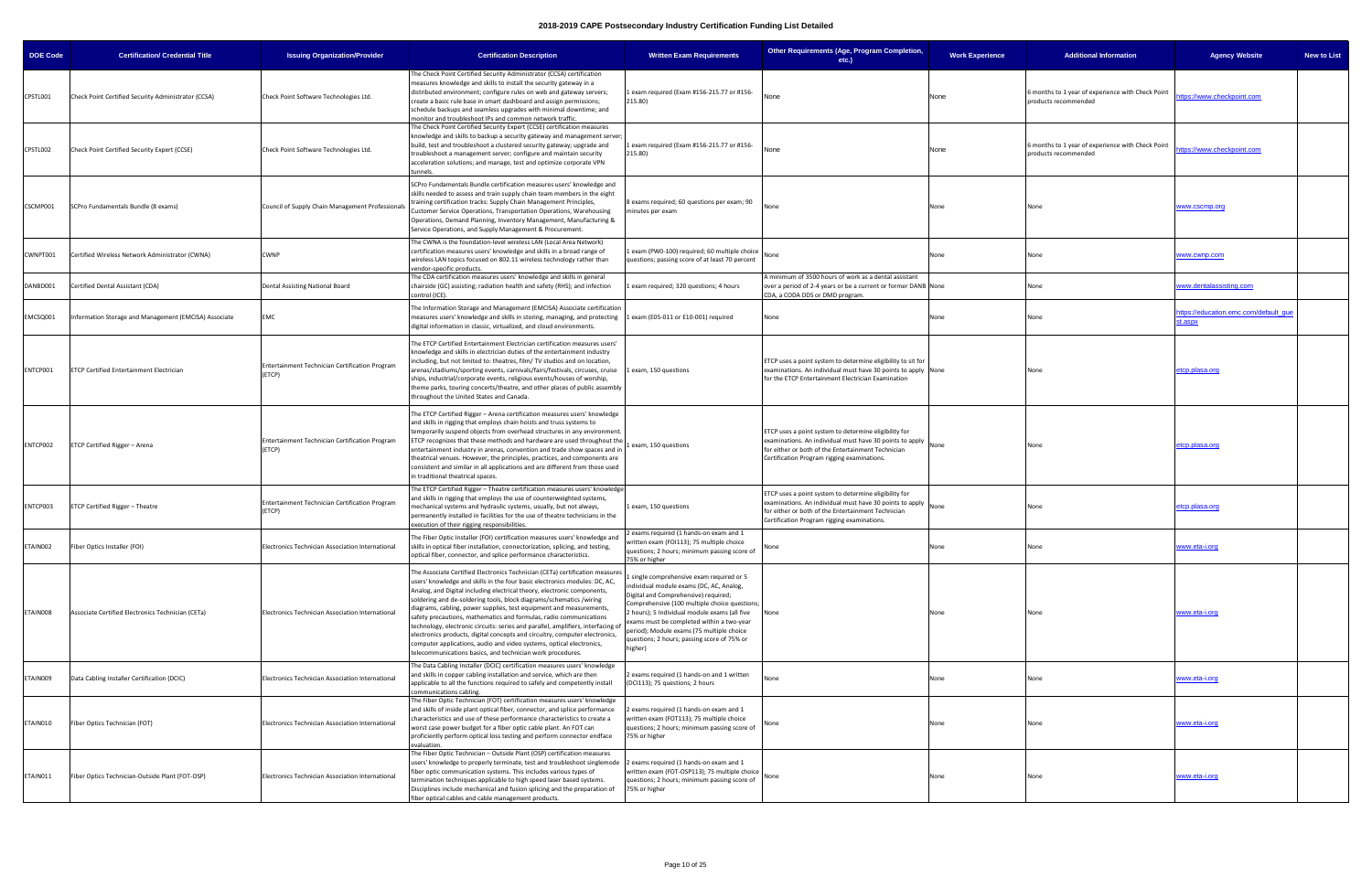| <b>DOE Code</b> | <b>Certification/ Credential Title</b>                | <b>Issuing Organization/Provider</b>                     | <b>Certification Description</b>                                                                                                                                                                                                                                                                                                                                                                                                                                                                                                                                                                                                                                                                                                                                   | <b>Written Exam Requirements</b>                                                                                                                                                                                                                                                                                                                                                 | Other Requirements (Age, Program Completion,<br>$etc.$ )                                                                                                                                                               | <b>Work Experience</b> | <b>Additional Information</b>                                             | <b>Agency Website</b>                            | <b>New to List</b> |
|-----------------|-------------------------------------------------------|----------------------------------------------------------|--------------------------------------------------------------------------------------------------------------------------------------------------------------------------------------------------------------------------------------------------------------------------------------------------------------------------------------------------------------------------------------------------------------------------------------------------------------------------------------------------------------------------------------------------------------------------------------------------------------------------------------------------------------------------------------------------------------------------------------------------------------------|----------------------------------------------------------------------------------------------------------------------------------------------------------------------------------------------------------------------------------------------------------------------------------------------------------------------------------------------------------------------------------|------------------------------------------------------------------------------------------------------------------------------------------------------------------------------------------------------------------------|------------------------|---------------------------------------------------------------------------|--------------------------------------------------|--------------------|
| CPSTL001        | Check Point Certified Security Administrator (CCSA)   | Check Point Software Technologies Ltd.                   | The Check Point Certified Security Administrator (CCSA) certification<br>measures knowledge and skills to install the security gateway in a<br>distributed environment; configure rules on web and gateway servers;<br>create a basic rule base in smart dashboard and assign permissions;<br>schedule backups and seamless upgrades with minimal downtime; and<br>monitor and troubleshoot IPs and common network traffic.                                                                                                                                                                                                                                                                                                                                        | 1 exam required (Exam #156-215.77 or #156-<br>215.80)                                                                                                                                                                                                                                                                                                                            | None                                                                                                                                                                                                                   | None                   | i months to 1 year of experience with Check Point<br>products recommended | tps://www.checkpoint.com                         |                    |
| CPSTL002        | Check Point Certified Security Expert (CCSE)          | Check Point Software Technologies Ltd.                   | The Check Point Certified Security Expert (CCSE) certification measures<br>knowledge and skills to backup a security gateway and management server;<br>build, test and troubleshoot a clustered security gateway; upgrade and<br>troubleshoot a management server; configure and maintain security<br>acceleration solutions; and manage, test and optimize corporate VPN<br>tunnels.                                                                                                                                                                                                                                                                                                                                                                              | exam required (Exam #156-215.77 or #156-<br>215.80)                                                                                                                                                                                                                                                                                                                              | None                                                                                                                                                                                                                   | None                   | 6 months to 1 year of experience with Check Point<br>products recommended | tps://www.checkpoint.com                         |                    |
| CSCMP001        | SCPro Fundamentals Bundle (8 exams)                   | Council of Supply Chain Management Professionals         | SCPro Fundamentals Bundle certification measures users' knowledge and<br>skills needed to assess and train supply chain team members in the eight<br>training certification tracks: Supply Chain Management Principles,<br>Customer Service Operations, Transportation Operations, Warehousing<br>Operations, Demand Planning, Inventory Management, Manufacturing &<br>Service Operations, and Supply Management & Procurement.                                                                                                                                                                                                                                                                                                                                   | 8 exams required; 60 questions per exam; 90<br>ninutes per exam                                                                                                                                                                                                                                                                                                                  | None                                                                                                                                                                                                                   | None                   | None                                                                      | www.cscmp.org                                    |                    |
| CWNPT001        | Certified Wireless Network Administrator (CWNA)       | WNP:                                                     | The CWNA is the foundation-level wireless LAN (Local Area Network)<br>certification measures users' knowledge and skills in a broad range of<br>wireless LAN topics focused on 802.11 wireless technology rather than<br>vendor-specific products.                                                                                                                                                                                                                                                                                                                                                                                                                                                                                                                 | exam (PW0-100) required; 60 multiple choice<br>questions; passing score of at least 70 percent                                                                                                                                                                                                                                                                                   | None                                                                                                                                                                                                                   | None                   | None                                                                      | www.cwnp.com                                     |                    |
| DANBD001        | Certified Dental Assistant (CDA)                      | Dental Assisting National Board                          | The CDA certification measures users' knowledge and skills in general<br>chairside (GC) assisting; radiation health and safety (RHS); and infection<br>control (ICE).                                                                                                                                                                                                                                                                                                                                                                                                                                                                                                                                                                                              | exam required; 320 questions; 4 hours                                                                                                                                                                                                                                                                                                                                            | A minimum of 3500 hours of work as a dental assistant<br>over a period of 2-4 years or be a current or former DANB None<br>CDA, a CODA DDS or DMD program.                                                             |                        | None                                                                      | www.dentalassisting.com                          |                    |
| EMCSQ001        | Information Storage and Management (EMCISA) Associate | EMC                                                      | The Information Storage and Management (EMCISA) Associate certification<br>measures users' knowledge and skills in storing, managing, and protecting<br>digital information in classic, virtualized, and cloud environments.                                                                                                                                                                                                                                                                                                                                                                                                                                                                                                                                       | 1 exam (E05-011 or E10-001) required                                                                                                                                                                                                                                                                                                                                             | None                                                                                                                                                                                                                   | None                   | None                                                                      | https://education.emc.com/default_que<br>st.aspx |                    |
| ENTCP001        | <b>ETCP Certified Entertainment Electrician</b>       | Entertainment Technician Certification Program<br>(ETCP) | The ETCP Certified Entertainment Electrician certification measures users'<br>knowledge and skills in electrician duties of the entertainment industry<br>including, but not limited to: theatres, film/ TV studios and on location,<br>arenas/stadiums/sporting events, carnivals/fairs/festivals, circuses, cruise<br>ships, industrial/corporate events, religious events/houses of worship,<br>theme parks, touring concerts/theatre, and other places of public assembly<br>throughout the United States and Canada.                                                                                                                                                                                                                                          | 1 exam, 150 questions                                                                                                                                                                                                                                                                                                                                                            | ETCP uses a point system to determine eligibility to sit for<br>examinations. An individual must have 30 points to apply None<br>for the ETCP Entertainment Electrician Examination                                    |                        | None                                                                      | etcp.plasa.org                                   |                    |
| ENTCP002        | ETCP Certified Rigger - Arena                         | Entertainment Technician Certification Program<br>(ETCP) | The ETCP Certified Rigger - Arena certification measures users' knowledge<br>and skills in rigging that employs chain hoists and truss systems to<br>temporarily suspend objects from overhead structures in any environment.<br>ETCP recognizes that these methods and hardware are used throughout the<br>entertainment industry in arenas, convention and trade show spaces and in<br>theatrical venues. However, the principles, practices, and components are<br>consistent and similar in all applications and are different from those used<br>in traditional theatrical spaces.                                                                                                                                                                            | exam, 150 questions                                                                                                                                                                                                                                                                                                                                                              | ETCP uses a point system to determine eligibility for<br>examinations. An individual must have 30 points to apply<br>for either or both of the Entertainment Technician<br>Certification Program rigging examinations. | None                   | None                                                                      | etcp.plasa.org                                   |                    |
| ENTCP003        | ETCP Certified Rigger - Theatre                       | ntertainment Technician Certification Program<br>(ETCP)  | The ETCP Certified Rigger - Theatre certification measures users' knowledge<br>and skills in rigging that employs the use of counterweighted systems,<br>mechanical systems and hydraulic systems, usually, but not always,<br>permanently installed in facilities for the use of theatre technicians in the<br>execution of their rigging responsibilities.                                                                                                                                                                                                                                                                                                                                                                                                       | exam, 150 questions                                                                                                                                                                                                                                                                                                                                                              | ETCP uses a point system to determine eligibility for<br>examinations. An individual must have 30 points to apply<br>for either or both of the Entertainment Technician<br>Certification Program rigging examinations. | None                   | None                                                                      | etcp.plasa.org                                   |                    |
| ETAIN002        | Fiber Optics Installer (FOI)                          | Electronics Technician Association International         | The Fiber Optic Installer (FOI) certification measures users' knowledge and<br>skills in optical fiber installation, connectorization, splicing, and testing,<br>optical fiber, connector, and splice performance characteristics.                                                                                                                                                                                                                                                                                                                                                                                                                                                                                                                                 | exams required (1 hands-on exam and 1<br>ten exam (FOI113); 75 multiple choice<br>questions; 2 hours; minimum passing score of<br>75% or higher                                                                                                                                                                                                                                  | None                                                                                                                                                                                                                   | None                   | None                                                                      | www.eta-i.org                                    |                    |
| ETAIN008        | Associate Certified Electronics Technician (CETa)     | Electronics Technician Association International         | The Associate Certified Electronics Technician (CETa) certification measures<br>users' knowledge and skills in the four basic electronics modules: DC, AC,<br>Analog, and Digital including electrical theory, electronic components,<br>soldering and de-soldering tools, block diagrams/schematics /wiring<br>diagrams, cabling, power supplies, test equipment and measurements,<br>safety precautions, mathematics and formulas, radio communications<br>technology, electronic circuits: series and parallel, amplifiers, interfacing of<br>electronics products, digital concepts and circuitry, computer electronics,<br>computer applications, audio and video systems, optical electronics,<br>telecommunications basics, and technician work procedures. | single comprehensive exam required or 5<br>individual module exams (DC, AC, Analog,<br>Digital and Comprehensive) required;<br>Comprehensive (100 multiple choice questions<br>2 hours); 5 Individual module exams (all five<br>exams must be completed within a two-year<br>period); Module exams (75 multiple choice<br>questions; 2 hours; passing score of 75% or<br>higher) | None                                                                                                                                                                                                                   | None                   | None                                                                      | www.eta-i.org                                    |                    |
| ETAIN009        | Data Cabling Installer Certification (DCIC)           | Electronics Technician Association International         | The Data Cabling Installer (DCIC) certification measures users' knowledge<br>and skills in copper cabling installation and service, which are then<br>applicable to all the functions required to safely and competently install<br>communications cabling.                                                                                                                                                                                                                                                                                                                                                                                                                                                                                                        | exams required (1 hands-on and 1 written<br>(DCI113); 75 questions; 2 hours                                                                                                                                                                                                                                                                                                      | None                                                                                                                                                                                                                   | None                   | None                                                                      | www.eta-i.org                                    |                    |
| ETAIN010        | Fiber Optics Technician (FOT)                         | Electronics Technician Association International         | The Fiber Optic Technician (FOT) certification measures users' knowledge<br>and skills of inside plant optical fiber, connector, and splice performance<br>characteristics and use of these performance characteristics to create a<br>worst case power budget for a fiber optic cable plant. An FOT can<br>proficiently perform optical loss testing and perform connector endface<br>evaluation.                                                                                                                                                                                                                                                                                                                                                                 | exams required (1 hands-on exam and 1<br>written exam (FOT113); 75 multiple choice<br>questions; 2 hours; minimum passing score of<br>75% or higher                                                                                                                                                                                                                              |                                                                                                                                                                                                                        | None                   |                                                                           | www.eta-i.org                                    |                    |
| ETAIN011        | Fiber Optics Technician-Outside Plant (FOT-OSP)       | Electronics Technician Association International         | The Fiber Optic Technician - Outside Plant (OSP) certification measures<br>users' knowledge to properly terminate, test and troubleshoot singlemode 2 exams required (1 hands-on exam and 1<br>fiber optic communication systems. This includes various types of<br>termination techniques applicable to high speed laser based systems.<br>Disciplines include mechanical and fusion splicing and the preparation of<br>fiber optical cables and cable management products.                                                                                                                                                                                                                                                                                       | written exam (FOT-OSP113); 75 multiple choice<br>questions; 2 hours; minimum passing score of<br>75% or higher                                                                                                                                                                                                                                                                   | None                                                                                                                                                                                                                   | None                   | None                                                                      | www.eta-i.org                                    |                    |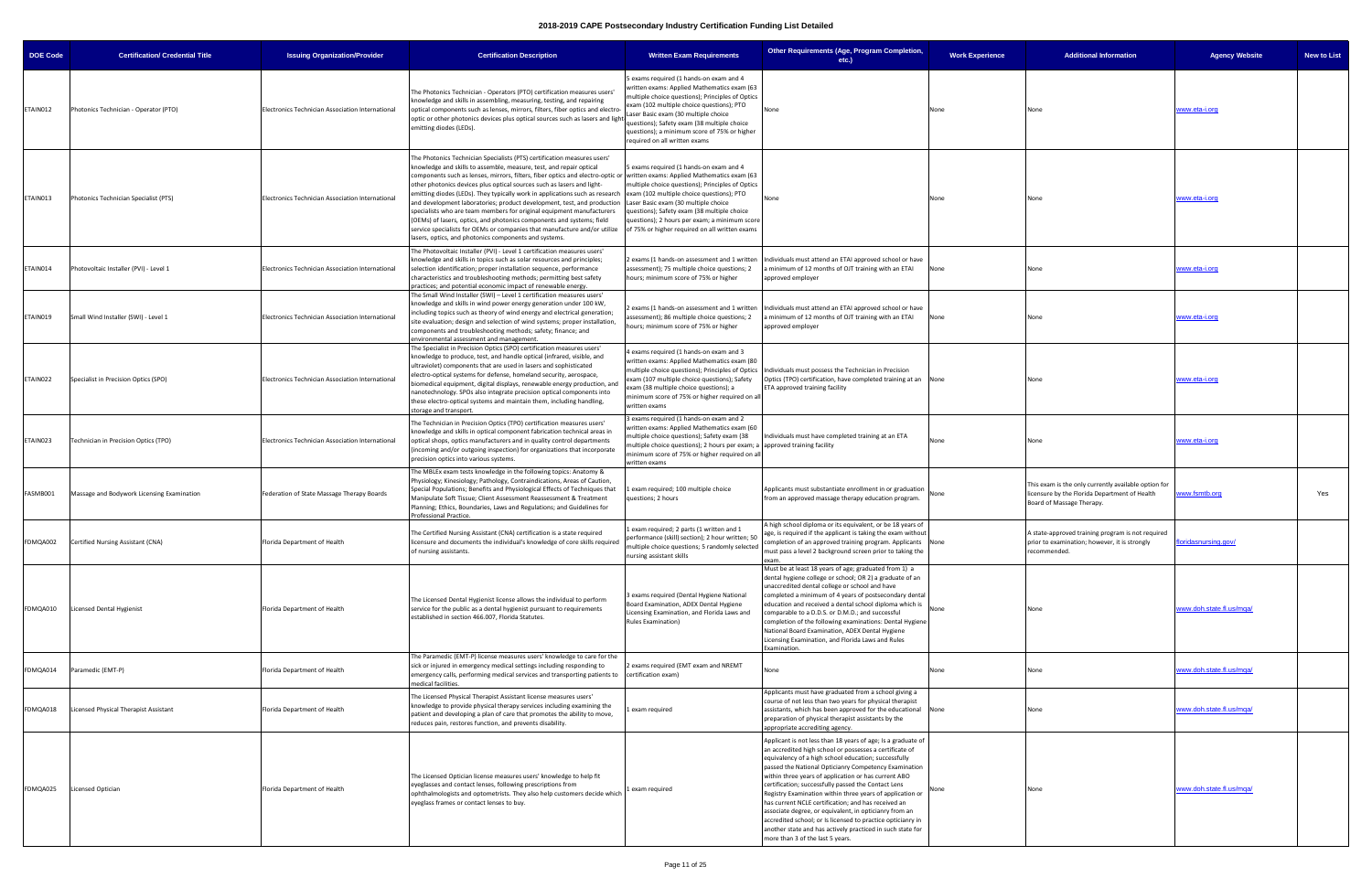| <b>DOE Code</b> | <b>Certification/ Credential Title</b>     | <b>Issuing Organization/Provider</b>             | <b>Certification Description</b>                                                                                                                                                                                                                                                                                                                                                                                                                                                                                                                                                                                                                                                                                                                                                                                                                     | <b>Written Exam Requirements</b>                                                                                                                                                                                                                                                                                                                              | Other Requirements (Age, Program Completion,<br>etc.)                                                                                                                                                                                                                                                                                                                                                                                                                                                                                                                                                                                                                                                  | <b>Work Experience</b> | <b>Additional Information</b>                                                                                                      | <b>Agency Website</b><br><b>New to List</b> |
|-----------------|--------------------------------------------|--------------------------------------------------|------------------------------------------------------------------------------------------------------------------------------------------------------------------------------------------------------------------------------------------------------------------------------------------------------------------------------------------------------------------------------------------------------------------------------------------------------------------------------------------------------------------------------------------------------------------------------------------------------------------------------------------------------------------------------------------------------------------------------------------------------------------------------------------------------------------------------------------------------|---------------------------------------------------------------------------------------------------------------------------------------------------------------------------------------------------------------------------------------------------------------------------------------------------------------------------------------------------------------|--------------------------------------------------------------------------------------------------------------------------------------------------------------------------------------------------------------------------------------------------------------------------------------------------------------------------------------------------------------------------------------------------------------------------------------------------------------------------------------------------------------------------------------------------------------------------------------------------------------------------------------------------------------------------------------------------------|------------------------|------------------------------------------------------------------------------------------------------------------------------------|---------------------------------------------|
| ETAIN012        | Photonics Technician - Operator (PTO)      | Electronics Technician Association International | The Photonics Technician - Operators (PTO) certification measures users'<br>knowledge and skills in assembling, measuring, testing, and repairing<br>optical components such as lenses, mirrors, filters, fiber optics and electro<br>optic or other photonics devices plus optical sources such as lasers and light-<br>emitting diodes (LEDs).                                                                                                                                                                                                                                                                                                                                                                                                                                                                                                     | exams required (1 hands-on exam and 4<br>written exams: Applied Mathematics exam (63<br>nultiple choice questions); Principles of Optics<br>exam (102 multiple choice questions); PTO<br>Laser Basic exam (30 multiple choice<br>questions); Safety exam (38 multiple choice<br>questions); a minimum score of 75% or higher<br>required on all written exams |                                                                                                                                                                                                                                                                                                                                                                                                                                                                                                                                                                                                                                                                                                        | None                   | None                                                                                                                               | <u>www.eta-i.orq</u>                        |
| ETAIN013        | Photonics Technician Specialist (PTS)      | Electronics Technician Association International | The Photonics Technician Specialists (PTS) certification measures users'<br>knowledge and skills to assemble, measure, test, and repair optical<br>components such as lenses, mirrors, filters, fiber optics and electro-optic or written exams: Applied Mathematics exam (63<br>other photonics devices plus optical sources such as lasers and light-<br>emitting diodes (LEDs). They typically work in applications such as research exam (102 multiple choice questions); PTO<br>and development laboratories; product development, test, and production<br>specialists who are team members for original equipment manufacturers<br>(OEMs) of lasers, optics, and photonics components and systems; field<br>service specialists for OEMs or companies that manufacture and/or utilize<br>lasers, optics, and photonics components and systems. | 5 exams required (1 hands-on exam and 4<br>multiple choice questions); Principles of Optics<br>Laser Basic exam (30 multiple choice<br>questions); Safety exam (38 multiple choice<br>questions); 2 hours per exam; a minimum score<br>of 75% or higher required on all written exams                                                                         |                                                                                                                                                                                                                                                                                                                                                                                                                                                                                                                                                                                                                                                                                                        | None                   |                                                                                                                                    | <u>www.eta-i.orq</u>                        |
| ETAIN014        | Photovoltaic Installer (PVI) - Level 1     | Electronics Technician Association International | The Photovoltaic Installer (PVI) - Level 1 certification measures users'<br>knowledge and skills in topics such as solar resources and principles;<br>selection identification; proper installation sequence, performance<br>characteristics and troubleshooting methods; permitting best safety<br>practices; and potential economic impact of renewable energy.                                                                                                                                                                                                                                                                                                                                                                                                                                                                                    | assessment); 75 multiple choice questions; 2<br>hours; minimum score of 75% or higher                                                                                                                                                                                                                                                                         | exams (1 hands-on assessment and 1 written   Individuals must attend an ETAI approved school or have<br>minimum of 12 months of OJT training with an ETAI<br>approved employer                                                                                                                                                                                                                                                                                                                                                                                                                                                                                                                         | None                   | None                                                                                                                               | <u>www.eta-i.orq</u>                        |
| ETAIN019        | Small Wind Installer (SWI) - Level 1       | Electronics Technician Association International | The Small Wind Installer (SWI) - Level 1 certification measures users'<br>knowledge and skills in wind power energy generation under 100 kW,<br>including topics such as theory of wind energy and electrical generation;<br>site evaluation; design and selection of wind systems; proper installation,<br>components and troubleshooting methods; safety; finance; and<br>environmental assessment and management.                                                                                                                                                                                                                                                                                                                                                                                                                                 | ssessment); 86 multiple choice questions; 2<br>hours; minimum score of 75% or higher                                                                                                                                                                                                                                                                          | exams (1 hands-on assessment and 1 written   Individuals must attend an ETAI approved school or have<br>a minimum of 12 months of OJT training with an ETAI<br>approved employer                                                                                                                                                                                                                                                                                                                                                                                                                                                                                                                       | None                   | None                                                                                                                               | <u>vww.eta-i.org</u>                        |
| ETAIN022        | Specialist in Precision Optics (SPO)       | Electronics Technician Association International | The Specialist in Precision Optics (SPO) certification measures users'<br>knowledge to produce, test, and handle optical (infrared, visible, and<br>ultraviolet) components that are used in lasers and sophisticated<br>electro-optical systems for defense, homeland security, aerospace,<br>biomedical equipment, digital displays, renewable energy production, and<br>nanotechnology. SPOs also integrate precision optical components into<br>these electro-optical systems and maintain them, including handling,<br>storage and transport.                                                                                                                                                                                                                                                                                                   | exams required (1 hands-on exam and 3<br>written exams: Applied Mathematics exam (80<br>exam (107 multiple choice questions); Safety<br>exam (38 multiple choice questions); a<br>minimum score of 75% or higher required on all<br>written exams                                                                                                             | multiple choice questions); Principles of Optics   Individuals must possess the Technician in Precision<br>Optics (TPO) certification, have completed training at an None<br>ETA approved training facility                                                                                                                                                                                                                                                                                                                                                                                                                                                                                            |                        | None                                                                                                                               | <u>www.eta-i.orq</u>                        |
| ETAIN023        | Technician in Precision Optics (TPO)       | Electronics Technician Association International | The Technician in Precision Optics (TPO) certification measures users'<br>knowledge and skills in optical component fabrication technical areas in<br>optical shops, optics manufacturers and in quality control departments<br>(incoming and/or outgoing inspection) for organizations that incorporate<br>precision optics into various systems.                                                                                                                                                                                                                                                                                                                                                                                                                                                                                                   | 3 exams required (1 hands-on exam and 2<br>written exams: Applied Mathematics exam (60<br>nultiple choice questions); Safety exam (38<br>nultiple choice questions); 2 hours per exam; a lapproved training facility<br>minimum score of 75% or higher required on all<br>written exams                                                                       | Individuals must have completed training at an ETA                                                                                                                                                                                                                                                                                                                                                                                                                                                                                                                                                                                                                                                     | None                   | None                                                                                                                               | www.eta-i.org                               |
| FASMB001        | Massage and Bodywork Licensing Examination | Federation of State Massage Therapy Boards       | The MBLEx exam tests knowledge in the following topics: Anatomy &<br>Physiology; Kinesiology; Pathology, Contraindications, Areas of Caution,<br>Special Populations; Benefits and Physiological Effects of Techniques that<br>Manipulate Soft Tissue; Client Assessment Reassessment & Treatment<br>Planning; Ethics, Boundaries, Laws and Regulations; and Guidelines for<br>Professional Practice.                                                                                                                                                                                                                                                                                                                                                                                                                                                | exam required; 100 multiple choice<br>questions; 2 hours                                                                                                                                                                                                                                                                                                      | Applicants must substantiate enrollment in or graduation<br>from an approved massage therapy education program.                                                                                                                                                                                                                                                                                                                                                                                                                                                                                                                                                                                        | None                   | This exam is the only currently available option for<br>licensure by the Florida Department of Health<br>Board of Massage Therapy. | Yes<br>www.fsmtb.org                        |
| FDMQA002        | Certified Nursing Assistant (CNA)          | Florida Department of Health                     | The Certified Nursing Assistant (CNA) certification is a state required<br>ensure and documents the individual's knowledge of core skills required<br>of nursing assistants.                                                                                                                                                                                                                                                                                                                                                                                                                                                                                                                                                                                                                                                                         | exam required; 2 parts (1 written and 1<br>performance (skill) section); 2 hour written; 50<br>multiple choice questions; 5 randomly selected<br>nursing assistant skills                                                                                                                                                                                     | A high school diploma or its equivalent, or be 18 years of<br>age, is required if the applicant is taking the exam without<br>completion of an approved training program. Applicants<br>must pass a level 2 background screen prior to taking the<br>exam.                                                                                                                                                                                                                                                                                                                                                                                                                                             |                        | A state-approved training program is not required<br>prior to examination; however, it is strongly<br>recommended.                 | idasnursing.gov/                            |
| FDMQA010        | Licensed Dental Hygienist                  | Florida Department of Health                     | The Licensed Dental Hygienist license allows the individual to perform<br>service for the public as a dental hygienist pursuant to requirements<br>established in section 466.007, Florida Statutes.                                                                                                                                                                                                                                                                                                                                                                                                                                                                                                                                                                                                                                                 | 3 exams required (Dental Hygiene National<br>Board Examination, ADEX Dental Hygiene<br>Licensing Examination, and Florida Laws and<br><b>Rules Examination)</b>                                                                                                                                                                                               | Must be at least 18 years of age; graduated from 1) a<br>dental hygiene college or school; OR 2) a graduate of an<br>unaccredited dental college or school and have<br>completed a minimum of 4 years of postsecondary dental<br>education and received a dental school diploma which is<br>comparable to a D.D.S. or D.M.D.; and successful<br>completion of the following examinations: Dental Hygiene<br>National Board Examination, ADEX Dental Hygiene<br>Licensing Examination, and Florida Laws and Rules<br>Examination.                                                                                                                                                                       | None                   | None                                                                                                                               | www.doh.state.fl.us/mqa/                    |
| FDMQA014        | Paramedic (EMT-P)                          | Florida Department of Health                     | The Paramedic (EMT-P) license measures users' knowledge to care for the<br>sick or injured in emergency medical settings including responding to<br>emergency calls, performing medical services and transporting patients to certification exam)<br>medical facilities.                                                                                                                                                                                                                                                                                                                                                                                                                                                                                                                                                                             | exams required (EMT exam and NREMT                                                                                                                                                                                                                                                                                                                            | Vone                                                                                                                                                                                                                                                                                                                                                                                                                                                                                                                                                                                                                                                                                                   | None                   | None                                                                                                                               | www.doh.state.fl.us/mqa/                    |
| FDMQA018        | Licensed Physical Therapist Assistant      | Florida Department of Health                     | The Licensed Physical Therapist Assistant license measures users'<br>knowledge to provide physical therapy services including examining the<br>patient and developing a plan of care that promotes the ability to move,<br>reduces pain, restores function, and prevents disability.                                                                                                                                                                                                                                                                                                                                                                                                                                                                                                                                                                 | exam required                                                                                                                                                                                                                                                                                                                                                 | Applicants must have graduated from a school giving a<br>course of not less than two years for physical therapist<br>assistants, which has been approved for the educational None<br>preparation of physical therapist assistants by the<br>appropriate accrediting agency.                                                                                                                                                                                                                                                                                                                                                                                                                            |                        |                                                                                                                                    | www.doh.state.fl.us/mqa/                    |
| FDMQA025        | Licensed Optician                          | Florida Department of Health                     | The Licensed Optician license measures users' knowledge to help fit<br>eyeglasses and contact lenses, following prescriptions from<br>ophthalmologists and optometrists. They also help customers decide which<br>eyeglass frames or contact lenses to buy.                                                                                                                                                                                                                                                                                                                                                                                                                                                                                                                                                                                          | exam required                                                                                                                                                                                                                                                                                                                                                 | Applicant is not less than 18 years of age; Is a graduate of<br>an accredited high school or possesses a certificate of<br>equivalency of a high school education; successfully<br>passed the National Opticianry Competency Examination<br>within three years of application or has current ABO<br>certification; successfully passed the Contact Lens<br>Registry Examination within three years of application or<br>has current NCLE certification; and has received an<br>associate degree, or equivalent, in opticianry from an<br>accredited school; or Is licensed to practice opticianry in<br>another state and has actively practiced in such state for<br>more than 3 of the last 5 years. |                        | None                                                                                                                               | www.doh.state.fl.us/mga/                    |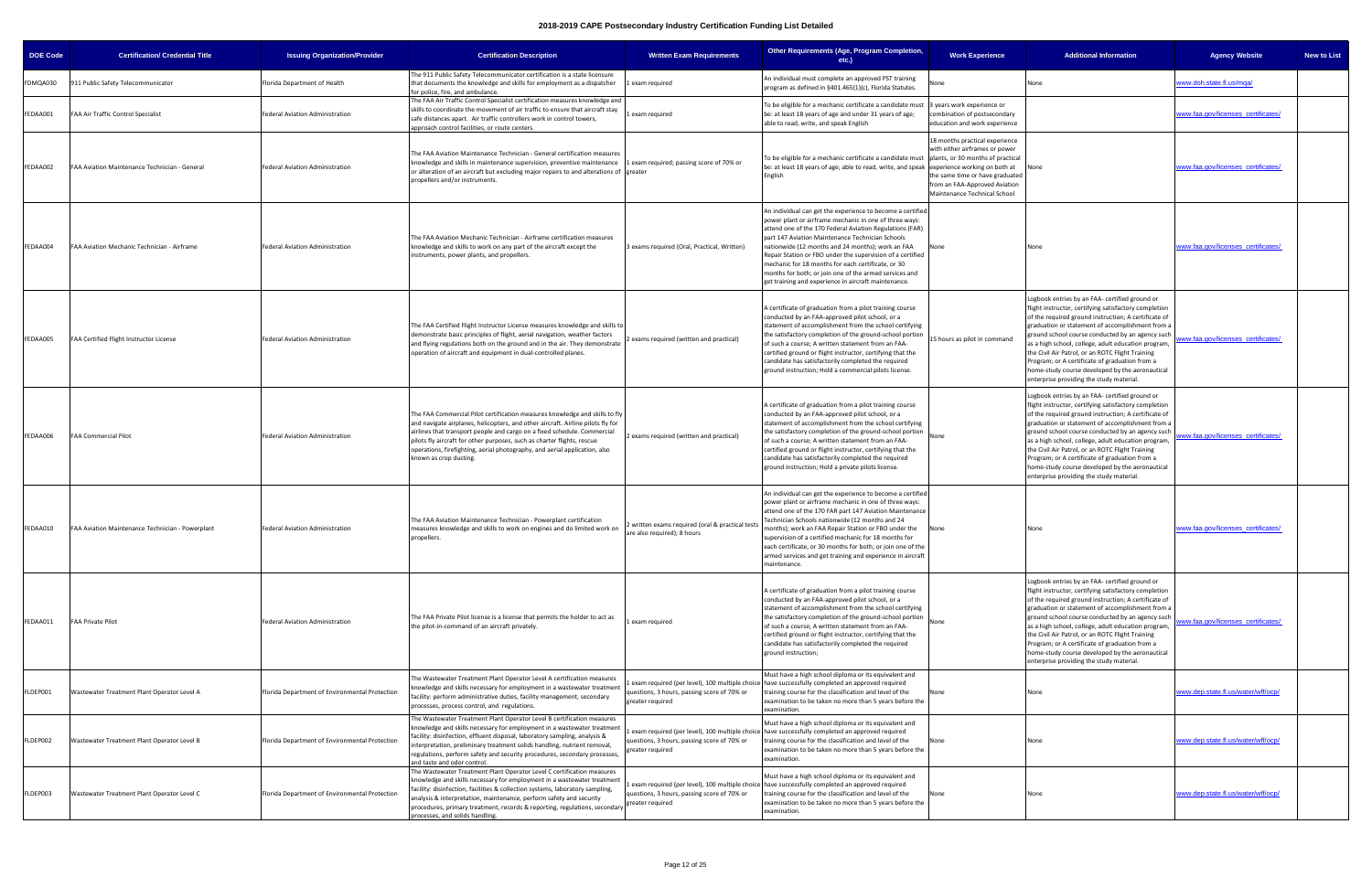| <b>DOE Code</b> | <b>Certification/ Credential Title</b>           | <b>Issuing Organization/Provider</b>           | <b>Certification Description</b>                                                                                                                                                                                                                                                                                                                                                                                              | <b>Written Exam Requirements</b>                                              | Other Requirements (Age, Program Completion,<br>etc.)                                                                                                                                                                                                                                                                                                                                                                                                                                                                           | <b>Work Experience</b>                                                                                                                                               | <b>Additional Information</b>                                                                                                                                                                                                                                                                                                                                                                                                                                                                                                      | <b>Agency Website</b><br><b>New to List</b> |
|-----------------|--------------------------------------------------|------------------------------------------------|-------------------------------------------------------------------------------------------------------------------------------------------------------------------------------------------------------------------------------------------------------------------------------------------------------------------------------------------------------------------------------------------------------------------------------|-------------------------------------------------------------------------------|---------------------------------------------------------------------------------------------------------------------------------------------------------------------------------------------------------------------------------------------------------------------------------------------------------------------------------------------------------------------------------------------------------------------------------------------------------------------------------------------------------------------------------|----------------------------------------------------------------------------------------------------------------------------------------------------------------------|------------------------------------------------------------------------------------------------------------------------------------------------------------------------------------------------------------------------------------------------------------------------------------------------------------------------------------------------------------------------------------------------------------------------------------------------------------------------------------------------------------------------------------|---------------------------------------------|
| FDMQA030        | 911 Public Safety Telecommunicator               | Florida Department of Health                   | The 911 Public Safety Telecommunicator certification is a state licensure<br>that documents the knowledge and skills for employment as a dispatcher<br>for police, fire, and ambulance.                                                                                                                                                                                                                                       | exam required                                                                 | An individual must complete an approved PST training<br>program as defined in §401.465(1)(c), Florida Statutes.                                                                                                                                                                                                                                                                                                                                                                                                                 | None                                                                                                                                                                 | None                                                                                                                                                                                                                                                                                                                                                                                                                                                                                                                               | ww.doh.state.fl.us/mqa/                     |
| FEDAA001        | FAA Air Traffic Control Specialist               | Federal Aviation Administration                | The FAA Air Traffic Control Specialist certification measures knowledge and<br>skills to coordinate the movement of air traffic to ensure that aircraft stay<br>safe distances apart. Air traffic controllers work in control towers,<br>approach control facilities, or route centers.                                                                                                                                       | exam required                                                                 | To be eligible for a mechanic certificate a candidate must<br>be: at least 18 years of age and under 31 years of age;<br>able to read, write, and speak English                                                                                                                                                                                                                                                                                                                                                                 | years work experience or<br>combination of postsecondary<br>education and work experience                                                                            |                                                                                                                                                                                                                                                                                                                                                                                                                                                                                                                                    | vww.faa.gov/licenses certificates/          |
| FEDAA002        | FAA Aviation Maintenance Technician - General    | Federal Aviation Administration                | The FAA Aviation Maintenance Technician - General certification measures<br>knowledge and skills in maintenance supervision, preventive maintenance<br>or alteration of an aircraft but excluding major repairs to and alterations of greater<br>propellers and/or instruments.                                                                                                                                               | exam required; passing score of 70% or                                        | To be eligible for a mechanic certificate a candidate must plants, or 30 months of practical<br>be: at least 18 years of age; able to read, write, and speak experience working on both at<br>English                                                                                                                                                                                                                                                                                                                           | 18 months practical experience<br>with either airframes or power<br>the same time or have graduated<br>from an FAA-Approved Aviation<br>Maintenance Technical School | None                                                                                                                                                                                                                                                                                                                                                                                                                                                                                                                               | www.faa.gov/licenses_certificates/          |
| FEDAA004        | FAA Aviation Mechanic Technician - Airframe      | <b>Federal Aviation Administration</b>         | The FAA Aviation Mechanic Technician - Airframe certification measures<br>knowledge and skills to work on any part of the aircraft except the<br>instruments, power plants, and propellers.                                                                                                                                                                                                                                   | 3 exams required (Oral, Practical, Written)                                   | An individual can get the experience to become a certified<br>power plant or airframe mechanic in one of three ways:<br>attend one of the 170 Federal Aviation Regulations (FAR)<br>part 147 Aviation Maintenance Technician Schools<br>nationwide (12 months and 24 months); work an FAA<br>Repair Station or FBO under the supervision of a certified<br>mechanic for 18 months for each certificate, or 30<br>months for both; or join one of the armed services and<br>get training and experience in aircraft maintenance. | None                                                                                                                                                                 |                                                                                                                                                                                                                                                                                                                                                                                                                                                                                                                                    | www.faa.gov/licenses certificates/          |
| FEDAA005        | FAA Certified Flight Instructor License          | Federal Aviation Administration                | The FAA Certified Flight Instructor License measures knowledge and skills to<br>demonstrate basic principles of flight, aerial navigation, weather factors<br>and flying regulations both on the ground and in the air. They demonstrate<br>operation of aircraft and equipment in dual-controlled planes.                                                                                                                    | exams required (written and practical)                                        | A certificate of graduation from a pilot training course<br>conducted by an FAA-approved pilot school, or a<br>statement of accomplishment from the school certifying<br>the satisfactory completion of the ground-school portion<br>of such a course; A written statement from an FAA-<br>certified ground or flight instructor, certifying that the<br>candidate has satisfactorily completed the required<br>ground instruction; Hold a commercial pilots license.                                                           | 15 hours as pilot in command                                                                                                                                         | ogbook entries by an FAA- certified ground or<br>flight instructor, certifying satisfactory completion<br>of the required ground instruction; A certificate of<br>graduation or statement of accomplishment from a<br>ground school course conducted by an agency such<br>as a high school, college, adult education program,<br>the Civil Air Patrol, or an ROTC Flight Training<br>Program; or A certificate of graduation from a<br>home-study course developed by the aeronautical<br>enterprise providing the study material. | ww.faa.gov/licenses certificates/           |
| FEDAA006        | <b>FAA Commercial Pilot</b>                      | <b>Federal Aviation Administration</b>         | The FAA Commercial Pilot certification measures knowledge and skills to fly<br>and navigate airplanes, helicopters, and other aircraft. Airline pilots fly for<br>airlines that transport people and cargo on a fixed schedule. Commercial<br>pilots fly aircraft for other purposes, such as charter flights, rescue<br>operations, firefighting, aerial photography, and aerial application, also<br>known as crop dusting. | exams required (written and practical)                                        | A certificate of graduation from a pilot training course<br>conducted by an FAA-approved pilot school, or a<br>statement of accomplishment from the school certifying<br>the satisfactory completion of the ground-school portion<br>of such a course; A written statement from an FAA-<br>certified ground or flight instructor, certifying that the<br>candidate has satisfactorily completed the required<br>ground instruction; Hold a private pilots license.                                                              | None                                                                                                                                                                 | ogbook entries by an FAA- certified ground or<br>flight instructor, certifying satisfactory completion<br>of the required ground instruction; A certificate of<br>graduation or statement of accomplishment from a<br>ground school course conducted by an agency such<br>as a high school, college, adult education program,<br>the Civil Air Patrol, or an ROTC Flight Training<br>Program; or A certificate of graduation from a<br>home-study course developed by the aeronautical<br>enterprise providing the study material. | ww.faa.gov/licenses certificates/           |
| FEDAA010        | FAA Aviation Maintenance Technician - Powerplant | Federal Aviation Administration                | The FAA Aviation Maintenance Technician - Powerplant certification<br>measures knowledge and skills to work on engines and do limited work on<br>propellers.                                                                                                                                                                                                                                                                  | written exams required (oral & practical tests<br>are also required); 8 hours | An individual can get the experience to become a certified<br>power plant or airframe mechanic in one of three ways:<br>attend one of the 170 FAR part 147 Aviation Maintenance<br>Technician Schools nationwide (12 months and 24<br>months); work an FAA Repair Station or FBO under the<br>supervision of a certified mechanic for 18 months for<br>each certificate, or 30 months for both; or join one of the<br>armed services and get training and experience in aircraft<br>maintenance.                                | None                                                                                                                                                                 | None                                                                                                                                                                                                                                                                                                                                                                                                                                                                                                                               | www.faa.gov/licenses certificates/          |
| FEDAA011        | FAA Private Pilot                                | Federal Aviation Administration                | The FAA Private Pilot license is a license that permits the holder to act as<br>the pilot-in-command of an aircraft privately.                                                                                                                                                                                                                                                                                                | exam required                                                                 | A certificate of graduation from a pilot training course<br>conducted by an FAA-approved pilot school, or a<br>statement of accomplishment from the school certifying<br>the satisfactory completion of the ground-school portion<br>of such a course; A written statement from an FAA-<br>certified ground or flight instructor, certifying that the<br>candidate has satisfactorily completed the required<br>ground instruction;                                                                                             | None                                                                                                                                                                 | ogbook entries by an FAA- certified ground or<br>flight instructor, certifying satisfactory completion<br>of the required ground instruction; A certificate of<br>graduation or statement of accomplishment from a<br>ground school course conducted by an agency such<br>as a high school, college, adult education program,<br>the Civil Air Patrol, or an ROTC Flight Training<br>Program; or A certificate of graduation from a<br>home-study course developed by the aeronautical<br>enterprise providing the study material. | ww.faa.gov/licenses certificates/           |
| FLDEP001        | Wastewater Treatment Plant Operator Level A      | Florida Department of Environmental Protection | The Wastewater Treatment Plant Operator Level A certification measures<br>knowledge and skills necessary for employment in a wastewater treatment<br>facility: perform administrative duties, facility management, secondary<br>processes, process control, and regulations.                                                                                                                                                  | uestions, 3 hours, passing score of 70% or<br>greater required                | Must have a high school diploma or its equivalent and<br>exam required (per level), 100 multiple choice have successfully completed an approved required<br>training course for the classification and level of the<br>examination to be taken no more than 5 years before the<br>examination.                                                                                                                                                                                                                                  | None                                                                                                                                                                 | None                                                                                                                                                                                                                                                                                                                                                                                                                                                                                                                               | vww.dep.state.fl.us/water/wff/ocp/          |
| FLDEP002        | Wastewater Treatment Plant Operator Level B      | Florida Department of Environmental Protection | The Wastewater Treatment Plant Operator Level B certification measures<br>knowledge and skills necessary for employment in a wastewater treatment<br>facility: disinfection, effluent disposal, laboratory sampling, analysis &<br>interpretation, preliminary treatment solids handling, nutrient removal,<br>regulations, perform safety and security procedures, secondary processes,<br>and taste and odor control.       | questions, 3 hours, passing score of 70% or<br>reater required                | Must have a high school diploma or its equivalent and<br>exam required (per level), 100 multiple choice have successfully completed an approved required<br>training course for the classification and level of the<br>examination to be taken no more than 5 years before the<br>examination.                                                                                                                                                                                                                                  | None                                                                                                                                                                 | None                                                                                                                                                                                                                                                                                                                                                                                                                                                                                                                               | vww.dep.state.fl.us/water/wff/ocp/          |
| FLDEP003        | Wastewater Treatment Plant Operator Level C      | Florida Department of Environmental Protection | The Wastewater Treatment Plant Operator Level C certification measures<br>knowledge and skills necessary for employment in a wastewater treatment<br>facility: disinfection, facilities & collection systems, laboratory sampling,<br>analysis & interpretation, maintenance, perform safety and security<br>procedures, primary treatment, records & reporting, regulations, secondary<br>processes, and solids handling.    | questions, 3 hours, passing score of 70% or<br>greater required               | Must have a high school diploma or its equivalent and<br>exam required (per level), 100 multiple choice have successfully completed an approved required<br>training course for the classification and level of the<br>examination to be taken no more than 5 years before the<br>examination.                                                                                                                                                                                                                                  |                                                                                                                                                                      |                                                                                                                                                                                                                                                                                                                                                                                                                                                                                                                                    | www.dep.state.fl.us/water/wff/ocp/          |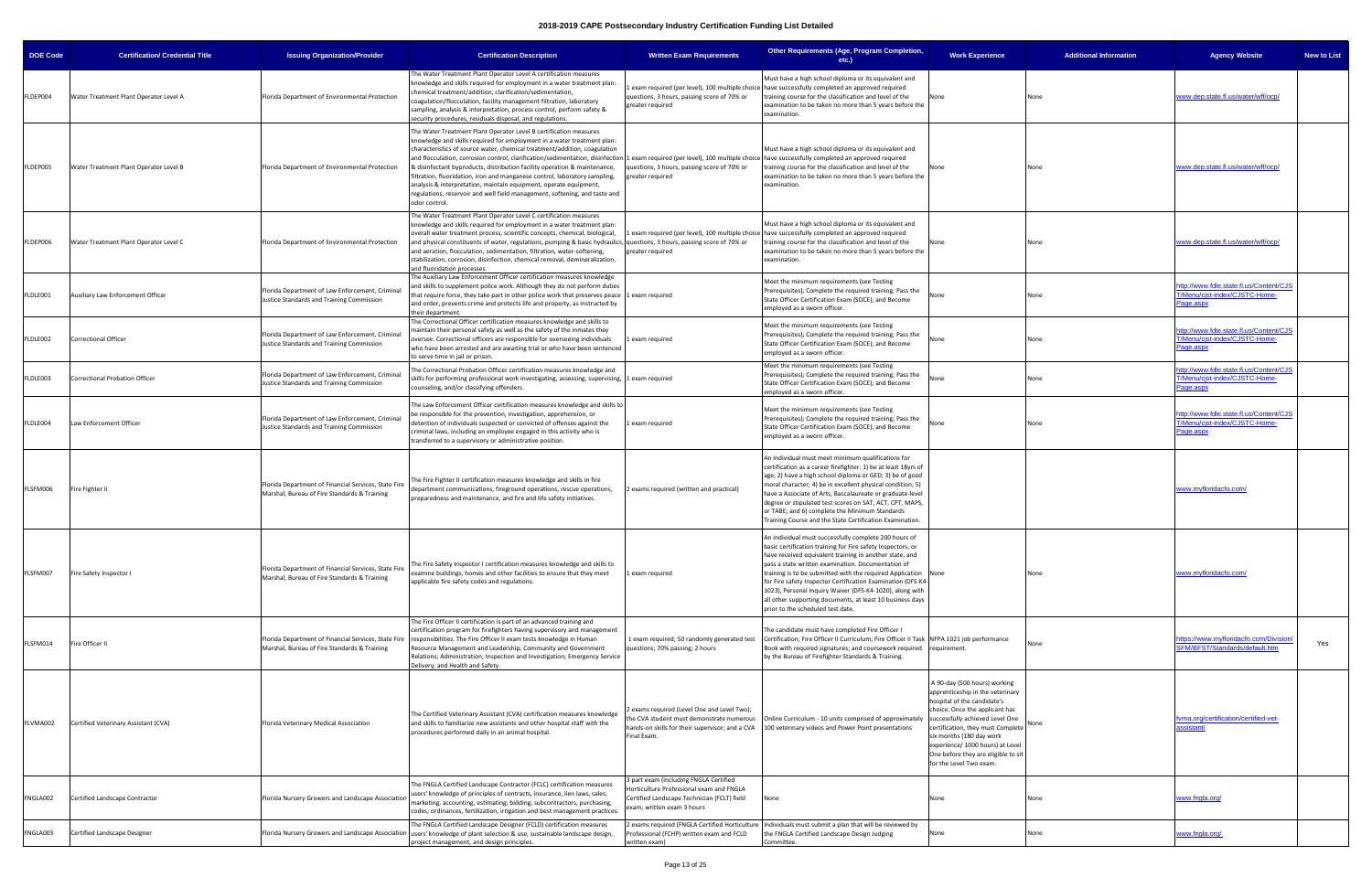| <b>DOE Code</b> | <b>Certification/ Credential Title</b> | <b>Issuing Organization/Provider</b>                                                                 | <b>Certification Description</b>                                                                                                                                                                                                                                                                                                                                                                                                                                                                                                                                                                                                                                                                                                             | <b>Written Exam Requirements</b>                                                                                                                              | Other Requirements (Age, Program Completion,<br>$etc.$ )                                                                                                                                                                                                                                                                                                                                                                                                                                                                             | <b>Work Experience</b>                                                                                                                                                                                                                                                                                                                      | <b>Additional Information</b> | <b>Agency Website</b>                                                                 | <b>New to List</b> |
|-----------------|----------------------------------------|------------------------------------------------------------------------------------------------------|----------------------------------------------------------------------------------------------------------------------------------------------------------------------------------------------------------------------------------------------------------------------------------------------------------------------------------------------------------------------------------------------------------------------------------------------------------------------------------------------------------------------------------------------------------------------------------------------------------------------------------------------------------------------------------------------------------------------------------------------|---------------------------------------------------------------------------------------------------------------------------------------------------------------|--------------------------------------------------------------------------------------------------------------------------------------------------------------------------------------------------------------------------------------------------------------------------------------------------------------------------------------------------------------------------------------------------------------------------------------------------------------------------------------------------------------------------------------|---------------------------------------------------------------------------------------------------------------------------------------------------------------------------------------------------------------------------------------------------------------------------------------------------------------------------------------------|-------------------------------|---------------------------------------------------------------------------------------|--------------------|
| FLDEP004        | Water Treatment Plant Operator Level A | Florida Department of Environmental Protection                                                       | The Water Treatment Plant Operator Level A certification measures<br>knowledge and skills required for employment in a water treatment plan:<br>chemical treatment/addition, clarification/sedimentation,<br>coagulation/flocculation, facility management filtration, laboratory<br>sampling, analysis & interpretation, process control, perform safety &<br>security procedures, residuals disposal, and regulations.                                                                                                                                                                                                                                                                                                                     | questions, 3 hours, passing score of 70% or<br>greater required                                                                                               | Must have a high school diploma or its equivalent and<br>exam required (per level), 100 multiple choice have successfully completed an approved required<br>training course for the classification and level of the<br>examination to be taken no more than 5 years before the<br>examination.                                                                                                                                                                                                                                       | None                                                                                                                                                                                                                                                                                                                                        | None                          | www.dep.state.fl.us/water/wff/ocp/                                                    |                    |
| FLDEP005        | Water Treatment Plant Operator Level B | Florida Department of Environmental Protection                                                       | The Water Treatment Plant Operator Level B certification measures<br>knowledge and skills required for employment in a water treatment plan:<br>characteristics of source water, chemical treatment/addition, coagulation<br>and flocculation, corrosion control, clarification/sedimentation, disinfection 1 exam required (per level), 100 multiple choice have successfully completed an approved required<br>& disinfectant byproducts, distribution facility operation & maintenance,<br>filtration, fluoridation, iron and manganese control, laboratory sampling,<br>analysis & interpretation, maintain equipment, operate equipment,<br>regulations, reservoir and well field management, softening, and taste and<br>odor control. | uestions, 3 hours, passing score of 70% or<br>greater required                                                                                                | Must have a high school diploma or its equivalent and<br>training course for the classification and level of the<br>examination to be taken no more than 5 years before the<br>examination.                                                                                                                                                                                                                                                                                                                                          |                                                                                                                                                                                                                                                                                                                                             | None                          | www.dep.state.fl.us/water/wff/ocp/                                                    |                    |
| FLDEP006        | Water Treatment Plant Operator Level C | Florida Department of Environmental Protection                                                       | The Water Treatment Plant Operator Level C certification measures<br>knowledge and skills required for employment in a water treatment plan:<br>overall water treatment process, scientific concepts, chemical, biological,<br>and physical constituents of water, regulations, pumping & basic hydraulics, questions, 3 hours, passing score of 70% or<br>and aeration, flocculation, sedimentation, filtration, water-softening,<br>stabilization, corrosion, disinfection, chemical removal, demineralization,<br>and fluoridation processes.                                                                                                                                                                                             | greater required                                                                                                                                              | Must have a high school diploma or its equivalent and<br>L exam required (per level), 100 multiple choice thave successfully completed an approved required<br>training course for the classification and level of the<br>examination to be taken no more than 5 years before the<br>examination.                                                                                                                                                                                                                                    | Jone                                                                                                                                                                                                                                                                                                                                        | None                          | www.dep.state.fl.us/water/wff/ocp/                                                    |                    |
| FLDLE001        | Auxiliary Law Enforcement Officer      | Florida Department of Law Enforcement, Crimina<br>Justice Standards and Training Commission          | The Auxiliary Law Enforcement Officer certification measures knowledge<br>and skills to supplement police work. Although they do not perform duties<br>that require force, they take part in other police work that preserves peace 1 exam required<br>and order, prevents crime and protects life and property, as instructed by<br>their department.                                                                                                                                                                                                                                                                                                                                                                                       |                                                                                                                                                               | Meet the minimum requirements (see Testing<br>Prerequisites); Complete the required training; Pass the<br>State Officer Certification Exam (SOCE); and Become<br>employed as a sworn officer.                                                                                                                                                                                                                                                                                                                                        | None                                                                                                                                                                                                                                                                                                                                        | None                          | http://www.fdle.state.fl.us/Content/CJS<br>T/Menu/cjst-index/CJSTC-Home-<br>Page.aspx |                    |
| FLDLE002        | <b>Correctional Officer</b>            | Florida Department of Law Enforcement, Criminal<br>Justice Standards and Training Commission         | The Correctional Officer certification measures knowledge and skills to<br>maintain their personal safety as well as the safety of the inmates they<br>oversee. Correctional officers are responsible for overseeing individuals<br>who have been arrested and are awaiting trial or who have been sentenced<br>to serve time in jail or prison.                                                                                                                                                                                                                                                                                                                                                                                             | exam required                                                                                                                                                 | Meet the minimum requirements (see Testing<br>Prerequisites); Complete the required training; Pass the<br>State Officer Certification Exam (SOCE); and Become<br>employed as a sworn officer.                                                                                                                                                                                                                                                                                                                                        | Jone                                                                                                                                                                                                                                                                                                                                        | None                          | http://www.fdle.state.fl.us/Content/CJS<br>T/Menu/cist-index/CJSTC-Home-<br>Page.aspx |                    |
| FLDLE003        | Correctional Probation Officer         | Florida Department of Law Enforcement, Criminal<br>Justice Standards and Training Commission         | The Correctional Probation Officer certification measures knowledge and<br>skills for performing professional work investigating, assessing, supervising, 1 exam required<br>counseling, and/or classifying offenders.                                                                                                                                                                                                                                                                                                                                                                                                                                                                                                                       |                                                                                                                                                               | Meet the minimum requirements (see Testing<br>Prerequisites); Complete the required training; Pass the<br>State Officer Certification Exam (SOCE); and Become<br>employed as a sworn officer.                                                                                                                                                                                                                                                                                                                                        | None                                                                                                                                                                                                                                                                                                                                        | None                          | http://www.fdle.state.fl.us/Content/CJS<br>T/Menu/cist-index/CJSTC-Home-<br>age.aspx  |                    |
| FLDLE004        | Law Enforcement Officer                | Florida Department of Law Enforcement, Criminal<br>Justice Standards and Training Commission         | The Law Enforcement Officer certification measures knowledge and skills to<br>be responsible for the prevention, investigation, apprehension, or<br>detention of individuals suspected or convicted of offenses against the<br>criminal laws, including an employee engaged in this activity who is<br>transferred to a supervisory or administrative position.                                                                                                                                                                                                                                                                                                                                                                              | exam required                                                                                                                                                 | Meet the minimum requirements (see Testing<br>Prerequisites); Complete the required training; Pass the<br>State Officer Certification Exam (SOCE); and Become<br>employed as a sworn officer.                                                                                                                                                                                                                                                                                                                                        | None                                                                                                                                                                                                                                                                                                                                        | None                          | http://www.fdle.state.fl.us/Content/CJS<br>T/Menu/cist-index/CJSTC-Home-<br>Page.aspx |                    |
| FLSFM006        | Fire Fighter II                        | Florida Department of Financial Services, State Fire<br>Marshal, Bureau of Fire Standards & Training | The Fire Fighter II certification measures knowledge and skills in fire<br>department communications, fireground operations, rescue operations,<br>preparedness and maintenance, and fire and life safety initiatives.                                                                                                                                                                                                                                                                                                                                                                                                                                                                                                                       | 2 exams required (written and practical)                                                                                                                      | An individual must meet minimum qualifications for<br>certification as a career firefighter: 1) be at least 18yrs of<br>age; 2) have a high school diploma or GED; 3) be of good<br>moral character; 4) be in excellent physical condition; 5)<br>have a Associate of Arts, Baccalaureate or graduate-level<br>degree or stipulated test scores on SAT, ACT, CPT, MAPS,<br>or TABE; and 6) complete the Minimum Standards<br>Fraining Course and the State Certification Examination.                                                |                                                                                                                                                                                                                                                                                                                                             |                               | www.myfloridacfo.com/                                                                 |                    |
| FLSFM007        | Fire Safety Inspector I                | Florida Department of Financial Services, State Fire<br>Marshal, Bureau of Fire Standards & Training | The Fire Safety Inspector I certification measures knowledge and skills to<br>examine buildings, homes and other facilities to ensure that they meet<br>applicable fire safety codes and regulations.                                                                                                                                                                                                                                                                                                                                                                                                                                                                                                                                        | Lexam required                                                                                                                                                | An individual must successfully complete 200 hours of<br>basic certification training for Fire safety Inspectors, or<br>have received equivalent training in another state, and<br>pass a state written examination. Documentation of<br>training is to be submitted with the required Application None<br>for Fire safety Inspector Certification Examination (DFS-K4<br>1023), Personal Inquiry Waiver (DFS-K4-1020), along with<br>all other supporting documents, at least 10 business days<br>prior to the scheduled test date. |                                                                                                                                                                                                                                                                                                                                             | None                          | www.myfloridacfo.com/                                                                 |                    |
| FLSFM014        | Fire Officer I                         | Florida Department of Financial Services, State Fire<br>Marshal, Bureau of Fire Standards & Training | The Fire Officer II certification is part of an advanced training and<br>certification program for firefighters having supervisory and management<br>responsibilities. The Fire Officer II exam tests knowledge in Human<br>Resource Management and Leadership; Community and Government<br>Relations; Administration; Inspection and Investigation; Emergency Service<br>Delivery; and Health and Safety.                                                                                                                                                                                                                                                                                                                                   | 1 exam required; 50 randomly generated test<br>questions; 70% passing; 2 hours                                                                                | The candidate must have completed Fire Officer I<br>Certification; Fire Officer II Curriculum; Fire Officer II Task   NFPA 1021 job performance<br>Book with required signatures; and coursework required<br>by the Bureau of Firefighter Standards & Training.                                                                                                                                                                                                                                                                      | requirement.                                                                                                                                                                                                                                                                                                                                | None                          | https://www.myfloridacfo.com/Division<br>SFM/BFST/Standards/default.htm               | Yes                |
| FLVMA002        | Certified Veterinary Assistant (CVA)   | Florida Veterinary Medical Association                                                               | The Certified Veterinary Assistant (CVA) certification measures knowledge<br>and skills to familiarize new assistants and other hospital staff with the<br>procedures performed daily in an animal hospital.                                                                                                                                                                                                                                                                                                                                                                                                                                                                                                                                 | exams required (Level One and Level Two);<br>he CVA student must demonstrate numerous<br>Final Exam.                                                          | Online Curriculum - 10 units comprised of approximately<br>hands-on skills for their supervisor; and a CVA 100 veterinary videos and Power Point presentations                                                                                                                                                                                                                                                                                                                                                                       | A 90-day (500 hours) working<br>apprenticeship in the veterinary<br>hospital of the candidate's<br>choice. Once the applicant has<br>successfully achieved Level One<br>certification, they must Complete<br>six months (180 day work<br>experience/ 1000 hours) at Level<br>One before they are eligible to sit<br>for the Level Two exam. |                               | fvma.org/certification/certified-vet-<br>sistant/                                     |                    |
| FNGLA002        | Certified Landscape Contractor         | Florida Nursery Growers and Landscape Association                                                    | The FNGLA Certified Landscape Contractor (FCLC) certification measures<br>users' knowledge of principles of contracts, insurance, lien laws, sales;<br>marketing, accounting, estimating; bidding, subcontractors, purchasing,<br>codes; ordinances, fertilization, irrigation and best management practices.                                                                                                                                                                                                                                                                                                                                                                                                                                | part exam (including FNGLA Certified<br>Horticulture Professional exam and FNGLA<br>Certified Landscape Technician (FCLT) field<br>exam; written exam 3 hours | None                                                                                                                                                                                                                                                                                                                                                                                                                                                                                                                                 | None                                                                                                                                                                                                                                                                                                                                        | None                          | www.fnqla.org/                                                                        |                    |
| FNGLA003        | Certified Landscape Designer           |                                                                                                      | The FNGLA Certified Landscape Designer (FCLD) certification measures<br>Florida Nursery Growers and Landscape Association  users' knowledge of plant selection & use, sustainable landscape design,<br>project management, and design principles.                                                                                                                                                                                                                                                                                                                                                                                                                                                                                            | 2 exams required (FNGLA Certified Horticulture<br>Professional (FCHP) written exam and FCLD<br>written exam)                                                  | Individuals must submit a plan that will be reviewed by<br>the FNGLA Certified Landscape Design Judging<br>Committee.                                                                                                                                                                                                                                                                                                                                                                                                                | None                                                                                                                                                                                                                                                                                                                                        | None                          | www.fngla.org/                                                                        |                    |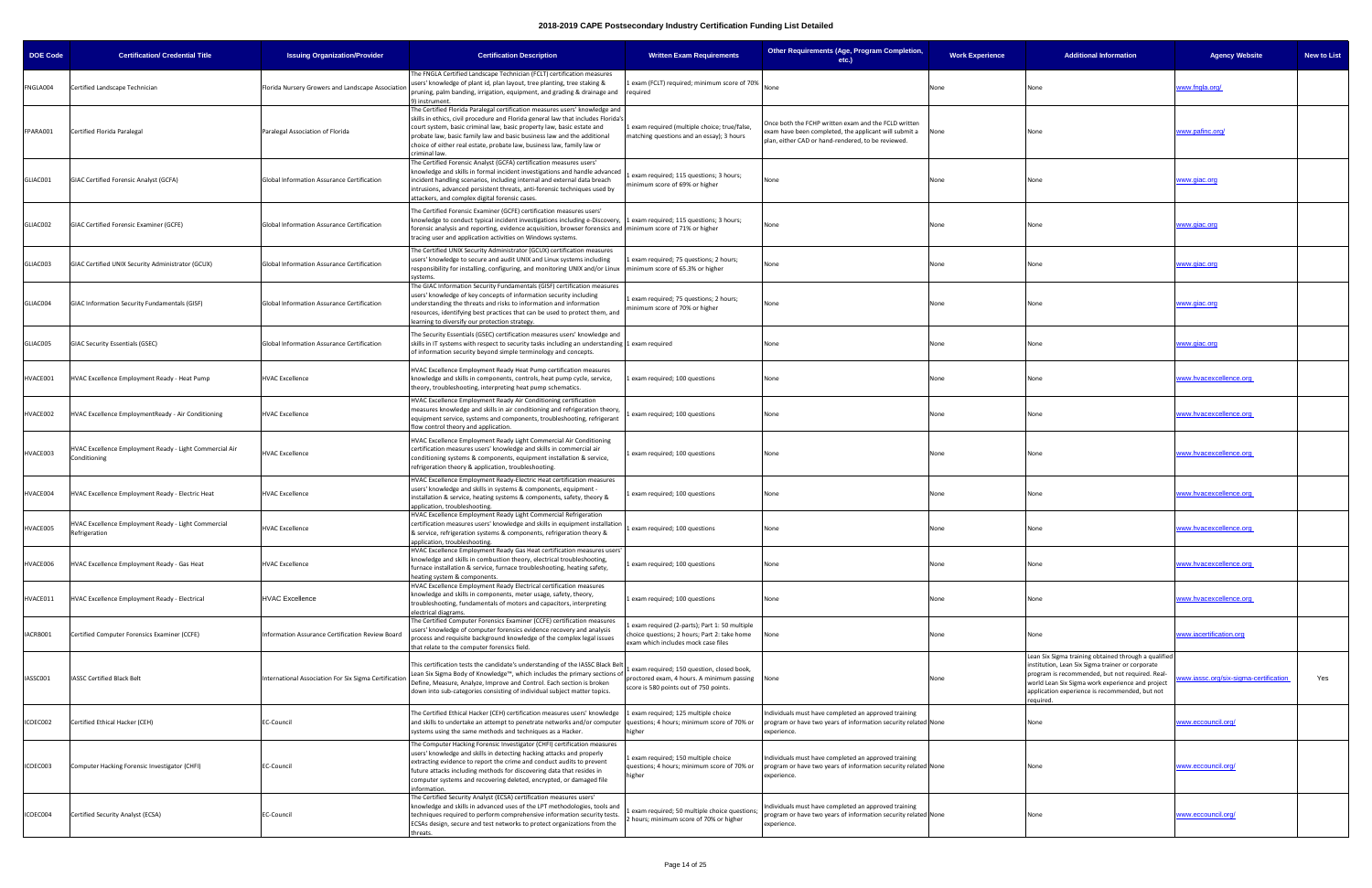| <b>DOE Code</b> | <b>Certification/ Credential Title</b>                                  | <b>Issuing Organization/Provider</b>                  | <b>Certification Description</b>                                                                                                                                                                                                                                                                                                                                                                                | <b>Written Exam Requirements</b>                                                                                                       | Other Requirements (Age, Program Completion,<br>etc.)                                                                                                               | <b>Work Experience</b> | <b>Additional Information</b>                                                                                                                                                                                                                                                  | <b>Agency Website</b><br><b>New to List</b> |
|-----------------|-------------------------------------------------------------------------|-------------------------------------------------------|-----------------------------------------------------------------------------------------------------------------------------------------------------------------------------------------------------------------------------------------------------------------------------------------------------------------------------------------------------------------------------------------------------------------|----------------------------------------------------------------------------------------------------------------------------------------|---------------------------------------------------------------------------------------------------------------------------------------------------------------------|------------------------|--------------------------------------------------------------------------------------------------------------------------------------------------------------------------------------------------------------------------------------------------------------------------------|---------------------------------------------|
| FNGLA004        | Certified Landscape Technician                                          | Florida Nursery Growers and Landscape Association     | The FNGLA Certified Landscape Technician (FCLT) certification measures<br>users' knowledge of plant id, plan layout, tree planting, tree staking &<br>pruning, palm banding, irrigation, equipment, and grading & drainage and required<br>9) instrument.                                                                                                                                                       | exam (FCLT) required; minimum score of 70%                                                                                             |                                                                                                                                                                     | None                   | None                                                                                                                                                                                                                                                                           | www.fngla.org/                              |
| FPARA001        | Certified Florida Paralegal                                             | Paralegal Association of Florida                      | The Certified Florida Paralegal certification measures users' knowledge and<br>skills in ethics, civil procedure and Florida general law that includes Florida's<br>court system, basic criminal law, basic property law, basic estate and<br>probate law, basic family law and basic business law and the additional<br>choice of either real estate, probate law, business law, family law or<br>riminal law. | exam required (multiple choice; true/false,<br>matching questions and an essay); 3 hours                                               | Once both the FCHP written exam and the FCLD written<br>exam have been completed, the applicant will submit a<br>plan, either CAD or hand-rendered, to be reviewed. | None                   | None                                                                                                                                                                                                                                                                           | www.pafinc.org/                             |
| GLIAC001        | GIAC Certified Forensic Analyst (GCFA)                                  | Global Information Assurance Certification            | The Certified Forensic Analyst (GCFA) certification measures users'<br>knowledge and skills in formal incident investigations and handle advanced<br>incident handling scenarios, including internal and external data breach<br>intrusions, advanced persistent threats, anti-forensic techniques used by<br>attackers, and complex digital forensic cases.                                                    | exam required; 115 questions; 3 hours;<br>ninimum score of 69% or higher                                                               |                                                                                                                                                                     | None                   | None                                                                                                                                                                                                                                                                           | <u>vww.qiac.org</u>                         |
| GLIAC002        | GIAC Certified Forensic Examiner (GCFE)                                 | Global Information Assurance Certification            | The Certified Forensic Examiner (GCFE) certification measures users'<br>knowledge to conduct typical incident investigations including e-Discovery, 1 exam required; 115 questions; 3 hours;<br>forensic analysis and reporting, evidence acquisition, browser forensics and minimum score of 71% or higher<br>tracing user and application activities on Windows systems.                                      |                                                                                                                                        | None                                                                                                                                                                | None                   | None                                                                                                                                                                                                                                                                           | <u>vww.qiac.orq</u>                         |
| GLIAC003        | GIAC Certified UNIX Security Administrator (GCUX)                       | Global Information Assurance Certification            | The Certified UNIX Security Administrator (GCUX) certification measures<br>users' knowledge to secure and audit UNIX and Linux systems including<br>responsibility for installing, configuring, and monitoring UNIX and/or Linux   minimum score of 65.3% or higher                                                                                                                                             | exam required; 75 questions; 2 hours;                                                                                                  | Vone                                                                                                                                                                | None                   | None                                                                                                                                                                                                                                                                           | <u>vww.qiac.org</u>                         |
| GLIAC004        | GIAC Information Security Fundamentals (GISF)                           | Global Information Assurance Certification            | The GIAC Information Security Fundamentals (GISF) certification measures<br>users' knowledge of key concepts of information security including<br>understanding the threats and risks to information and information<br>resources, identifying best practices that can be used to protect them, and<br>learning to diversify our protection strategy.                                                           | Lexam required; 75 questions; 2 hours;<br>ninimum score of 70% or higher                                                               | None                                                                                                                                                                | None                   | None                                                                                                                                                                                                                                                                           | www.qiac.org                                |
| GLIAC005        | GIAC Security Essentials (GSEC)                                         | Global Information Assurance Certification            | The Security Essentials (GSEC) certification measures users' knowledge and<br>skills in IT systems with respect to security tasks including an understanding 1 exam required<br>of information security beyond simple terminology and concepts.                                                                                                                                                                 |                                                                                                                                        | None                                                                                                                                                                | None                   | None                                                                                                                                                                                                                                                                           | <u>www.qiac.orq</u>                         |
| HVACE001        | HVAC Excellence Employment Ready - Heat Pump                            | <b>HVAC Excellence</b>                                | HVAC Excellence Employment Ready Heat Pump certification measures<br>knowledge and skills in components, controls, heat pump cycle, service,<br>theory, troubleshooting, interpreting heat pump schematics.                                                                                                                                                                                                     | exam required; 100 questions                                                                                                           | None                                                                                                                                                                | None                   | None                                                                                                                                                                                                                                                                           | www.hvacexcellence.org                      |
| HVACE002        | HVAC Excellence EmploymentReady - Air Conditioning                      | <b>HVAC Excellence</b>                                | HVAC Excellence Employment Ready Air Conditioning certification<br>measures knowledge and skills in air conditioning and refrigeration theory,<br>equipment service, systems and components, troubleshooting, refrigerant<br>flow control theory and application.                                                                                                                                               | exam required; 100 questions                                                                                                           | None                                                                                                                                                                | None                   | None                                                                                                                                                                                                                                                                           | www.hvacexcellence.org                      |
| HVACE003        | HVAC Excellence Employment Ready - Light Commercial Air<br>Conditioning | <b>HVAC Excellence</b>                                | HVAC Excellence Employment Ready Light Commercial Air Conditioning<br>certification measures users' knowledge and skills in commercial air<br>conditioning systems & components, equipment installation & service,<br>refrigeration theory & application, troubleshooting.                                                                                                                                      | exam required; 100 questions                                                                                                           | None                                                                                                                                                                | None                   | None                                                                                                                                                                                                                                                                           | www.hvacexcellence.org                      |
| HVACE004        | HVAC Excellence Employment Ready - Electric Heat                        | <b>HVAC Excellence</b>                                | HVAC Excellence Employment Ready-Electric Heat certification measures<br>users' knowledge and skills in systems & components, equipment -<br>installation & service, heating systems & components, safety, theory &<br>application, troubleshooting.                                                                                                                                                            | exam required; 100 questions                                                                                                           | None                                                                                                                                                                | None                   | None                                                                                                                                                                                                                                                                           | www.hvacexcellence.org                      |
| HVACE005        | HVAC Excellence Employment Ready - Light Commercial<br>Refrigeration    | <b>HVAC Excellence</b>                                | HVAC Excellence Employment Ready Light Commercial Refrigeration<br>certification measures users' knowledge and skills in equipment installation<br>& service, refrigeration systems & components, refrigeration theory &<br>application, troubleshooting.                                                                                                                                                       | exam required; 100 questions                                                                                                           | None                                                                                                                                                                | None                   | None                                                                                                                                                                                                                                                                           | www.hvacexcellence.org                      |
| HVACE006        | HVAC Excellence Employment Ready - Gas Heat                             | <b>HVAC Excellence</b>                                | HVAC Excellence Employment Ready Gas Heat certification measures users'<br>knowledge and skills in combustion theory, electrical troubleshooting,<br>furnace installation & service, furnace troubleshooting, heating safety,<br>heating system & components.                                                                                                                                                   | exam required; 100 questions                                                                                                           | None                                                                                                                                                                | None                   | None                                                                                                                                                                                                                                                                           | <u>www.hvacexcellence.org</u>               |
| HVACE011        | HVAC Excellence Employment Ready - Electrical                           | <b>HVAC Excellence</b>                                | HVAC Excellence Employment Ready Electrical certification measures<br>knowledge and skills in components, meter usage, safety, theory,<br>troubleshooting, fundamentals of motors and capacitors, interpreting<br>electrical diagrams.                                                                                                                                                                          | exam required; 100 questions                                                                                                           | None                                                                                                                                                                | None                   | None                                                                                                                                                                                                                                                                           | www.hvacexcellence.org                      |
| IACRB001        | Certified Computer Forensics Examiner (CCFE)                            | Information Assurance Certification Review Board      | The Certified Computer Forensics Examiner (CCFE) certification measures<br>users' knowledge of computer forensics evidence recovery and analysis<br>process and requisite background knowledge of the complex legal issues<br>that relate to the computer forensics field.                                                                                                                                      | exam required (2-parts); Part 1: 50 multiple<br>hoice questions; 2 hours; Part 2: take home<br>exam which includes mock case files     |                                                                                                                                                                     | None                   | None                                                                                                                                                                                                                                                                           | www.iacertification.org                     |
| IASSC001        | IASSC Certified Black Belt                                              | International Association For Six Sigma Certification | This certification tests the candidate's understanding of the IASSC Black Belt<br>Lean Six Sigma Body of Knowledge™, which includes the primary sections of<br>Define, Measure, Analyze, Improve and Control. Each section is broken<br>down into sub-categories consisting of individual subject matter topics.                                                                                                | exam required; 150 question, closed book,<br>proctored exam, 4 hours. A minimum passing None<br>score is 580 points out of 750 points. |                                                                                                                                                                     | None                   | Lean Six Sigma training obtained through a qualified<br>institution, Lean Six Sigma trainer or corporate<br>program is recommended, but not required. Real-<br>world Lean Six Sigma work experience and project<br>application experience is recommended, but not<br>required. | Yes<br>ww.iassc.org/six-sigma-certification |
| ICOEC002        | Certified Ethical Hacker (CEH)                                          | EC-Council                                            | The Certified Ethical Hacker (CEH) certification measures users' knowledge<br>and skills to undertake an attempt to penetrate networks and/or computer<br>systems using the same methods and techniques as a Hacker.                                                                                                                                                                                            | exam required; 125 multiple choice<br>questions; 4 hours; minimum score of 70% or<br>higher                                            | Individuals must have completed an approved training<br>program or have two years of information security related None<br>experience.                               |                        | None                                                                                                                                                                                                                                                                           | <u>vww.eccouncil.org/</u>                   |
| ICOEC003        | Computer Hacking Forensic Investigator (CHFI)                           | EC-Council                                            | The Computer Hacking Forensic Investigator (CHFI) certification measures<br>users' knowledge and skills in detecting hacking attacks and properly<br>extracting evidence to report the crime and conduct audits to prevent<br>future attacks including methods for discovering data that resides in<br>computer systems and recovering deleted, encrypted, or damaged file<br>information.                      | exam required; 150 multiple choice<br>questions; 4 hours; minimum score of 70% or<br>higher                                            | Individuals must have completed an approved training<br>program or have two years of information security related None<br>experience.                               |                        | None                                                                                                                                                                                                                                                                           | www.eccouncil.org/                          |
| COEC004         | Certified Security Analyst (ECSA)                                       | EC-Council                                            | The Certified Security Analyst (ECSA) certification measures users'<br>knowledge and skills in advanced uses of the LPT methodologies, tools and<br>techniques required to perform comprehensive information security tests.<br>ECSAs design, secure and test networks to protect organizations from the<br>threats.                                                                                            | exam required; 50 multiple choice questions<br>hours; minimum score of 70% or higher                                                   | Individuals must have completed an approved training<br>program or have two years of information security related None<br>experience.                               |                        | None                                                                                                                                                                                                                                                                           | www.eccouncil.org/                          |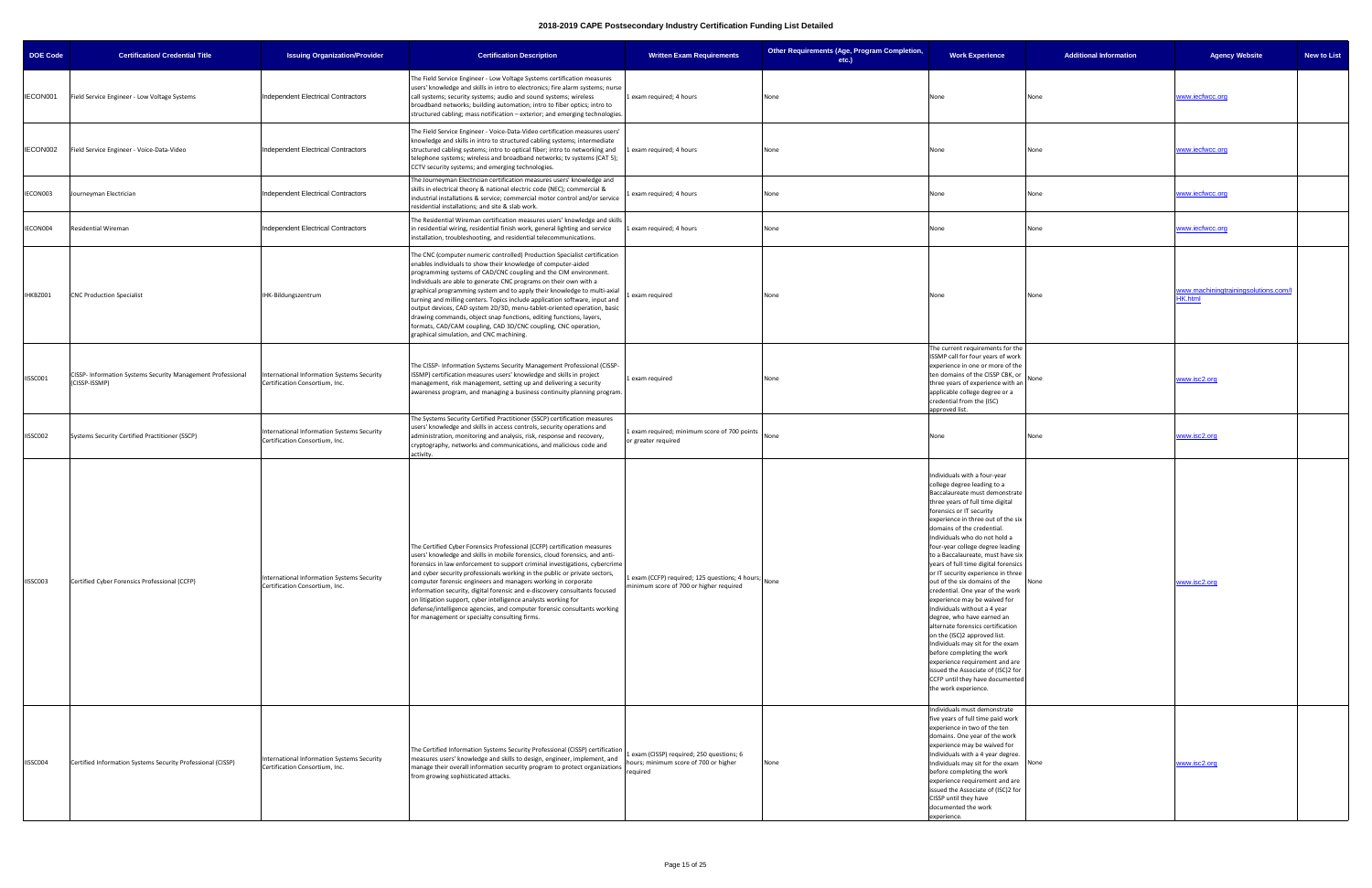| <b>DOE Code</b> | <b>Certification/ Credential Title</b>                                       | <b>Issuing Organization/Provider</b>                                         | <b>Certification Description</b>                                                                                                                                                                                                                                                                                                                                                                                                                                                                                                                                                                                                                                                                               | <b>Written Exam Requirements</b>                                                               | Other Requirements (Age, Program Completion,<br>$etc.$ ) | <b>Work Experience</b>                                                                                                                                                                                                                                                                                                                                                                                                                                                                                                                                                                                                                                                                                                                                                                                                                                                 | <b>Additional Information</b> | <b>Agency Website</b>                                  | <b>New to List</b> |
|-----------------|------------------------------------------------------------------------------|------------------------------------------------------------------------------|----------------------------------------------------------------------------------------------------------------------------------------------------------------------------------------------------------------------------------------------------------------------------------------------------------------------------------------------------------------------------------------------------------------------------------------------------------------------------------------------------------------------------------------------------------------------------------------------------------------------------------------------------------------------------------------------------------------|------------------------------------------------------------------------------------------------|----------------------------------------------------------|------------------------------------------------------------------------------------------------------------------------------------------------------------------------------------------------------------------------------------------------------------------------------------------------------------------------------------------------------------------------------------------------------------------------------------------------------------------------------------------------------------------------------------------------------------------------------------------------------------------------------------------------------------------------------------------------------------------------------------------------------------------------------------------------------------------------------------------------------------------------|-------------------------------|--------------------------------------------------------|--------------------|
| IECON001        | Field Service Engineer - Low Voltage Systems                                 | Independent Electrical Contractors                                           | The Field Service Engineer - Low Voltage Systems certification measures<br>users' knowledge and skills in intro to electronics; fire alarm systems; nurse<br>call systems; security systems; audio and sound systems; wireless<br>broadband networks; building automation; intro to fiber optics; intro to<br>structured cabling; mass notification - exterior; and emerging technologies.                                                                                                                                                                                                                                                                                                                     | 1 exam required; 4 hours                                                                       | None                                                     | None                                                                                                                                                                                                                                                                                                                                                                                                                                                                                                                                                                                                                                                                                                                                                                                                                                                                   | None                          | www.iecfwcc.org                                        |                    |
| IECON002        | Field Service Engineer - Voice-Data-Video                                    | Independent Electrical Contractors                                           | The Field Service Engineer - Voice-Data-Video certification measures users'<br>knowledge and skills in intro to structured cabling systems; intermediate<br>structured cabling systems; intro to optical fiber; intro to networking and<br>telephone systems; wireless and broadband networks; tv systems (CAT 5);<br>CCTV security systems; and emerging technologies.                                                                                                                                                                                                                                                                                                                                        | Lexam required; 4 hours                                                                        | None                                                     | None                                                                                                                                                                                                                                                                                                                                                                                                                                                                                                                                                                                                                                                                                                                                                                                                                                                                   | None                          | www.iecfwcc.org                                        |                    |
| IECON003        | Journeyman Electrician                                                       | Independent Electrical Contractors                                           | The Journeyman Electrician certification measures users' knowledge and<br>skills in electrical theory & national electric code (NEC); commercial &<br>industrial installations & service; commercial motor control and/or service<br>residential installations; and site & slab work.                                                                                                                                                                                                                                                                                                                                                                                                                          | exam required; 4 hours                                                                         | None                                                     | None                                                                                                                                                                                                                                                                                                                                                                                                                                                                                                                                                                                                                                                                                                                                                                                                                                                                   | None                          | www.iecfwcc.org                                        |                    |
| IECON004        | Residential Wireman                                                          | Independent Electrical Contractors                                           | The Residential Wireman certification measures users' knowledge and skills<br>in residential wiring, residential finish work, general lighting and service<br>installation, troubleshooting, and residential telecommunications.                                                                                                                                                                                                                                                                                                                                                                                                                                                                               | Lexam required; 4 hours                                                                        | None                                                     | None                                                                                                                                                                                                                                                                                                                                                                                                                                                                                                                                                                                                                                                                                                                                                                                                                                                                   | None                          | www.iecfwcc.org                                        |                    |
| IHKBZ001        | <b>CNC Production Specialist</b>                                             | IHK-Bildungszentrum                                                          | The CNC (computer numeric controlled) Production Specialist certification<br>enables individuals to show their knowledge of computer-aided<br>programming systems of CAD/CNC coupling and the CIM environment.<br>Individuals are able to generate CNC programs on their own with a<br>graphical programming system and to apply their knowledge to multi-axial<br>turning and milling centers. Topics include application software, input and<br>output devices, CAD system 2D/3D, menu-tablet-oriented operation, basic<br>drawing commands, object snap functions, editing functions, layers,<br>formats, CAD/CAM coupling, CAD 3D/CNC coupling, CNC operation,<br>graphical simulation, and CNC machining. | exam required                                                                                  | None                                                     | None                                                                                                                                                                                                                                                                                                                                                                                                                                                                                                                                                                                                                                                                                                                                                                                                                                                                   | None                          | www.machiningtrainingsolutions.com/l<br><b>HK.html</b> |                    |
| IISSC001        | CISSP- Information Systems Security Management Professional<br>(CISSP-ISSMP) | International Information Systems Security<br>Certification Consortium, Inc. | The CISSP- Information Systems Security Management Professional (CISSP-<br>ISSMP) certification measures users' knowledge and skills in project<br>management, risk management, setting up and delivering a security<br>awareness program, and managing a business continuity planning program.                                                                                                                                                                                                                                                                                                                                                                                                                | 1 exam required                                                                                | None                                                     | The current requirements for the<br>ISSMP call for four years of work<br>experience in one or more of the<br>ten domains of the CISSP CBK, or<br>three years of experience with an<br>applicable college degree or a<br>credential from the (ISC)<br>pproved list.                                                                                                                                                                                                                                                                                                                                                                                                                                                                                                                                                                                                     | None                          | www.isc2.org                                           |                    |
| IISSC002        | Systems Security Certified Practitioner (SSCP)                               | International Information Systems Security<br>Certification Consortium, Inc. | The Systems Security Certified Practitioner (SSCP) certification measures<br>users' knowledge and skills in access controls, security operations and<br>administration, monitoring and analysis, risk, response and recovery,<br>cryptography, networks and communications, and malicious code and<br>activity.                                                                                                                                                                                                                                                                                                                                                                                                | exam required; minimum score of 700 points<br>or greater required                              | None                                                     | None                                                                                                                                                                                                                                                                                                                                                                                                                                                                                                                                                                                                                                                                                                                                                                                                                                                                   | None                          | www.isc2.org                                           |                    |
| IISSC003        | Certified Cyber Forensics Professional (CCFP)                                | International Information Systems Security<br>Certification Consortium, Inc. | The Certified Cyber Forensics Professional (CCFP) certification measures<br>users' knowledge and skills in mobile forensics, cloud forensics, and anti-<br>forensics in law enforcement to support criminal investigations, cybercrime<br>and cyber security professionals working in the public or private sectors,<br>computer forensic engineers and managers working in corporate<br>information security, digital forensic and e-discovery consultants focused<br>on litigation support, cyber intelligence analysts working for<br>defense/intelligence agencies, and computer forensic consultants working<br>for management or specialty consulting firms.                                             | Lexam (CCFP) required; 125 questions; 4 hours; None<br>minimum score of 700 or higher required |                                                          | Individuals with a four-year<br>college degree leading to a<br>Baccalaureate must demonstrate<br>three years of full time digital<br>forensics or IT security<br>experience in three out of the six<br>domains of the credential.<br>Individuals who do not hold a<br>four-year college degree leading<br>to a Baccalaureate, must have six<br>years of full time digital forensics<br>or IT security experience in three<br>out of the six domains of the<br>credential. One year of the work<br>experience may be waived for<br>Individuals without a 4 year<br>degree, who have earned an<br>alternate forensics certification<br>on the (ISC)2 approved list.<br>Individuals may sit for the exam<br>before completing the work<br>experience requirement and are<br>issued the Associate of (ISC)2 for<br>CCFP until they have documented<br>the work experience. | None                          | www.isc2.org                                           |                    |
| IISSC004        | Certified Information Systems Security Professional (CISSP)                  | International Information Systems Security<br>Certification Consortium, Inc. | The Certified Information Systems Security Professional (CISSP) certification<br>measures users' knowledge and skills to design, engineer, implement, and<br>manage their overall information security program to protect organizations<br>from growing sophisticated attacks.                                                                                                                                                                                                                                                                                                                                                                                                                                 | exam (CISSP) required; 250 questions; 6<br>hours; minimum score of 700 or higher<br>required   | None                                                     | Individuals must demonstrate<br>five years of full time paid work<br>experience in two of the ten<br>domains. One year of the work<br>experience may be waived for<br>Individuals with a 4 year degree.<br>Individuals may sit for the exam None<br>before completing the work<br>experience requirement and are<br>issued the Associate of (ISC)2 for<br>CISSP until they have<br>documented the work<br>experience.                                                                                                                                                                                                                                                                                                                                                                                                                                                  |                               | www.isc2.org                                           |                    |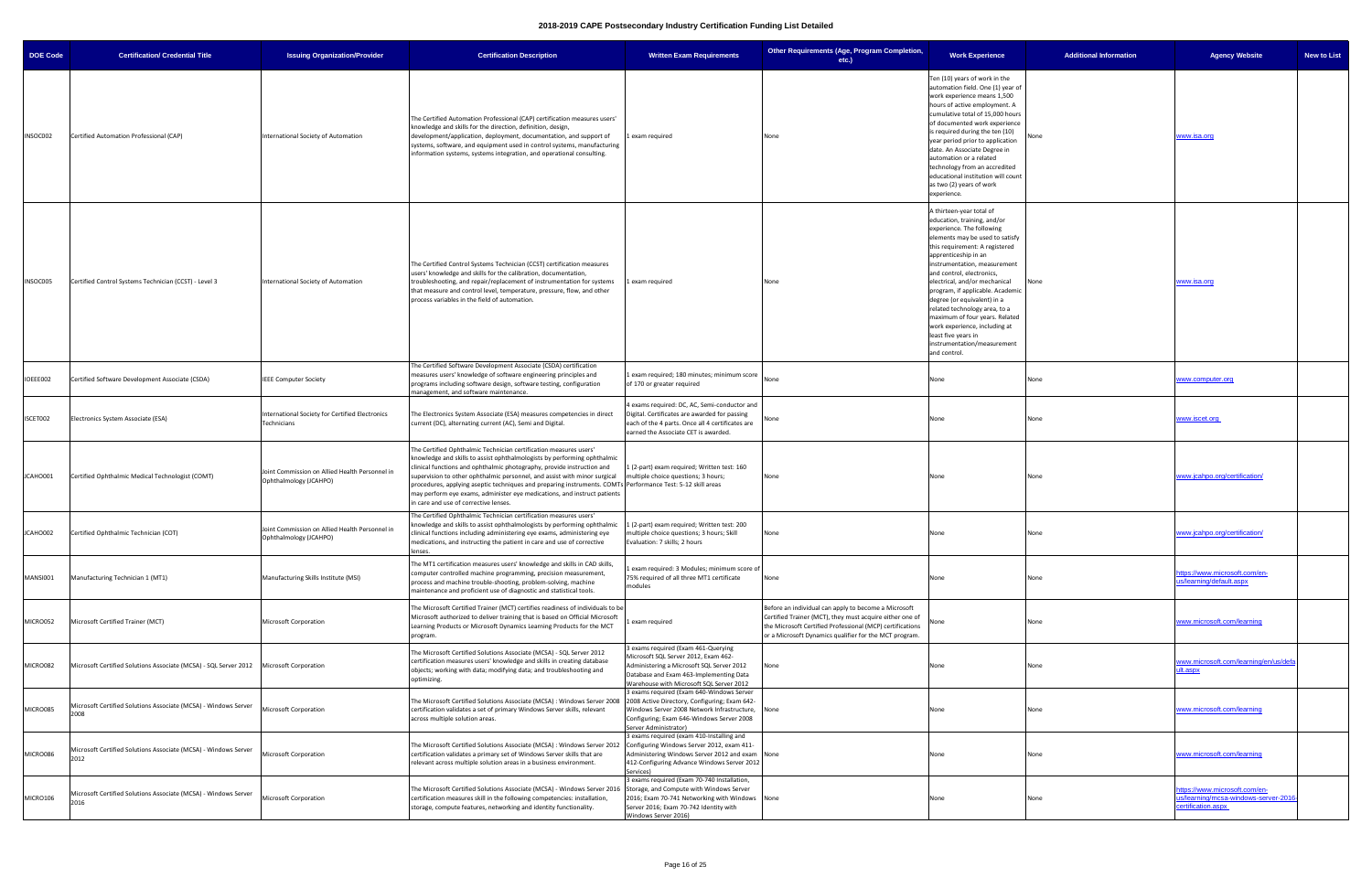| <b>DOE Code</b> | <b>Certification/ Credential Title</b>                                                   | <b>Issuing Organization/Provider</b>                                     | <b>Certification Description</b>                                                                                                                                                                                                                                                                                                                                                                                                                                                                                                         | <b>Written Exam Requirements</b>                                                                                                                                                                                | Other Requirements (Age, Program Completion,<br>etc.)                                                                                                                                                                                   | <b>Work Experience</b>                                                                                                                                                                                                                                                                                                                                                                                                                                                                                                       | <b>Additional Information</b> | <b>New to List</b><br><b>Agency Website</b>                                                 |
|-----------------|------------------------------------------------------------------------------------------|--------------------------------------------------------------------------|------------------------------------------------------------------------------------------------------------------------------------------------------------------------------------------------------------------------------------------------------------------------------------------------------------------------------------------------------------------------------------------------------------------------------------------------------------------------------------------------------------------------------------------|-----------------------------------------------------------------------------------------------------------------------------------------------------------------------------------------------------------------|-----------------------------------------------------------------------------------------------------------------------------------------------------------------------------------------------------------------------------------------|------------------------------------------------------------------------------------------------------------------------------------------------------------------------------------------------------------------------------------------------------------------------------------------------------------------------------------------------------------------------------------------------------------------------------------------------------------------------------------------------------------------------------|-------------------------------|---------------------------------------------------------------------------------------------|
| INSOC002        | Certified Automation Professional (CAP)                                                  | International Society of Automation                                      | The Certified Automation Professional (CAP) certification measures users'<br>knowledge and skills for the direction, definition, design,<br>development/application, deployment, documentation, and support of<br>systems, software, and equipment used in control systems, manufacturing<br>information systems, systems integration, and operational consulting.                                                                                                                                                                       | exam required                                                                                                                                                                                                   | None                                                                                                                                                                                                                                    | Ten (10) years of work in the<br>automation field. One (1) year of<br>work experience means 1,500<br>hours of active employment. A<br>cumulative total of 15,000 hours<br>of documented work experience<br>is required during the ten (10)<br>year period prior to application<br>date. An Associate Degree in<br>automation or a related<br>technology from an accredited<br>educational institution will count<br>as two (2) years of work<br>experience.                                                                  |                               | www.isa.org                                                                                 |
| INSOC005        | Certified Control Systems Technician (CCST) - Level 3                                    | International Society of Automation                                      | The Certified Control Systems Technician (CCST) certification measures<br>users' knowledge and skills for the calibration, documentation,<br>troubleshooting, and repair/replacement of instrumentation for systems<br>that measure and control level, temperature, pressure, flow, and other<br>process variables in the field of automation.                                                                                                                                                                                           | 1 exam required                                                                                                                                                                                                 | None                                                                                                                                                                                                                                    | A thirteen-year total of<br>education, training, and/or<br>experience. The following<br>elements may be used to satisfy<br>this requirement: A registered<br>apprenticeship in an<br>instrumentation, measurement<br>and control, electronics,<br>electrical, and/or mechanical<br>program, if applicable. Academic<br>degree (or equivalent) in a<br>related technology area, to a<br>maximum of four years. Related<br>work experience, including at<br>least five years in<br>instrumentation/measurement<br>and control. | None                          | <u>www.isa.orq</u>                                                                          |
| IOEEE002        | Certified Software Development Associate (CSDA)                                          | <b>IEEE Computer Society</b>                                             | The Certified Software Development Associate (CSDA) certification<br>measures users' knowledge of software engineering principles and<br>programs including software design, software testing, configuration<br>management, and software maintenance.                                                                                                                                                                                                                                                                                    | 1 exam required; 180 minutes; minimum score<br>of 170 or greater required                                                                                                                                       |                                                                                                                                                                                                                                         | Vone                                                                                                                                                                                                                                                                                                                                                                                                                                                                                                                         | None                          | www.computer.org                                                                            |
| ISCET002        | Electronics System Associate (ESA)                                                       | International Society for Certified Electronics<br>Technicians           | The Electronics System Associate (ESA) measures competencies in direct<br>current (DC), alternating current (AC), Semi and Digital.                                                                                                                                                                                                                                                                                                                                                                                                      | 4 exams required: DC, AC, Semi-conductor and<br>Digital. Certificates are awarded for passing<br>each of the 4 parts. Once all 4 certificates are<br>earned the Associate CET is awarded.                       | None                                                                                                                                                                                                                                    | None                                                                                                                                                                                                                                                                                                                                                                                                                                                                                                                         | None                          | www.iscet.org                                                                               |
| JCAHO001        | Certified Ophthalmic Medical Technologist (COMT)                                         | Joint Commission on Allied Health Personnel in<br>Ophthalmology (JCAHPO) | The Certified Ophthalmic Technician certification measures users'<br>knowledge and skills to assist ophthalmologists by performing ophthalmic<br>clinical functions and ophthalmic photography, provide instruction and<br>supervision to other ophthalmic personnel, and assist with minor surgical<br>procedures, applying aseptic techniques and preparing instruments. COMTs Performance Test: 5-12 skill areas<br>may perform eye exams, administer eye medications, and instruct patients<br>in care and use of corrective lenses. | 1 (2-part) exam required; Written test: 160<br>multiple choice questions; 3 hours;                                                                                                                              | None                                                                                                                                                                                                                                    | None                                                                                                                                                                                                                                                                                                                                                                                                                                                                                                                         | None                          | www.jcahpo.org/certification/                                                               |
| JCAHO002        | Certified Ophthalmic Technician (COT)                                                    | Joint Commission on Allied Health Personnel in<br>Ophthalmology (JCAHPO) | The Certified Ophthalmic Technician certification measures users'<br>knowledge and skills to assist ophthalmologists by performing ophthalmic 1 (2-part) exam required; Written test: 200<br>clinical functions including administering eye exams, administering eye<br>medications, and instructing the patient in care and use of corrective<br>lenses.                                                                                                                                                                                | multiple choice questions; 3 hours; Skill<br>Evaluation: 7 skills; 2 hours                                                                                                                                      | None                                                                                                                                                                                                                                    | None                                                                                                                                                                                                                                                                                                                                                                                                                                                                                                                         | None                          | www.jcahpo.org/certification/                                                               |
| MANSI001        | Manufacturing Technician 1 (MT1)                                                         | Manufacturing Skills Institute (MSI)                                     | The MT1 certification measures users' knowledge and skills in CAD skills,<br>computer controlled machine programming, precision measurement,<br>process and machine trouble-shooting, problem-solving, machine<br>maintenance and proficient use of diagnostic and statistical tools.                                                                                                                                                                                                                                                    | exam required: 3 Modules; minimum score of<br>75% required of all three MT1 certificate<br>modules                                                                                                              | None                                                                                                                                                                                                                                    | Vone                                                                                                                                                                                                                                                                                                                                                                                                                                                                                                                         | None                          | https://www.microsoft.com/en-<br>us/learning/default.aspx                                   |
| MICRO052        | Microsoft Certified Trainer (MCT)                                                        | Microsoft Corporation                                                    | The Microsoft Certified Trainer (MCT) certifies readiness of individuals to be<br>Microsoft authorized to deliver training that is based on Official Microsoft<br>Learning Products or Microsoft Dynamics Learning Products for the MCT<br>program.                                                                                                                                                                                                                                                                                      | exam required                                                                                                                                                                                                   | Before an individual can apply to become a Microsoft<br>Certified Trainer (MCT), they must acquire either one of<br>the Microsoft Certified Professional (MCP) certifications<br>or a Microsoft Dynamics qualifier for the MCT program. | None                                                                                                                                                                                                                                                                                                                                                                                                                                                                                                                         | None                          | www.microsoft.com/learning                                                                  |
| MICRO082        | Microsoft Certified Solutions Associate (MCSA) - SQL Server 2012   Microsoft Corporation |                                                                          | The Microsoft Certified Solutions Associate (MCSA) - SQL Server 2012<br>certification measures users' knowledge and skills in creating database<br>objects; working with data; modifying data; and troubleshooting and<br>optimizing.                                                                                                                                                                                                                                                                                                    | 3 exams required (Exam 461-Querying<br>Microsoft SQL Server 2012, Exam 462-<br>Administering a Microsoft SQL Server 2012<br>Database and Exam 463-Implementing Data<br>Warehouse with Microsoft SQL Server 2012 | None                                                                                                                                                                                                                                    | None                                                                                                                                                                                                                                                                                                                                                                                                                                                                                                                         | None                          | www.microsoft.com/learning/en/us/def<br>ult.aspx                                            |
| MICRO085        | Microsoft Certified Solutions Associate (MCSA) - Windows Server<br>2008                  | Microsoft Corporation                                                    | The Microsoft Certified Solutions Associate (MCSA) : Windows Server 2008 2008 Active Directory, Configuring; Exam 642-<br>certification validates a set of primary Windows Server skills, relevant<br>across multiple solution areas.                                                                                                                                                                                                                                                                                                    | 3 exams required (Exam 640-Windows Server<br>Windows Server 2008 Network Infrastructure, None<br>Configuring; Exam 646-Windows Server 2008<br>Server Administrator)                                             |                                                                                                                                                                                                                                         | None                                                                                                                                                                                                                                                                                                                                                                                                                                                                                                                         | None                          | www.microsoft.com/learning                                                                  |
| MICRO086        | Microsoft Certified Solutions Associate (MCSA) - Windows Server                          | Microsoft Corporation                                                    | The Microsoft Certified Solutions Associate (MCSA): Windows Server 2012 Configuring Windows Server 2012, exam 411-<br>certification validates a primary set of Windows Server skills that are<br>relevant across multiple solution areas in a business environment.                                                                                                                                                                                                                                                                      | 3 exams required (exam 410-Installing and<br>Administering Windows Server 2012 and exam None<br>412-Configuring Advance Windows Server 2012<br>Services)                                                        |                                                                                                                                                                                                                                         | Vone                                                                                                                                                                                                                                                                                                                                                                                                                                                                                                                         | None                          | www.microsoft.com/learning                                                                  |
| MICRO106        | Microsoft Certified Solutions Associate (MCSA) - Windows Server                          | Microsoft Corporation                                                    | The Microsoft Certified Solutions Associate (MCSA) - Windows Server 2016 Storage, and Compute with Windows Server<br>certification measures skill in the following competencies: installation,<br>storage, compute features, networking and identity functionality.                                                                                                                                                                                                                                                                      | 3 exams required (Exam 70-740 Installation,<br>2016; Exam 70-741 Networking with Windows None<br>Server 2016; Exam 70-742 Identity with<br>Windows Server 2016)                                                 |                                                                                                                                                                                                                                         | Vone                                                                                                                                                                                                                                                                                                                                                                                                                                                                                                                         | None                          | https://www.microsoft.com/en-<br>us/learning/mcsa-windows-server-2016<br>certification.aspx |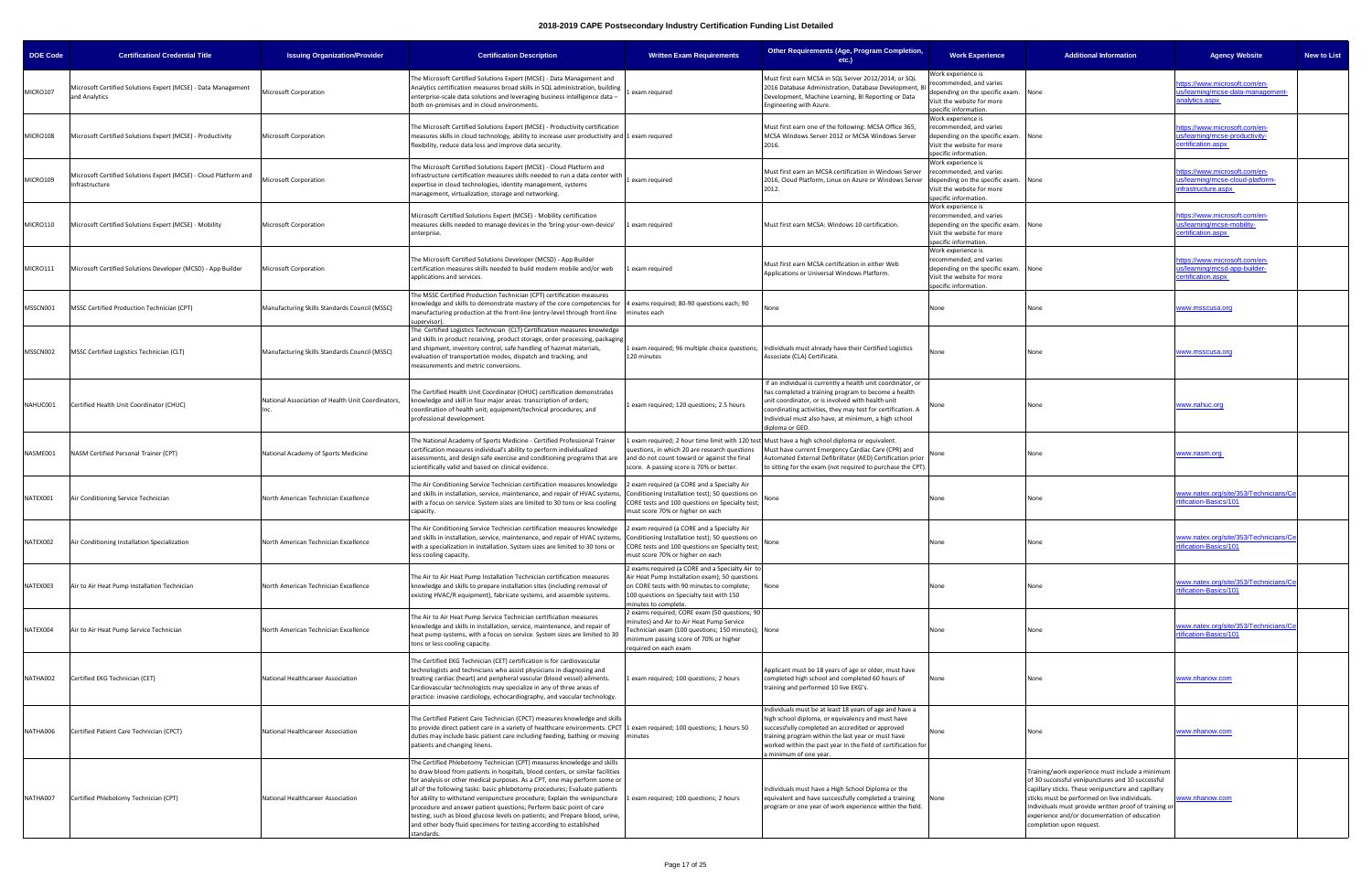| <b>DOE Code</b> | <b>Certification/ Credential Title</b>                                             | <b>Issuing Organization/Provider</b>              | <b>Certification Description</b>                                                                                                                                                                                                                                                                                                                                                                                                                                                                                                                                                                                                              | <b>Written Exam Requirements</b>                                                                                                                                                                                    | Other Requirements (Age, Program Completion,<br>$etc.$ )                                                                                                                                                                                                                                                          | <b>Work Experience</b>                                                                                                                      | <b>Additional Information</b>                                                                                                                                                                                                                                                                                                                   | <b>Agency Website</b>                                                                   | <b>New to List</b> |
|-----------------|------------------------------------------------------------------------------------|---------------------------------------------------|-----------------------------------------------------------------------------------------------------------------------------------------------------------------------------------------------------------------------------------------------------------------------------------------------------------------------------------------------------------------------------------------------------------------------------------------------------------------------------------------------------------------------------------------------------------------------------------------------------------------------------------------------|---------------------------------------------------------------------------------------------------------------------------------------------------------------------------------------------------------------------|-------------------------------------------------------------------------------------------------------------------------------------------------------------------------------------------------------------------------------------------------------------------------------------------------------------------|---------------------------------------------------------------------------------------------------------------------------------------------|-------------------------------------------------------------------------------------------------------------------------------------------------------------------------------------------------------------------------------------------------------------------------------------------------------------------------------------------------|-----------------------------------------------------------------------------------------|--------------------|
| MICRO107        | Microsoft Certified Solutions Expert (MCSE) - Data Management<br>and Analytics     | <b>Microsoft Corporation</b>                      | The Microsoft Certified Solutions Expert (MCSE) - Data Management and<br>Analytics certification measures broad skills in SQL administration, building<br>enterprise-scale data solutions and leveraging business intelligence data -<br>both on-premises and in cloud environments.                                                                                                                                                                                                                                                                                                                                                          | exam required                                                                                                                                                                                                       | Must first earn MCSA in SQL Server 2012/2014; or SQL<br>2016 Database Administration, Database Development, BI<br>Development, Machine Learning, BI Reporting or Data<br>Engineering with Azure.                                                                                                                  | Vork experience is<br>recommended, and varies<br>depending on the specific exam.<br>Visit the website for more<br>specific information.     | None                                                                                                                                                                                                                                                                                                                                            | https://www.microsoft.com/en-<br>us/learning/mcse-data-management-<br>analytics.aspx    |                    |
| MICRO108        | Microsoft Certified Solutions Expert (MCSE) - Productivity                         | Microsoft Corporation                             | The Microsoft Certified Solutions Expert (MCSE) - Productivity certification<br>measures skills in cloud technology, ability to increase user productivity and 1 exam required<br>flexibility, reduce data loss and improve data security.                                                                                                                                                                                                                                                                                                                                                                                                    |                                                                                                                                                                                                                     | Must first earn one of the following: MCSA Office 365<br>MCSA Windows Server 2012 or MCSA Windows Server                                                                                                                                                                                                          | Work experience is<br>recommended, and varies<br>depending on the specific exam. None<br>Visit the website for more<br>pecific information. |                                                                                                                                                                                                                                                                                                                                                 | https://www.microsoft.com/en-<br>us/learning/mcse-productivity-<br>ertification.aspx    |                    |
| MICRO109        | Microsoft Certified Solutions Expert (MCSE) - Cloud Platform and<br>Infrastructure | <b>Microsoft Corporation</b>                      | The Microsoft Certified Solutions Expert (MCSE) - Cloud Platform and<br>Infrastructure certification measures skills needed to run a data center with<br>expertise in cloud technologies, identity management, systems<br>management, virtualization, storage and networking.                                                                                                                                                                                                                                                                                                                                                                 | exam required                                                                                                                                                                                                       | Must first earn an MCSA certification in Windows Server<br>2016, Cloud Platform, Linux on Azure or Windows Server<br>2012.                                                                                                                                                                                        | Work experience is<br>recommended, and varies<br>depending on the specific exam.<br>Visit the website for more<br>specific information.     | None                                                                                                                                                                                                                                                                                                                                            | https://www.microsoft.com/en-<br>us/learning/mcse-cloud-platform-<br>nfrastructure.aspx |                    |
| MICRO110        | Microsoft Certified Solutions Expert (MCSE) - Mobility                             | <b>Microsoft Corporation</b>                      | Microsoft Certified Solutions Expert (MCSE) - Mobility certification<br>measures skills needed to manage devices in the 'bring-your-own-device'<br>enterprise.                                                                                                                                                                                                                                                                                                                                                                                                                                                                                | exam required                                                                                                                                                                                                       | Must first earn MCSA: Windows 10 certification.                                                                                                                                                                                                                                                                   | Work experience is<br>recommended, and varies<br>depending on the specific exam.<br>Visit the website for more<br>specific information.     | None                                                                                                                                                                                                                                                                                                                                            | ttps://www.microsoft.com/en-<br>us/learning/mcse-mobility-<br>certification.aspx        |                    |
| MICRO111        | Microsoft Certified Solutions Developer (MCSD) - App Builder                       | <b>Microsoft Corporation</b>                      | The Microsoft Certified Solutions Developer (MCSD) - App Builder<br>certification measures skills needed to build modern mobile and/or web<br>applications and services.                                                                                                                                                                                                                                                                                                                                                                                                                                                                      | exam required                                                                                                                                                                                                       | Must first earn MCSA certification in either Web<br>Applications or Universal Windows Platform.                                                                                                                                                                                                                   | Work experience is<br>recommended, and varies<br>depending on the specific exam.<br>Visit the website for more<br>specific information      | None                                                                                                                                                                                                                                                                                                                                            | https://www.microsoft.com/en-<br>us/learning/mcsd-app-builder-<br>ertification.aspx     |                    |
| MSSCN001        | MSSC Certified Production Technician (CPT)                                         | Manufacturing Skills Standards Council (MSSC)     | The MSSC Certified Production Technician (CPT) certification measures<br>knowledge and skills to demonstrate mastery of the core competencies for  4 exams required; 80-90 questions each; 90<br>manufacturing production at the front-line (entry-level through front-line<br>supervisor).                                                                                                                                                                                                                                                                                                                                                   | minutes each                                                                                                                                                                                                        | None                                                                                                                                                                                                                                                                                                              | None                                                                                                                                        | None                                                                                                                                                                                                                                                                                                                                            | www.msscusa.org                                                                         |                    |
| MSSCN002        | MSSC Certified Logistics Technician (CLT)                                          | Manufacturing Skills Standards Council (MSSC)     | The Certified Logistics Technician (CLT) Certification measures knowledge<br>and skills in product receiving, product storage, order processing, packaging<br>and shipment, inventory control, safe handling of hazmat materials,<br>evaluation of transportation modes, dispatch and tracking, and<br>measurements and metric conversions.                                                                                                                                                                                                                                                                                                   | 120 minutes                                                                                                                                                                                                         | exam required; 96 multiple choice questions; Individuals must already have their Certified Logistics<br>Associate (CLA) Certificate.                                                                                                                                                                              | None                                                                                                                                        | None                                                                                                                                                                                                                                                                                                                                            | www.msscusa.org                                                                         |                    |
| NAHUC001        | Certified Health Unit Coordinator (CHUC)                                           | National Association of Health Unit Coordinators, | The Certified Health Unit Coordinator (CHUC) certification demonstrates<br>knowledge and skill in four major areas: transcription of orders;<br>coordination of health unit; equipment/technical procedures; and<br>professional development.                                                                                                                                                                                                                                                                                                                                                                                                 | 1 exam required; 120 questions; 2.5 hours                                                                                                                                                                           | If an individual is currently a health unit coordinator, or<br>has completed a training program to become a health<br>unit coordinator, or is involved with health unit<br>coordinating activities, they may test for certification. A<br>Individual must also have, at minimum, a high school<br>diploma or GED. | None                                                                                                                                        | None                                                                                                                                                                                                                                                                                                                                            | www.nahuc.org                                                                           |                    |
| NASME001        | NASM Certified Personal Trainer (CPT)                                              | National Academy of Sports Medicine               | The National Academy of Sports Medicine - Certified Professional Trainer<br>certification measures individual's ability to perform individualized<br>assessments, and design safe exercise and conditioning programs that are<br>scientifically valid and based on clinical evidence.                                                                                                                                                                                                                                                                                                                                                         | exam required; 2 hour time limit with 120 te:<br>questions, in which 20 are research questions<br>and do not count toward or against the final<br>score. A passing score is 70% or better.                          | Must have a high school diploma or equivalent.<br>Must have current Emergency Cardiac Care (CPR) and<br>Automated External Defibrillator (AED) Certification prior<br>to sitting for the exam (not required to purchase the CPT)                                                                                  | None                                                                                                                                        | None                                                                                                                                                                                                                                                                                                                                            | www.nasm.org                                                                            |                    |
| NATEX001        | Air Conditioning Service Technician                                                | North American Technician Excellence              | The Air Conditioning Service Technician certification measures knowledge<br>and skills in installation, service, maintenance, and repair of HVAC systems,<br>with a focus on service. System sizes are limited to 30 tons or less cooling<br>capacity.                                                                                                                                                                                                                                                                                                                                                                                        | exam required (a CORE and a Specialty Air<br>Conditioning Installation test); 50 questions on<br>CORE tests and 100 questions on Specialty test;  <br>nust score 70% or higher on each                              |                                                                                                                                                                                                                                                                                                                   | None                                                                                                                                        | None                                                                                                                                                                                                                                                                                                                                            | www.natex.org/site/353/Technicians/Ce<br>rtification-Basics/101                         |                    |
|                 | NATEX002 Air Conditioning Installation Specialization                              | North American Technician Excellence              | The Air Conditioning Service Technician certification measures knowledge<br>and skills in installation, service, maintenance, and repair of HVAC systems, Conditioning Installation test); 50 questions on<br>with a specialization in installation. System sizes are limited to 30 tons or<br>less cooling capacity.                                                                                                                                                                                                                                                                                                                         | exam required (a CORE and a Specialty Air<br>CORE tests and 100 questions on Specialty test;<br>must score 70% or higher on each                                                                                    |                                                                                                                                                                                                                                                                                                                   | None                                                                                                                                        |                                                                                                                                                                                                                                                                                                                                                 | www.natex.org/site/353/Technicians/Ce<br><u>ification-Basics/101</u>                    |                    |
| NATEX003        | Air to Air Heat Pump Installation Technician                                       | North American Technician Excellence              | The Air to Air Heat Pump Installation Technician certification measures<br>knowledge and skills to prepare installation sites (including removal of<br>existing HVAC/R equipment), fabricate systems, and assemble systems.                                                                                                                                                                                                                                                                                                                                                                                                                   | 2 exams required (a CORE and a Specialty Air to<br>Air Heat Pump Installation exam); 50 questions<br>on CORE tests with 90 minutes to complete;<br>100 questions on Specialty test with 150<br>minutes to complete. |                                                                                                                                                                                                                                                                                                                   | None                                                                                                                                        | None                                                                                                                                                                                                                                                                                                                                            | www.natex.org/site/353/Technicians/Ce<br>rtification-Basics/101                         |                    |
| NATEX004        | Air to Air Heat Pump Service Technician                                            | North American Technician Excellence              | The Air to Air Heat Pump Service Technician certification measures<br>knowledge and skills in installation, service, maintenance, and repair of<br>heat pump systems, with a focus on service. System sizes are limited to 30<br>tons or less cooling capacity.                                                                                                                                                                                                                                                                                                                                                                               | 2 exams required; CORE exam (50 questions; 90<br>minutes) and Air to Air Heat Pump Service<br>Technician exam (100 questions; 150 minutes); None<br>minimum passing score of 70% or higher<br>required on each exam |                                                                                                                                                                                                                                                                                                                   | None                                                                                                                                        | None                                                                                                                                                                                                                                                                                                                                            | www.natex.org/site/353/Technicians/Ce<br>rtification-Basics/101                         |                    |
| NATHA002        | Certified EKG Technician (CET)                                                     | National Healthcareer Association                 | The Certified EKG Technician (CET) certification is for cardiovascular<br>technologists and technicians who assist physicians in diagnosing and<br>treating cardiac (heart) and peripheral vascular (blood vessel) ailments.<br>Cardiovascular technologists may specialize in any of three areas of<br>practice: invasive cardiology, echocardiography, and vascular technology.                                                                                                                                                                                                                                                             | exam required; 100 questions; 2 hours                                                                                                                                                                               | Applicant must be 18 years of age or older, must have<br>completed high school and completed 60 hours of<br>training and performed 10 live EKG's.                                                                                                                                                                 | None                                                                                                                                        | None                                                                                                                                                                                                                                                                                                                                            | www.nhanow.com                                                                          |                    |
| NATHA006        | Certified Patient Care Technician (CPCT)                                           | National Healthcareer Association                 | The Certified Patient Care Technician (CPCT) measures knowledge and skills<br>to provide direct patient care in a variety of healthcare environments. CPCT 1 exam required; 100 questions; 1 hours 50<br>duties may include basic patient care including feeding, bathing or moving minutes<br>patients and changing linens.                                                                                                                                                                                                                                                                                                                  |                                                                                                                                                                                                                     | Individuals must be at least 18 years of age and have a<br>high school diploma, or equivalency and must have<br>successfully completed an accredited or approved<br>training program within the last year or must have<br>worked within the past year in the field of certification for<br>a minimum of one year. | None                                                                                                                                        | None                                                                                                                                                                                                                                                                                                                                            | www.nhanow.com                                                                          |                    |
| NATHA007        | Certified Phlebotomy Technician (CPT)                                              | National Healthcareer Association                 | The Certified Phlebotomy Technician (CPT) measures knowledge and skills<br>to draw blood from patients in hospitals, blood centers, or similar facilities<br>for analysis or other medical purposes. As a CPT, one may perform some or<br>all of the following tasks: basic phlebotomy procedures; Evaluate patients<br>for ability to withstand venipuncture procedure; Explain the venipuncture<br>procedure and answer patient questions; Perform basic point of care<br>testing, such as blood glucose levels on patients; and Prepare blood, urine,<br>and other body fluid specimens for testing according to established<br>standards. | exam required; 100 questions; 2 hours                                                                                                                                                                               | Individuals must have a High School Diploma or the<br>equivalent and have successfully completed a training<br>program or one year of work experience within the field.                                                                                                                                           | None                                                                                                                                        | Training/work experience must include a minimum<br>of 30 successful venipunctures and 10 successful<br>capillary sticks. These venipuncture and capillary<br>sticks must be performed on live individuals.<br>Individuals must provide written proof of training or<br>experience and/or documentation of education<br>completion upon request. | www.nhanow.com                                                                          |                    |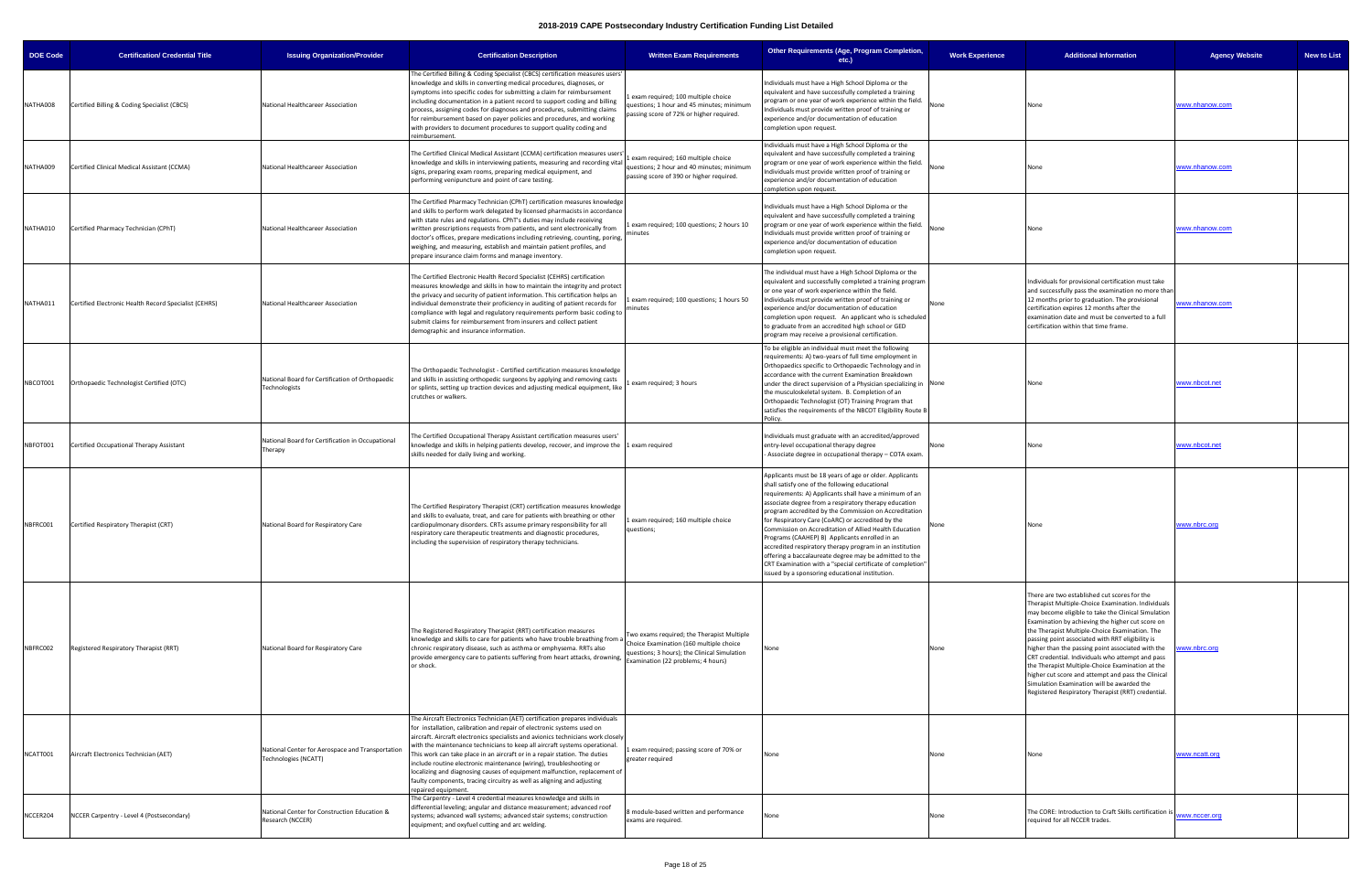| Age, Program Completion,<br>etc.)                                                                                                                                                                                                                                                                                                                                         | <b>Work Experience</b> | <b>Additional Information</b>                                                                                                                                                                                                                                                                                                                                                                                                                                                                                                                                                                                                              | <b>Agency Website</b> | <b>New to List</b> |
|---------------------------------------------------------------------------------------------------------------------------------------------------------------------------------------------------------------------------------------------------------------------------------------------------------------------------------------------------------------------------|------------------------|--------------------------------------------------------------------------------------------------------------------------------------------------------------------------------------------------------------------------------------------------------------------------------------------------------------------------------------------------------------------------------------------------------------------------------------------------------------------------------------------------------------------------------------------------------------------------------------------------------------------------------------------|-----------------------|--------------------|
| gh School Diploma or the<br>ssfully completed a training<br>ork experience within the field.<br>ritten proof of training or<br>entation of education                                                                                                                                                                                                                      | None                   | None                                                                                                                                                                                                                                                                                                                                                                                                                                                                                                                                                                                                                                       | www.nhanow.com        |                    |
| gh School Diploma or the<br>ssfully completed a training<br>ork experience within the field.<br>ritten proof of training or<br>entation of education                                                                                                                                                                                                                      | None                   | None                                                                                                                                                                                                                                                                                                                                                                                                                                                                                                                                                                                                                                       | www.nhanow.com        |                    |
| gh School Diploma or the<br>ssfully completed a training<br>ork experience within the field.<br>ritten proof of training or<br>entation of education                                                                                                                                                                                                                      | None                   | None                                                                                                                                                                                                                                                                                                                                                                                                                                                                                                                                                                                                                                       | www.nhanow.com        |                    |
| High School Diploma or the<br>y completed a training program<br>ence within the field.<br>ritten proof of training or<br>entation of education<br>An applicant who is scheduled<br>dited high school or GED<br>ovisional certification.                                                                                                                                   | None                   | Individuals for provisional certification must take<br>and successfully pass the examination no more than<br>12 months prior to graduation. The provisional<br>certification expires 12 months after the<br>examination date and must be converted to a full<br>certification within that time frame.                                                                                                                                                                                                                                                                                                                                      | www.nhanow.com        |                    |
| must meet the following<br>s of full time employment in<br>rthopaedic Technology and in<br>nt Examination Breakdown<br>on of a Physician specializing in<br>n. B. Completion of an<br>(OT) Training Program that<br>of the NBCOT Eligibility Route B                                                                                                                      | None                   | None                                                                                                                                                                                                                                                                                                                                                                                                                                                                                                                                                                                                                                       | www.nbcot.net         |                    |
| with an accredited/approved<br>erapy degree<br>pational therapy - COTA exam.                                                                                                                                                                                                                                                                                              | None                   | None                                                                                                                                                                                                                                                                                                                                                                                                                                                                                                                                                                                                                                       | www.nbcot.net         |                    |
| rs of age or older. Applicants<br>owing educational<br>ts shall have a minimum of an<br>spiratory therapy education<br>Commission on Accreditation<br>C) or accredited by the<br>ion of Allied Health Education<br>plicants enrolled in an<br>apy program in an institution<br>egree may be admitted to the<br>pecial certificate of completion"<br>cational institution. | None                   | None                                                                                                                                                                                                                                                                                                                                                                                                                                                                                                                                                                                                                                       | www.nbrc.org          |                    |
|                                                                                                                                                                                                                                                                                                                                                                           | None                   | There are two established cut scores for the<br>Therapist Multiple-Choice Examination. Individuals<br>may become eligible to take the Clinical Simulation<br>Examination by achieving the higher cut score on<br>the Therapist Multiple-Choice Examination. The<br>passing point associated with RRT eligibility is<br>higher than the passing point associated with the<br>CRT credential. Individuals who attempt and pass<br>the Therapist Multiple-Choice Examination at the<br>higher cut score and attempt and pass the Clinical<br>Simulation Examination will be awarded the<br>Registered Respiratory Therapist (RRT) credential. | www.nbrc.org          |                    |
|                                                                                                                                                                                                                                                                                                                                                                           | None                   | None                                                                                                                                                                                                                                                                                                                                                                                                                                                                                                                                                                                                                                       | www.ncatt.org         |                    |
|                                                                                                                                                                                                                                                                                                                                                                           | None                   | The CORE: Introduction to Craft Skills certification is<br>required for all NCCER trades.                                                                                                                                                                                                                                                                                                                                                                                                                                                                                                                                                  | www.nccer.org         |                    |
|                                                                                                                                                                                                                                                                                                                                                                           |                        |                                                                                                                                                                                                                                                                                                                                                                                                                                                                                                                                                                                                                                            |                       |                    |

| <b>DOE Code</b> | <b>Certification/ Credential Title</b>                | <b>Issuing Organization/Provider</b>                                     | <b>Certification Description</b>                                                                                                                                                                                                                                                                                                                                                                                                                                                                                                                                                                                                                           | <b>Written Exam Requirements</b>                                                                                                                                            | Other Requirements (Age, Program Completion,<br>etc.)                                                                                                                                                                                                                                                                                                                                                                                                                                                                                                                                                                                                                                         | <b>Work Experience</b> | <b>Additional Information</b>                                                                                                                                                                                                                                                                                                                                                                                                                                                                                                                                                                                                              | Ag                  |
|-----------------|-------------------------------------------------------|--------------------------------------------------------------------------|------------------------------------------------------------------------------------------------------------------------------------------------------------------------------------------------------------------------------------------------------------------------------------------------------------------------------------------------------------------------------------------------------------------------------------------------------------------------------------------------------------------------------------------------------------------------------------------------------------------------------------------------------------|-----------------------------------------------------------------------------------------------------------------------------------------------------------------------------|-----------------------------------------------------------------------------------------------------------------------------------------------------------------------------------------------------------------------------------------------------------------------------------------------------------------------------------------------------------------------------------------------------------------------------------------------------------------------------------------------------------------------------------------------------------------------------------------------------------------------------------------------------------------------------------------------|------------------------|--------------------------------------------------------------------------------------------------------------------------------------------------------------------------------------------------------------------------------------------------------------------------------------------------------------------------------------------------------------------------------------------------------------------------------------------------------------------------------------------------------------------------------------------------------------------------------------------------------------------------------------------|---------------------|
| NATHA008        | Certified Billing & Coding Specialist (CBCS)          | National Healthcareer Association                                        | The Certified Billing & Coding Specialist (CBCS) certification measures users'<br>knowledge and skills in converting medical procedures, diagnoses, or<br>symptoms into specific codes for submitting a claim for reimbursement<br>including documentation in a patient record to support coding and billing<br>process, assigning codes for diagnoses and procedures, submitting claims<br>for reimbursement based on payer policies and procedures, and working<br>with providers to document procedures to support quality coding and<br>eimbursement.                                                                                                  | exam required; 100 multiple choice<br>questions; 1 hour and 45 minutes; minimum<br>passing score of 72% or higher required.                                                 | Individuals must have a High School Diploma or the<br>equivalent and have successfully completed a training<br>program or one year of work experience within the field.<br>Individuals must provide written proof of training or<br>experience and/or documentation of education<br>completion upon request.                                                                                                                                                                                                                                                                                                                                                                                  | None                   | None                                                                                                                                                                                                                                                                                                                                                                                                                                                                                                                                                                                                                                       | <u>www.nhanow</u>   |
| NATHA009        | Certified Clinical Medical Assistant (CCMA)           | National Healthcareer Association                                        | The Certified Clinical Medical Assistant (CCMA) certification measures user<br>knowledge and skills in interviewing patients, measuring and recording vital<br>signs, preparing exam rooms, preparing medical equipment, and<br>performing venipuncture and point of care testing.                                                                                                                                                                                                                                                                                                                                                                         | 1 exam required; 160 multiple choice<br>questions; 2 hour and 40 minutes; minimum<br>passing score of 390 or higher required.                                               | Individuals must have a High School Diploma or the<br>equivalent and have successfully completed a training<br>program or one year of work experience within the field.<br>Individuals must provide written proof of training or<br>experience and/or documentation of education<br>completion upon request.                                                                                                                                                                                                                                                                                                                                                                                  | None                   | None                                                                                                                                                                                                                                                                                                                                                                                                                                                                                                                                                                                                                                       | www.nhanow          |
| NATHA010        | Certified Pharmacy Technician (CPhT)                  | National Healthcareer Association                                        | The Certified Pharmacy Technician (CPhT) certification measures knowledge<br>and skills to perform work delegated by licensed pharmacists in accordance<br>with state rules and regulations. CPhT's duties may include receiving<br>written prescriptions requests from patients, and sent electronically from<br>doctor's offices, prepare medications including retrieving, counting, poring,<br>weighing, and measuring, establish and maintain patient profiles, and<br>prepare insurance claim forms and manage inventory.                                                                                                                            | 1 exam required; 100 questions; 2 hours 10<br>minutes                                                                                                                       | Individuals must have a High School Diploma or the<br>equivalent and have successfully completed a training<br>program or one year of work experience within the field.<br>Individuals must provide written proof of training or<br>experience and/or documentation of education<br>completion upon request.                                                                                                                                                                                                                                                                                                                                                                                  | None                   | None                                                                                                                                                                                                                                                                                                                                                                                                                                                                                                                                                                                                                                       | www.nhanow          |
| NATHA011        | Certified Electronic Health Record Specialist (CEHRS) | National Healthcareer Association                                        | The Certified Electronic Health Record Specialist (CEHRS) certification<br>measures knowledge and skills in how to maintain the integrity and protect<br>he privacy and security of patient information. This certification helps an:<br>individual demonstrate their proficiency in auditing of patient records for<br>compliance with legal and regulatory requirements perform basic coding to<br>submit claims for reimbursement from insurers and collect patient<br>demographic and insurance information.                                                                                                                                           | 1 exam required; 100 questions; 1 hours 50<br>minutes                                                                                                                       | The individual must have a High School Diploma or the<br>equivalent and successfully completed a training program<br>or one year of work experience within the field.<br>Individuals must provide written proof of training or<br>experience and/or documentation of education<br>completion upon request. An applicant who is scheduled<br>to graduate from an accredited high school or GED<br>program may receive a provisional certification.                                                                                                                                                                                                                                             | None                   | Individuals for provisional certification must take<br>and successfully pass the examination no more than<br>12 months prior to graduation. The provisional<br>certification expires 12 months after the<br>examination date and must be converted to a full<br>certification within that time frame.                                                                                                                                                                                                                                                                                                                                      | <u>/ww.nhanow</u>   |
| NBCOT001        | Orthopaedic Technologist Certified (OTC)              | National Board for Certification of Orthopaedic<br>Technologists         | The Orthopaedic Technologist - Certified certification measures knowledge<br>and skills in assisting orthopedic surgeons by applying and removing casts<br>or splints, setting up traction devices and adjusting medical equipment, like<br>crutches or walkers.                                                                                                                                                                                                                                                                                                                                                                                           | Lexam required; 3 hours                                                                                                                                                     | To be eligible an individual must meet the following<br>requirements: A) two-years of full time employment in<br>Orthopaedics specific to Orthopaedic Technology and in<br>accordance with the current Examination Breakdown<br>under the direct supervision of a Physician specializing in None<br>the musculoskeletal system. B. Completion of an<br>Orthopaedic Technologist (OT) Training Program that<br>satisfies the requirements of the NBCOT Eligibility Route B<br>Policy.                                                                                                                                                                                                          |                        | None                                                                                                                                                                                                                                                                                                                                                                                                                                                                                                                                                                                                                                       | vww.nbcot.ne        |
| NBFOT001        | Certified Occupational Therapy Assistant              | National Board for Certification in Occupational<br>Therapy              | The Certified Occupational Therapy Assistant certification measures users'<br>knowledge and skills in helping patients develop, recover, and improve the 1 exam required<br>skills needed for daily living and working.                                                                                                                                                                                                                                                                                                                                                                                                                                    |                                                                                                                                                                             | Individuals must graduate with an accredited/approved<br>entry-level occupational therapy degree<br>Associate degree in occupational therapy - COTA exam.                                                                                                                                                                                                                                                                                                                                                                                                                                                                                                                                     | None                   | None                                                                                                                                                                                                                                                                                                                                                                                                                                                                                                                                                                                                                                       | vww.nbcot.ne        |
| NBFRC001        | Certified Respiratory Therapist (CRT)                 | National Board for Respiratory Care                                      | The Certified Respiratory Therapist (CRT) certification measures knowledge<br>and skills to evaluate, treat, and care for patients with breathing or other<br>cardiopulmonary disorders. CRTs assume primary responsibility for all<br>respiratory care therapeutic treatments and diagnostic procedures,<br>including the supervision of respiratory therapy technicians.                                                                                                                                                                                                                                                                                 | exam required; 160 multiple choice<br>questions;                                                                                                                            | Applicants must be 18 years of age or older. Applicants<br>shall satisfy one of the following educational<br>requirements: A) Applicants shall have a minimum of an<br>associate degree from a respiratory therapy education<br>program accredited by the Commission on Accreditation<br>for Respiratory Care (CoARC) or accredited by the<br>Commission on Accreditation of Allied Health Education<br>Programs (CAAHEP) B) Applicants enrolled in an<br>accredited respiratory therapy program in an institution<br>offering a baccalaureate degree may be admitted to the<br>CRT Examination with a "special certificate of completion'<br>issued by a sponsoring educational institution. | None                   | None                                                                                                                                                                                                                                                                                                                                                                                                                                                                                                                                                                                                                                       | www.nbrc.org        |
| NBFRC002        | Registered Respiratory Therapist (RRT)                | National Board for Respiratory Care                                      | The Registered Respiratory Therapist (RRT) certification measures<br>knowledge and skills to care for patients who have trouble breathing from a<br>chronic respiratory disease, such as asthma or emphysema. RRTs also<br>provide emergency care to patients suffering from heart attacks, drowning,<br>or shock.                                                                                                                                                                                                                                                                                                                                         | Two exams required; the Therapist Multiple<br>Choice Examination (160 multiple choice<br>questions; 3 hours); the Clinical Simulation<br>Examination (22 problems; 4 hours) | None                                                                                                                                                                                                                                                                                                                                                                                                                                                                                                                                                                                                                                                                                          | None                   | There are two established cut scores for the<br>Therapist Multiple-Choice Examination. Individuals<br>may become eligible to take the Clinical Simulation<br>Examination by achieving the higher cut score on<br>the Therapist Multiple-Choice Examination. The<br>passing point associated with RRT eligibility is<br>higher than the passing point associated with the<br>CRT credential. Individuals who attempt and pass<br>the Therapist Multiple-Choice Examination at the<br>higher cut score and attempt and pass the Clinical<br>Simulation Examination will be awarded the<br>Registered Respiratory Therapist (RRT) credential. | <u>/ww.nbrc.org</u> |
| NCATT001        | Aircraft Electronics Technician (AET)                 | National Center for Aerospace and Transportation<br>Technologies (NCATT) | The Aircraft Electronics Technician (AET) certification prepares individuals<br>for installation, calibration and repair of electronic systems used on<br>aircraft. Aircraft electronics specialists and avionics technicians work closely<br>with the maintenance technicians to keep all aircraft systems operational.<br>This work can take place in an aircraft or in a repair station. The duties<br>include routine electronic maintenance (wiring), troubleshooting or<br>localizing and diagnosing causes of equipment malfunction, replacement of<br>faulty components, tracing circuitry as well as aligning and adjusting<br>epaired equipment. | 1 exam required; passing score of 70% or<br>greater required                                                                                                                | None                                                                                                                                                                                                                                                                                                                                                                                                                                                                                                                                                                                                                                                                                          | None                   | None                                                                                                                                                                                                                                                                                                                                                                                                                                                                                                                                                                                                                                       | www.ncatt.org       |
| NCCER204        | NCCER Carpentry - Level 4 (Postsecondary)             | National Center for Construction Education &<br>Research (NCCER)         | The Carpentry - Level 4 credential measures knowledge and skills in<br>differential leveling; angular and distance measurement; advanced roof<br>systems; advanced wall systems; advanced stair systems; construction<br>equipment; and oxyfuel cutting and arc welding.                                                                                                                                                                                                                                                                                                                                                                                   | 8 module-based written and performance<br>exams are required.                                                                                                               | None                                                                                                                                                                                                                                                                                                                                                                                                                                                                                                                                                                                                                                                                                          | None                   | The CORE: Introduction to Craft Skills certification is<br>required for all NCCER trades.                                                                                                                                                                                                                                                                                                                                                                                                                                                                                                                                                  | vww.nccer.or        |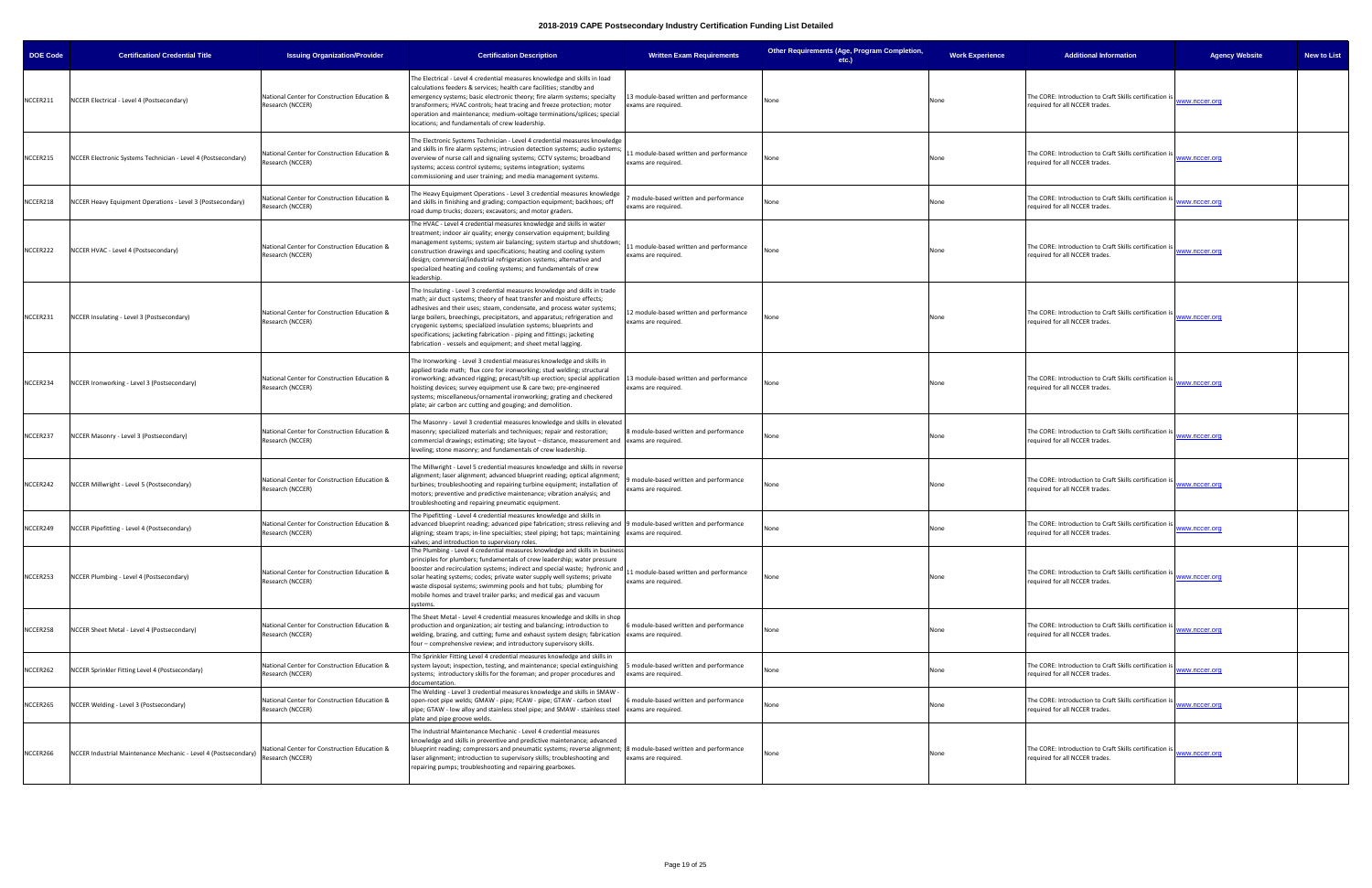| <b>DOE Code</b> | <b>Certification/ Credential Title</b>                          | <b>Issuing Organization/Provider</b>                             | <b>Certification Description</b>                                                                                                                                                                                                                                                                                                                                                                                                                                                                                            | <b>Written Exam Requirements</b>                               | Other Requirements (Age, Program Completion,<br>etc.) | <b>Work Experience</b> | <b>Additional Information</b>                                                             | <b>Agency Website</b><br><b>New to List</b> |
|-----------------|-----------------------------------------------------------------|------------------------------------------------------------------|-----------------------------------------------------------------------------------------------------------------------------------------------------------------------------------------------------------------------------------------------------------------------------------------------------------------------------------------------------------------------------------------------------------------------------------------------------------------------------------------------------------------------------|----------------------------------------------------------------|-------------------------------------------------------|------------------------|-------------------------------------------------------------------------------------------|---------------------------------------------|
| NCCER211        | NCCER Electrical - Level 4 (Postsecondary)                      | National Center for Construction Education &<br>Research (NCCER) | The Electrical - Level 4 credential measures knowledge and skills in load<br>calculations feeders & services; health care facilities; standby and<br>emergency systems; basic electronic theory; fire alarm systems; specialty<br>transformers; HVAC controls; heat tracing and freeze protection; motor<br>operation and maintenance; medium-voltage terminations/splices; special<br>locations; and fundamentals of crew leadership.                                                                                      | 13 module-based written and performance<br>exams are required. | None                                                  | None                   | The CORE: Introduction to Craft Skills certification is<br>equired for all NCCER trades.  | ww.nccer.org                                |
| NCCER215        | NCCER Electronic Systems Technician - Level 4 (Postsecondary)   | Vational Center for Construction Education &<br>Research (NCCER) | The Electronic Systems Technician - Level 4 credential measures knowledge<br>and skills in fire alarm systems; intrusion detection systems; audio systems;<br>overview of nurse call and signaling systems; CCTV systems; broadband<br>systems; access control systems; systems integration; systems<br>commissioning and user training; and media management systems.                                                                                                                                                      | 1 module-based written and performance<br>exams are required.  | None                                                  | None                   | The CORE: Introduction to Craft Skills certification is<br>equired for all NCCER trades.  | www.nccer.org                               |
| NCCER218        | NCCER Heavy Equipment Operations - Level 3 (Postsecondary)      | National Center for Construction Education &<br>Research (NCCER) | The Heavy Equipment Operations - Level 3 credential measures knowledge<br>and skills in finishing and grading; compaction equipment; backhoes; off<br>road dump trucks; dozers; excavators; and motor graders.                                                                                                                                                                                                                                                                                                              | module-based written and performance<br>exams are required.    | None                                                  | None                   | The CORE: Introduction to Craft Skills certification is<br>equired for all NCCER trades.  | ww.nccer.org                                |
| NCCER222        | NCCER HVAC - Level 4 (Postsecondary)                            | National Center for Construction Education &<br>Research (NCCER) | The HVAC - Level 4 credential measures knowledge and skills in water<br>treatment; indoor air quality; energy conservation equipment; building<br>management systems; system air balancing; system startup and shutdown;<br>construction drawings and specifications; heating and cooling system<br>design; commercial/industrial refrigeration systems; alternative and<br>specialized heating and cooling systems; and fundamentals of crew<br>leadership.                                                                | 1 module-based written and performance<br>exams are required.  | Jone                                                  | None                   | The CORE: Introduction to Craft Skills certification i:<br>equired for all NCCER trades.  | ww.nccer.org                                |
| NCCER231        | NCCER Insulating - Level 3 (Postsecondary)                      | National Center for Construction Education &<br>Research (NCCER) | The Insulating - Level 3 credential measures knowledge and skills in trade<br>math; air duct systems; theory of heat transfer and moisture effects;<br>adhesives and their uses; steam, condensate, and process water systems<br>large boilers, breechings, precipitators, and apparatus; refrigeration and<br>cryogenic systems; specialized insulation systems; blueprints and<br>specifications; jacketing fabrication - piping and fittings; jacketing<br>fabrication - vessels and equipment; and sheet metal lagging. | 12 module-based written and performance<br>exams are required. | Jone                                                  | None                   | The CORE: Introduction to Craft Skills certification is<br>required for all NCCER trades. | ww.nccer.org                                |
| NCCER234        | NCCER Ironworking - Level 3 (Postsecondary)                     | National Center for Construction Education &<br>Research (NCCER) | The Ironworking - Level 3 credential measures knowledge and skills in<br>applied trade math; flux core for ironworking; stud welding; structural<br>ironworking; advanced rigging; precast/tilt-up erection; special application 13 module-based written and performance<br>hoisting devices; survey equipment use & care two; pre-engineered<br>systems; miscellaneous/ornamental ironworking; grating and checkered<br>plate; air carbon arc cutting and gouging; and demolition.                                         | exams are required.                                            | None                                                  | None                   | The CORE: Introduction to Craft Skills certification is<br>required for all NCCER trades. | ww.nccer.org                                |
| NCCER237        | NCCER Masonry - Level 3 (Postsecondary)                         | National Center for Construction Education &<br>Research (NCCER) | The Masonry - Level 3 credential measures knowledge and skills in elevated<br>masonry; specialized materials and techniques; repair and restoration;<br>commercial drawings; estimating; site layout - distance, measurement and lexams are required.<br>leveling; stone masonry; and fundamentals of crew leadership.                                                                                                                                                                                                      | 8 module-based written and performance                         | None                                                  | None                   | The CORE: Introduction to Craft Skills certification is<br>equired for all NCCER trades.  | ww.nccer.org                                |
| NCCER242        | NCCER Millwright - Level 5 (Postsecondary)                      | National Center for Construction Education &<br>Research (NCCER) | The Millwright - Level 5 credential measures knowledge and skills in reverse<br>alignment; laser alignment; advanced blueprint reading; optical alignment;<br>turbines; troubleshooting and repairing turbine equipment; installation of<br>motors; preventive and predictive maintenance; vibration analysis; and<br>troubleshooting and repairing pneumatic equipment.                                                                                                                                                    | module-based written and performance<br>exams are required.    | None                                                  | None                   | The CORE: Introduction to Craft Skills certification is<br>equired for all NCCER trades.  | www.nccer.org                               |
| NCCER249        | NCCER Pipefitting - Level 4 (Postsecondary)                     | National Center for Construction Education &<br>Research (NCCER) | The Pipefitting - Level 4 credential measures knowledge and skills in<br>advanced blueprint reading; advanced pipe fabrication; stress relieving and 9 module-based written and performance<br>aligning; steam traps; in-line specialties; steel piping; hot taps; maintaining exams are required.<br>valves; and introduction to supervisory roles.                                                                                                                                                                        |                                                                | None                                                  | None                   | The CORE: Introduction to Craft Skills certification is<br>equired for all NCCER trades.  | ww.nccer.org                                |
| NCCER253        | NCCER Plumbing - Level 4 (Postsecondary)                        | National Center for Construction Education &<br>Research (NCCER) | The Plumbing - Level 4 credential measures knowledge and skills in business<br>principles for plumbers; fundamentals of crew leadership; water pressure<br>booster and recirculation systems; indirect and special waste; hydronic and<br>solar heating systems; codes; private water supply well systems; private<br>waste disposal systems; swimming pools and hot tubs; plumbing for<br>mobile homes and travel trailer parks; and medical gas and vacuum<br>systems.                                                    | 1 module-based written and performance<br>exams are required.  | None                                                  | None                   | The CORE: Introduction to Craft Skills certification is<br>equired for all NCCER trades.  | ww.nccer.org                                |
| NCCER258        | NCCER Sheet Metal - Level 4 (Postsecondary)                     | National Center for Construction Education &<br>Research (NCCER) | The Sheet Metal - Level 4 credential measures knowledge and skills in shop<br>production and organization; air testing and balancing; introduction to<br>welding, brazing, and cutting; fume and exhaust system design; fabrication exams are required.<br>four - comprehensive review; and introductory supervisory skills.                                                                                                                                                                                                | module-based written and performance                           | None                                                  | None                   | The CORE: Introduction to Craft Skills certification is<br>equired for all NCCER trades.  | ww.nccer.org                                |
| NCCER262        | NCCER Sprinkler Fitting Level 4 (Postsecondary)                 | National Center for Construction Education &<br>Research (NCCER) | The Sprinkler Fitting Level 4 credential measures knowledge and skills in<br>system layout; inspection, testing, and maintenance; special extinguishing   5 module-based written and performance<br>systems; introductory skills for the foreman; and proper procedures and<br>documentation.                                                                                                                                                                                                                               | exams are required.                                            | None                                                  | None                   | The CORE: Introduction to Craft Skills certification is<br>equired for all NCCER trades.  | ww.nccer.org                                |
| NCCER265        | NCCER Welding - Level 3 (Postsecondary)                         | National Center for Construction Education &<br>Research (NCCER) | The Welding - Level 3 credential measures knowledge and skills in SMAW -<br>open-root pipe welds; GMAW - pipe; FCAW - pipe; GTAW - carbon steel<br>pipe; GTAW - low alloy and stainless steel pipe; and SMAW - stainless steel exams are required.<br>plate and pipe groove welds.                                                                                                                                                                                                                                          | module-based written and performance                           | None                                                  | None                   | The CORE: Introduction to Craft Skills certification is<br>required for all NCCER trades. | ww.nccer.org                                |
| NCCER266        | NCCER Industrial Maintenance Mechanic - Level 4 (Postsecondary) | National Center for Construction Education &<br>Research (NCCER) | The Industrial Maintenance Mechanic - Level 4 credential measures<br>knowledge and skills in preventive and predictive maintenance; advanced<br>blueprint reading; compressors and pneumatic systems; reverse alignment; 8 module-based written and performance<br>laser alignment; introduction to supervisory skills; troubleshooting and<br>repairing pumps; troubleshooting and repairing gearboxes.                                                                                                                    | exams are required.                                            | Jone                                                  | None                   | The CORE: Introduction to Craft Skills certification is<br>equired for all NCCER trades.  | ww.nccer.org                                |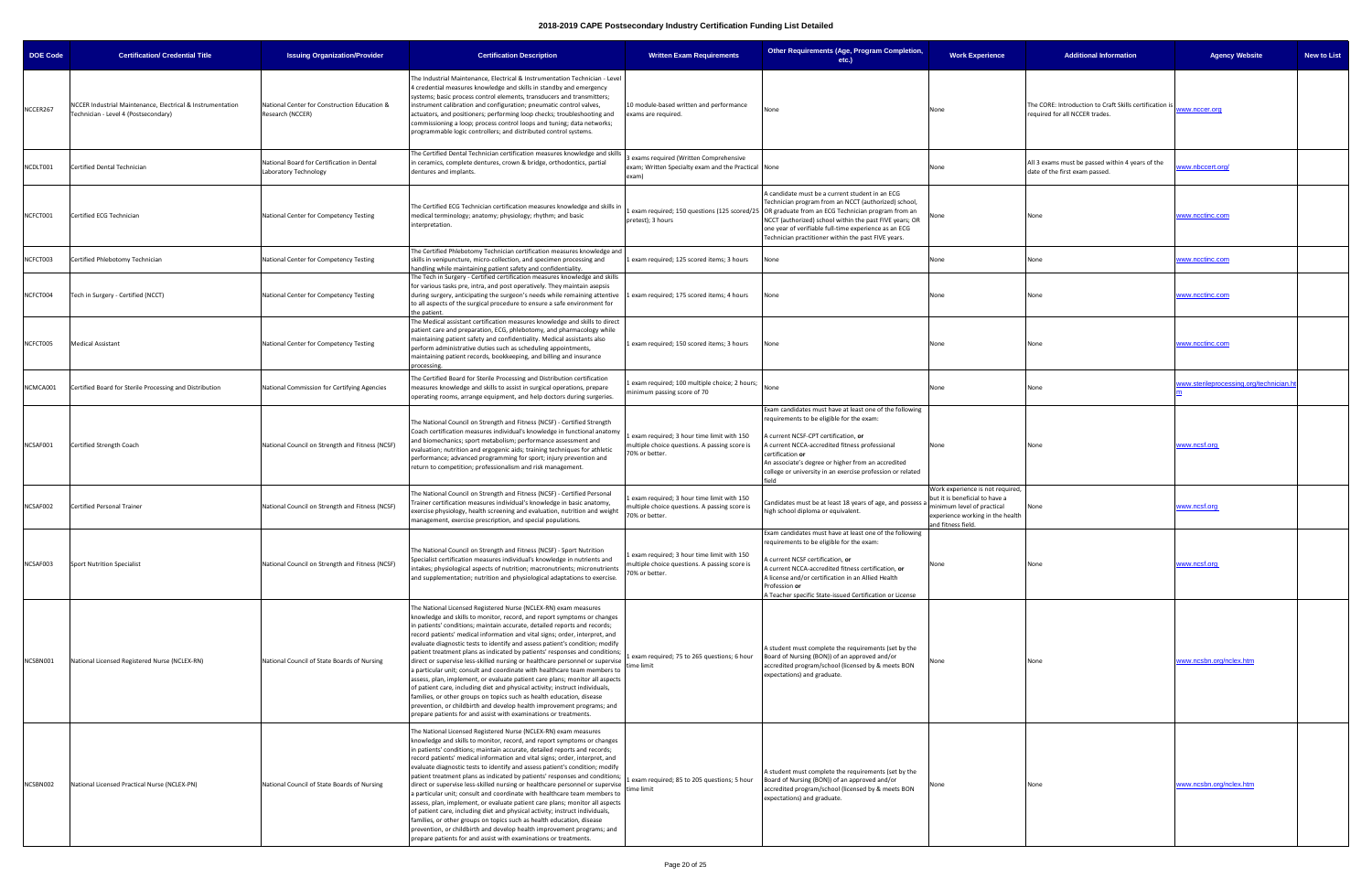| <b>DOE Code</b> | <b>Certification/ Credential Title</b>                                                             | <b>Issuing Organization/Provider</b>                                | <b>Certification Description</b>                                                                                                                                                                                                                                                                                                                                                                                                                                                                                                                                                                                                                                                                                                                                                                                                                                                                                                                                                                                           | <b>Written Exam Requirements</b>                                                                             | Other Requirements (Age, Program Completion,<br>etc.)                                                                                                                                                                                                                                                                                                                                  | <b>Work Experience</b>                                                                                                                                    | <b>Additional Information</b>                                                             | <b>Agency Website</b><br><b>New to List</b> |
|-----------------|----------------------------------------------------------------------------------------------------|---------------------------------------------------------------------|----------------------------------------------------------------------------------------------------------------------------------------------------------------------------------------------------------------------------------------------------------------------------------------------------------------------------------------------------------------------------------------------------------------------------------------------------------------------------------------------------------------------------------------------------------------------------------------------------------------------------------------------------------------------------------------------------------------------------------------------------------------------------------------------------------------------------------------------------------------------------------------------------------------------------------------------------------------------------------------------------------------------------|--------------------------------------------------------------------------------------------------------------|----------------------------------------------------------------------------------------------------------------------------------------------------------------------------------------------------------------------------------------------------------------------------------------------------------------------------------------------------------------------------------------|-----------------------------------------------------------------------------------------------------------------------------------------------------------|-------------------------------------------------------------------------------------------|---------------------------------------------|
| NCCER267        | NCCER Industrial Maintenance, Electrical & Instrumentation<br>Technician - Level 4 (Postsecondary) | National Center for Construction Education &<br>Research (NCCER)    | The Industrial Maintenance, Electrical & Instrumentation Technician - Level<br>4 credential measures knowledge and skills in standby and emergency<br>systems; basic process control elements, transducers and transmitters;<br>instrument calibration and configuration; pneumatic control valves,<br>actuators, and positioners; performing loop checks; troubleshooting and<br>commissioning a loop; process control loops and tuning; data networks;<br>programmable logic controllers; and distributed control systems.                                                                                                                                                                                                                                                                                                                                                                                                                                                                                               | 10 module-based written and performance<br>exams are required.                                               | None                                                                                                                                                                                                                                                                                                                                                                                   | None                                                                                                                                                      | The CORE: Introduction to Craft Skills certification i:<br>required for all NCCER trades. | ww.nccer.org                                |
| NCDLT001        | Certified Dental Technician                                                                        | National Board for Certification in Dental<br>Laboratory Technology | The Certified Dental Technician certification measures knowledge and skills<br>in ceramics, complete dentures, crown & bridge, orthodontics, partial<br>dentures and implants.                                                                                                                                                                                                                                                                                                                                                                                                                                                                                                                                                                                                                                                                                                                                                                                                                                             | exams required (Written Comprehensive<br>exam; Written Specialty exam and the Practical None<br>exam)        |                                                                                                                                                                                                                                                                                                                                                                                        | None                                                                                                                                                      | All 3 exams must be passed within 4 years of the<br>date of the first exam passed.        | ww.nbccert.org/                             |
| NCFCT001        | Certified ECG Technician                                                                           | National Center for Competency Testing                              | The Certified ECG Technician certification measures knowledge and skills ir<br>medical terminology; anatomy; physiology; rhythm; and basic<br>interpretation.                                                                                                                                                                                                                                                                                                                                                                                                                                                                                                                                                                                                                                                                                                                                                                                                                                                              | pretest); 3 hours                                                                                            | A candidate must be a current student in an ECG<br>Technician program from an NCCT (authorized) school,<br>exam required; 150 questions (125 scored/25   OR graduate from an ECG Technician program from an<br>NCCT (authorized) school within the past FIVE years; OR<br>one year of verifiable full-time experience as an ECG<br>Technician practitioner within the past FIVE years. | vone                                                                                                                                                      | None                                                                                      | www.ncctinc.com                             |
| NCFCT003        | Certified Phlebotomy Technician                                                                    | National Center for Competency Testing                              | The Certified Phlebotomy Technician certification measures knowledge and<br>skills in venipuncture, micro-collection, and specimen processing and<br>handling while maintaining patient safety and confidentiality.                                                                                                                                                                                                                                                                                                                                                                                                                                                                                                                                                                                                                                                                                                                                                                                                        | exam required; 125 scored items; 3 hours                                                                     | None                                                                                                                                                                                                                                                                                                                                                                                   | None                                                                                                                                                      | None                                                                                      | <u>www.ncctinc.com</u>                      |
| NCFCT004        | Tech in Surgery - Certified (NCCT)                                                                 | National Center for Competency Testing                              | The Tech in Surgery - Certified certification measures knowledge and skills<br>for various tasks pre, intra, and post operatively. They maintain asepsis<br>during surgery, anticipating the surgeon's needs while remaining attentive<br>to all aspects of the surgical procedure to ensure a safe environment for<br>the patient.                                                                                                                                                                                                                                                                                                                                                                                                                                                                                                                                                                                                                                                                                        | exam required; 175 scored items; 4 hours                                                                     | None                                                                                                                                                                                                                                                                                                                                                                                   | None                                                                                                                                                      | None                                                                                      | www.ncctinc.com                             |
| NCFCT005        | <b>Medical Assistant</b>                                                                           | National Center for Competency Testing                              | The Medical assistant certification measures knowledge and skills to direct<br>patient care and preparation, ECG, phlebotomy, and pharmacology while<br>maintaining patient safety and confidentiality. Medical assistants also<br>perform administrative duties such as scheduling appointments,<br>maintaining patient records, bookkeeping, and billing and insurance<br>processing.                                                                                                                                                                                                                                                                                                                                                                                                                                                                                                                                                                                                                                    | exam required; 150 scored items; 3 hours                                                                     | None                                                                                                                                                                                                                                                                                                                                                                                   | None                                                                                                                                                      | None                                                                                      | www.ncctinc.com                             |
| NCMCA001        | Certified Board for Sterile Processing and Distribution                                            | National Commission for Certifying Agencies                         | The Certified Board for Sterile Processing and Distribution certification<br>measures knowledge and skills to assist in surgical operations, prepare<br>operating rooms, arrange equipment, and help doctors during surgeries.                                                                                                                                                                                                                                                                                                                                                                                                                                                                                                                                                                                                                                                                                                                                                                                             | exam required; 100 multiple choice; 2 hours;<br>minimum passing score of 70                                  |                                                                                                                                                                                                                                                                                                                                                                                        | None                                                                                                                                                      | None                                                                                      | ww.sterileprocessing.org/technician.h       |
| NCSAF001        | Certified Strength Coach                                                                           | National Council on Strength and Fitness (NCSF)                     | The National Council on Strength and Fitness (NCSF) - Certified Strength<br>Coach certification measures individual's knowledge in functional anatomy<br>and biomechanics; sport metabolism; performance assessment and<br>evaluation; nutrition and ergogenic aids; training techniques for athletic<br>performance; advanced programming for sport; injury prevention and<br>return to competition; professionalism and risk management.                                                                                                                                                                                                                                                                                                                                                                                                                                                                                                                                                                                 | exam required; 3 hour time limit with 150<br>nultiple choice questions. A passing score is<br>70% or better. | Exam candidates must have at least one of the following<br>requirements to be eligible for the exam:<br>A current NCSF-CPT certification, or<br>A current NCCA-accredited fitness professional<br>certification or<br>An associate's degree or higher from an accredited<br>college or university in an exercise profession or related                                                 | None                                                                                                                                                      | None                                                                                      | <u>www.ncsf.org</u>                         |
| NCSAF002        | <b>Certified Personal Trainer</b>                                                                  | National Council on Strength and Fitness (NCSF)                     | The National Council on Strength and Fitness (NCSF) - Certified Personal<br>Trainer certification measures individual's knowledge in basic anatomy,<br>exercise physiology, health screening and evaluation, nutrition and weight<br>management, exercise prescription, and special populations.                                                                                                                                                                                                                                                                                                                                                                                                                                                                                                                                                                                                                                                                                                                           | exam required; 3 hour time limit with 150<br>nultiple choice questions. A passing score is<br>70% or better. | Candidates must be at least 18 years of age, and possess a<br>high school diploma or equivalent.                                                                                                                                                                                                                                                                                       | Work experience is not required,<br>but it is beneficial to have a<br>ninimum level of practical<br>experience working in the health<br>nd fitness field. | None                                                                                      | <u>www.ncsf.org</u>                         |
| NCSAF003        | <b>Sport Nutrition Specialist</b>                                                                  | National Council on Strength and Fitness (NCSF)                     | The National Council on Strength and Fitness (NCSF) - Sport Nutrition<br>Specialist certification measures individual's knowledge in nutrients and<br>intakes; physiological aspects of nutrition; macronutrients; micronutrients<br>and supplementation; nutrition and physiological adaptations to exercise.                                                                                                                                                                                                                                                                                                                                                                                                                                                                                                                                                                                                                                                                                                             | exam required; 3 hour time limit with 150<br>nultiple choice questions. A passing score is<br>70% or better. | Exam candidates must have at least one of the following<br>equirements to be eligible for the exam:<br>A current NCSF certification, or<br>A current NCCA-accredited fitness certification, or<br>A license and/or certification in an Allied Health<br>Profession or<br>A Teacher specific State-issued Certification or License                                                      | None                                                                                                                                                      | None                                                                                      | www.ncsf.org                                |
| NCSBN001        | National Licensed Registered Nurse (NCLEX-RN)                                                      | National Council of State Boards of Nursing                         | The National Licensed Registered Nurse (NCLEX-RN) exam measures<br>knowledge and skills to monitor, record, and report symptoms or changes<br>in patients' conditions; maintain accurate, detailed reports and records;<br>record patients' medical information and vital signs; order, interpret, and<br>evaluate diagnostic tests to identify and assess patient's condition; modify<br>patient treatment plans as indicated by patients' responses and conditions;<br>direct or supervise less-skilled nursing or healthcare personnel or supervise<br>a particular unit; consult and coordinate with healthcare team members to<br>assess, plan, implement, or evaluate patient care plans; monitor all aspects<br>of patient care, including diet and physical activity; instruct individuals,<br>families, or other groups on topics such as health education, disease<br>prevention, or childbirth and develop health improvement programs; and<br>prepare patients for and assist with examinations or treatments. | exam required; 75 to 265 questions; 6 hour<br>time limit                                                     | A student must complete the requirements (set by the<br>Board of Nursing (BON)) of an approved and/or<br>accredited program/school (licensed by & meets BON<br>expectations) and graduate.                                                                                                                                                                                             | None                                                                                                                                                      |                                                                                           | www.ncsbn.org/nclex.htm                     |
| NCSBN002        | National Licensed Practical Nurse (NCLEX-PN)                                                       | National Council of State Boards of Nursing                         | The National Licensed Registered Nurse (NCLEX-RN) exam measures<br>knowledge and skills to monitor, record, and report symptoms or changes<br>in patients' conditions; maintain accurate, detailed reports and records;<br>record patients' medical information and vital signs; order, interpret, and<br>evaluate diagnostic tests to identify and assess patient's condition; modify<br>patient treatment plans as indicated by patients' responses and conditions;<br>direct or supervise less-skilled nursing or healthcare personnel or supervise<br>a particular unit; consult and coordinate with healthcare team members to<br>assess, plan, implement, or evaluate patient care plans; monitor all aspects<br>of patient care, including diet and physical activity; instruct individuals,<br>families, or other groups on topics such as health education, disease<br>prevention, or childbirth and develop health improvement programs; and<br>prepare patients for and assist with examinations or treatments. | exam required; 85 to 205 questions; 5 hour<br>time limit                                                     | A student must complete the requirements (set by the<br>Board of Nursing (BON)) of an approved and/or<br>accredited program/school (licensed by & meets BON<br>expectations) and graduate.                                                                                                                                                                                             | None                                                                                                                                                      | None                                                                                      | www.ncsbn.org/nclex.htm                     |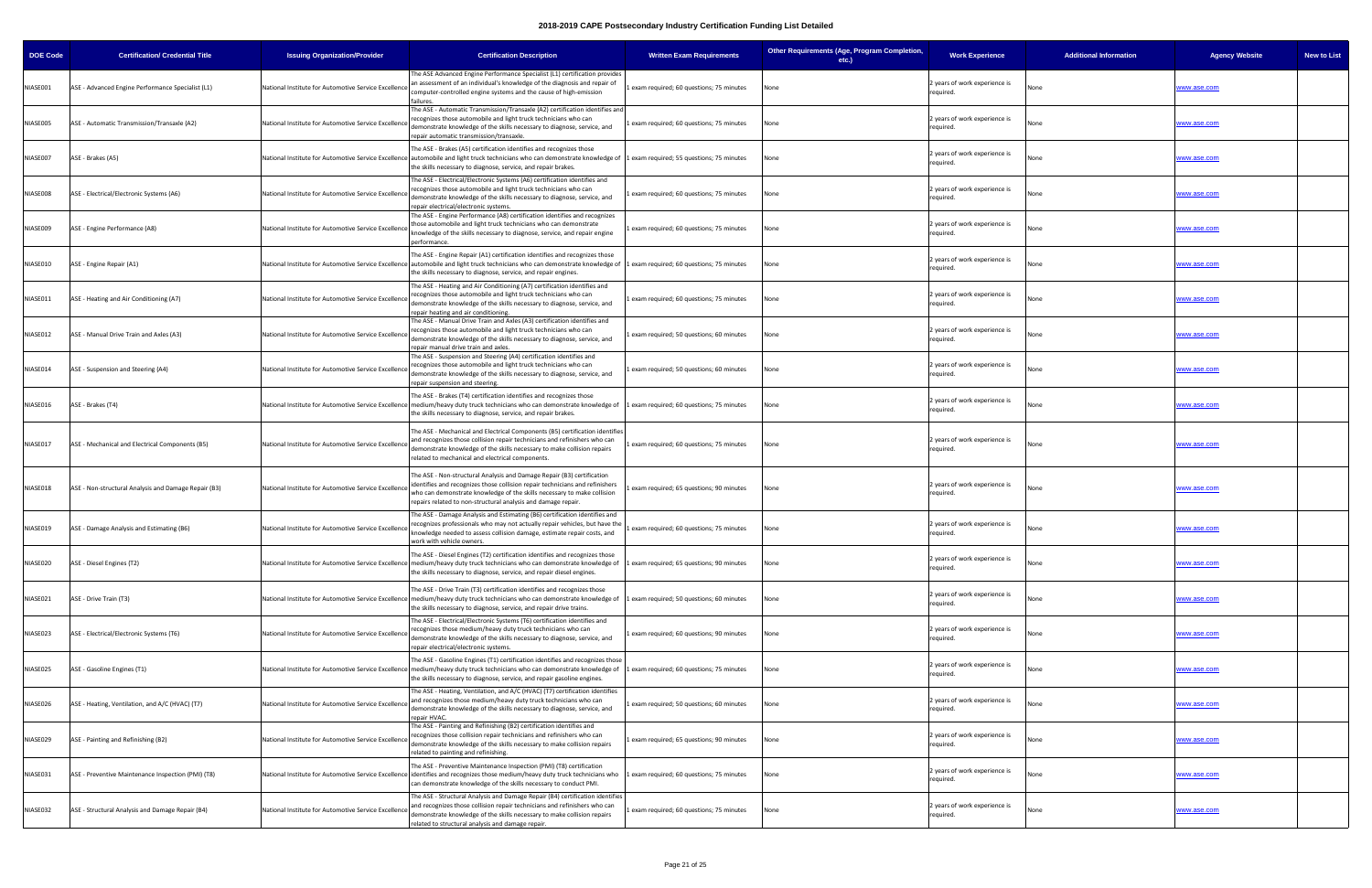| <b>DOE Code</b> | <b>Certification/ Credential Title</b>               | <b>Issuing Organization/Provider</b>                 | <b>Certification Description</b>                                                                                                                                                                                                                                                                                       | <b>Written Exam Requirements</b>          | Other Requirements (Age, Program Completion,<br>etc.) | <b>Work Experience</b>                     | <b>Additional Information</b> | <b>Agency Website</b><br><b>New to List</b> |
|-----------------|------------------------------------------------------|------------------------------------------------------|------------------------------------------------------------------------------------------------------------------------------------------------------------------------------------------------------------------------------------------------------------------------------------------------------------------------|-------------------------------------------|-------------------------------------------------------|--------------------------------------------|-------------------------------|---------------------------------------------|
| NIASE001        | ASE - Advanced Engine Performance Specialist (L1)    | National Institute for Automotive Service Excellend  | The ASE Advanced Engine Performance Specialist (L1) certification provides<br>an assessment of an individual's knowledge of the diagnosis and repair of<br>computer-controlled engine systems and the cause of high-emission<br>failures.                                                                              | exam required; 60 questions; 75 minutes   | None                                                  | years of work experience is<br>required.   |                               | <u>www.ase.com</u>                          |
| NIASE005        | ASE - Automatic Transmission/Transaxle (A2)          | National Institute for Automotive Service Excellence | The ASE - Automatic Transmission/Transaxle (A2) certification identifies and<br>recognizes those automobile and light truck technicians who can<br>demonstrate knowledge of the skills necessary to diagnose, service, and<br>repair automatic transmission/transaxle.                                                 | exam required; 60 questions; 75 minutes   | None                                                  | 2 years of work experience is<br>required. | None                          | www.ase.com                                 |
| NIASE007        | ASE - Brakes (A5)                                    |                                                      | The ASE - Brakes (A5) certification identifies and recognizes those<br>National Institute for Automotive Service Excellence automobile and light truck technicians who can demonstrate knowledge of 1 exam required; 55 questions; 75 minutes<br>the skills necessary to diagnose, service, and repair brakes.         |                                           | None                                                  | 2 years of work experience is<br>required. | None                          | <u>vww.ase.com</u>                          |
| NIASE008        | ASE - Electrical/Electronic Systems (A6)             | National Institute for Automotive Service Excellence | The ASE - Electrical/Electronic Systems (A6) certification identifies and<br>recognizes those automobile and light truck technicians who can<br>demonstrate knowledge of the skills necessary to diagnose, service, and<br>repair electrical/electronic systems.                                                       | exam required; 60 questions; 75 minutes   | None                                                  | 2 years of work experience is<br>required. | None                          | www.ase.com                                 |
| NIASE009        | ASE - Engine Performance (A8)                        | National Institute for Automotive Service Excellenc  | The ASE - Engine Performance (A8) certification identifies and recognizes<br>those automobile and light truck technicians who can demonstrate<br>knowledge of the skills necessary to diagnose, service, and repair engine<br>performance.                                                                             | exam required; 60 questions; 75 minutes   |                                                       | 2 years of work experience is<br>required. | None                          | www.ase.com                                 |
| NIASE010        | ASE - Engine Repair (A1)                             |                                                      | The ASE - Engine Repair (A1) certification identifies and recognizes those<br>National Institute for Automotive Service Excellence automobile and light truck technicians who can demonstrate knowledge of 1 exam required; 60 questions; 75 minutes<br>the skills necessary to diagnose, service, and repair engines. |                                           | None                                                  | 2 years of work experience is<br>required. | None                          | www.ase.com                                 |
| NIASE011        | ASE - Heating and Air Conditioning (A7)              | National Institute for Automotive Service Excellence | The ASE - Heating and Air Conditioning (A7) certification identifies and<br>recognizes those automobile and light truck technicians who can<br>demonstrate knowledge of the skills necessary to diagnose, service, and<br>repair heating and air conditioning.                                                         | exam required; 60 questions; 75 minutes   | None                                                  | 2 years of work experience is<br>required. | None                          | vww.ase.com                                 |
| NIASE012        | ASE - Manual Drive Train and Axles (A3)              | National Institute for Automotive Service Excellence | The ASE - Manual Drive Train and Axles (A3) certification identifies and<br>recognizes those automobile and light truck technicians who can<br>demonstrate knowledge of the skills necessary to diagnose, service, and<br>repair manual drive train and axles.                                                         | exam required; 50 questions; 60 minutes   | None                                                  | 2 years of work experience is<br>required. | None                          | vww.ase.com                                 |
| NIASE014        | ASE - Suspension and Steering (A4)                   | National Institute for Automotive Service Excellence | The ASE - Suspension and Steering (A4) certification identifies and<br>recognizes those automobile and light truck technicians who can<br>demonstrate knowledge of the skills necessary to diagnose, service, and<br>repair suspension and steering.                                                                   | exam required; 50 questions; 60 minutes   | None                                                  | 2 years of work experience is<br>required. |                               | www.ase.com                                 |
| NIASE016        | ASE - Brakes (T4)                                    |                                                      | The ASE - Brakes (T4) certification identifies and recognizes those<br>National Institute for Automotive Service Excellence   medium/heavy duty truck technicians who can demonstrate knowledge of<br>the skills necessary to diagnose, service, and repair brakes.                                                    | exam required; 60 questions; 75 minutes   | None                                                  | 2 years of work experience is<br>required. | None                          | <u>vww.ase.com</u>                          |
| NIASE017        | ASE - Mechanical and Electrical Components (B5)      | National Institute for Automotive Service Excellend  | The ASE - Mechanical and Electrical Components (B5) certification identifies<br>and recognizes those collision repair technicians and refinishers who can<br>demonstrate knowledge of the skills necessary to make collision repairs<br>related to mechanical and electrical components.                               | exam required; 60 questions; 75 minutes   |                                                       | years of work experience is<br>required.   | None                          | <u>vww.ase.com</u>                          |
| NIASE018        | ASE - Non-structural Analysis and Damage Repair (B3) | National Institute for Automotive Service Excellenc  | The ASE - Non-structural Analysis and Damage Repair (B3) certification<br>identifies and recognizes those collision repair technicians and refinishers<br>who can demonstrate knowledge of the skills necessary to make collision<br>repairs related to non-structural analysis and damage repair.                     | exam required; 65 questions; 90 minutes   | None                                                  | 2 years of work experience is<br>required. | √one                          | vww.ase.com                                 |
| NIASE019        | ASE - Damage Analysis and Estimating (B6)            | National Institute for Automotive Service Excellenc  | The ASE - Damage Analysis and Estimating (B6) certification identifies and<br>recognizes professionals who may not actually repair vehicles, but have the<br>knowledge needed to assess collision damage, estimate repair costs, and<br>work with vehicle owners.                                                      | exam required; 60 questions; 75 minutes   | None                                                  | 2 years of work experience is<br>required. | None                          | <u>vww.ase.com</u>                          |
| NIASE020        | ASE - Diesel Engines (T2)                            |                                                      | The ASE - Diesel Engines (T2) certification identifies and recognizes those<br>National Institute for Automotive Service Excellence medium/heavy duty truck technicians who can demonstrate knowledge of<br>the skills necessary to diagnose, service, and repair diesel engines.                                      | 1 exam required; 65 questions; 90 minutes | None                                                  | 2 years of work experience is<br>required. | None                          | www.ase.com                                 |
| NIASE021        | ASE - Drive Train (T3)                               |                                                      | The ASE - Drive Train (T3) certification identifies and recognizes those<br>National Institute for Automotive Service Excellence   medium/heavy duty truck technicians who can demonstrate knowledge of<br>the skills necessary to diagnose, service, and repair drive trains.                                         | exam required; 50 questions; 60 minutes   |                                                       | 2 years of work experience is<br>required. |                               | www.ase.com                                 |
| NIASE023        | ASE - Electrical/Electronic Systems (T6)             | National Institute for Automotive Service Excellence | The ASE - Electrical/Electronic Systems (T6) certification identifies and<br>recognizes those medium/heavy duty truck technicians who can<br>demonstrate knowledge of the skills necessary to diagnose, service, and<br>repair electrical/electronic systems.                                                          | exam required; 60 questions; 90 minutes   | None                                                  | 2 years of work experience is<br>required. | None                          | www.ase.com                                 |
| NIASE025        | ASE - Gasoline Engines (T1)                          |                                                      | The ASE - Gasoline Engines (T1) certification identifies and recognizes those<br>National Institute for Automotive Service Excellence   medium/heavy duty truck technicians who can demonstrate knowledge of<br>the skills necessary to diagnose, service, and repair gasoline engines.                                | exam required; 60 questions; 75 minutes   | None                                                  | 2 years of work experience is<br>required. | None                          | <u>vww.ase.com</u>                          |
| NIASE026        | ASE - Heating, Ventilation, and A/C (HVAC) (T7)      | National Institute for Automotive Service Excellence | The ASE - Heating, Ventilation, and A/C (HVAC) (T7) certification identifies<br>and recognizes those medium/heavy duty truck technicians who can<br>demonstrate knowledge of the skills necessary to diagnose, service, and<br>repair HVAC.                                                                            | exam required; 50 questions; 60 minutes   | None                                                  | 2 years of work experience is<br>required. | None                          | www.ase.com                                 |
| NIASE029        | ASE - Painting and Refinishing (B2)                  | National Institute for Automotive Service Excellence | The ASE - Painting and Refinishing (B2) certification identifies and<br>recognizes those collision repair technicians and refinishers who can<br>demonstrate knowledge of the skills necessary to make collision repairs<br>related to painting and refinishing.                                                       | exam required; 65 questions; 90 minutes   | None                                                  | 2 years of work experience is<br>required. | None                          | www.ase.com                                 |
| NIASE031        | ASE - Preventive Maintenance Inspection (PMI) (T8)   |                                                      | The ASE - Preventive Maintenance Inspection (PMI) (T8) certification<br>National Institute for Automotive Service Excellence lidentifies and recognizes those medium/heavy duty truck technicians who<br>can demonstrate knowledge of the skills necessary to conduct PMI.                                             | exam required; 60 questions; 75 minutes   | None                                                  | 2 years of work experience is<br>required. | None                          | www.ase.com                                 |
| NIASE032        | ASE - Structural Analysis and Damage Repair (B4)     | National Institute for Automotive Service Excellence | The ASE - Structural Analysis and Damage Repair (B4) certification identifies<br>and recognizes those collision repair technicians and refinishers who can<br>demonstrate knowledge of the skills necessary to make collision repairs<br>related to structural analysis and damage repair.                             | exam required; 60 questions; 75 minutes   | None                                                  | 2 years of work experience is<br>required. | None                          | vww.ase.com                                 |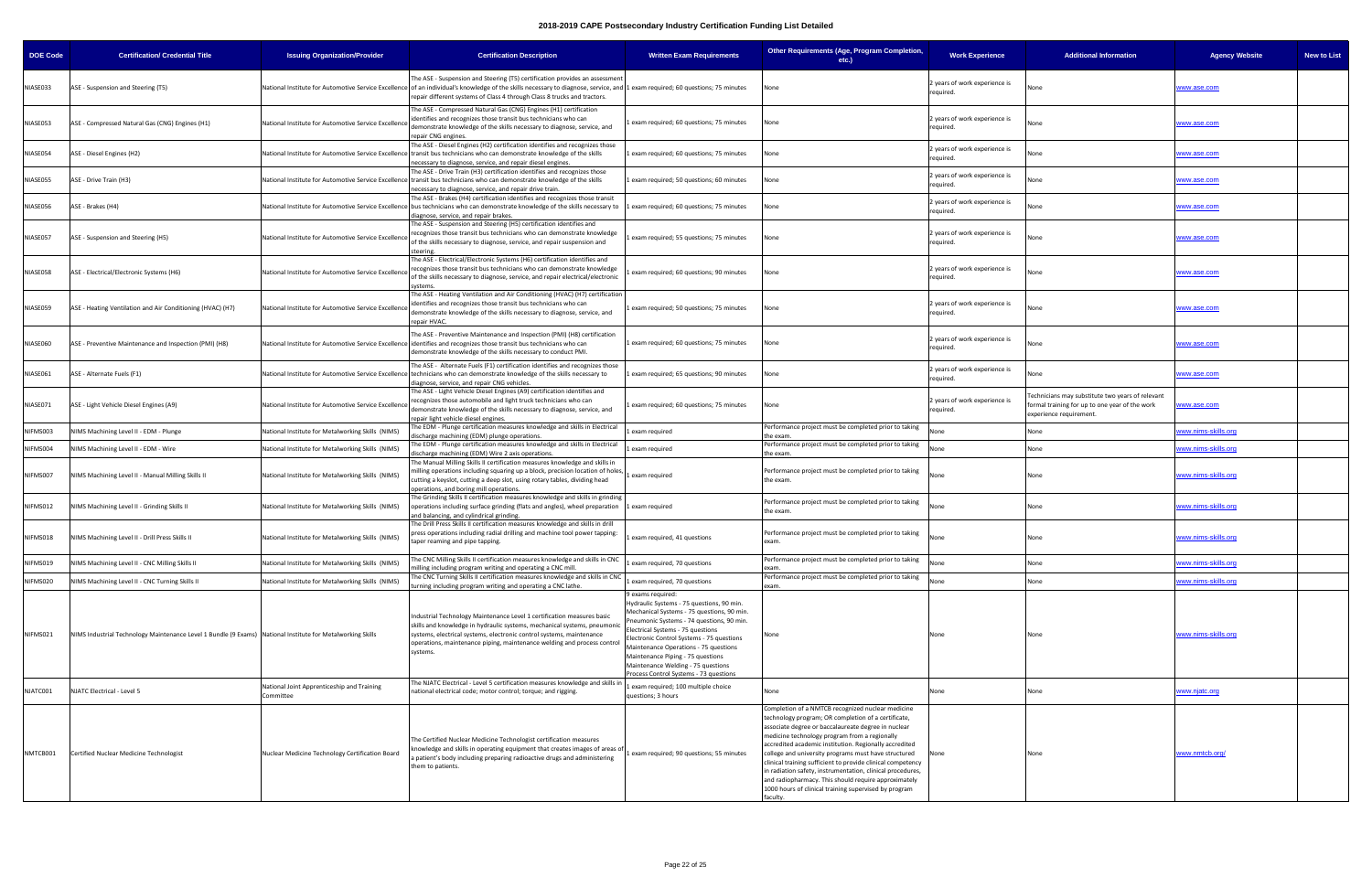| <b>DOE Code</b> | <b>Certification/ Credential Title</b>                                                                     | <b>Issuing Organization/Provider</b>                    | <b>Certification Description</b>                                                                                                                                                                                                                                                                                                         | <b>Written Exam Requirements</b>                                                                                                                                                                                                                                                                                                                                                                         | Other Requirements (Age, Program Completion,<br>etc.)                                                                                                                                                                                                                                                                                                                                                                                                                                                                                                                                        | <b>Work Experience</b>                     | <b>Additional Information</b>                                                                                                | <b>Agency Website</b><br><b>New to List</b> |
|-----------------|------------------------------------------------------------------------------------------------------------|---------------------------------------------------------|------------------------------------------------------------------------------------------------------------------------------------------------------------------------------------------------------------------------------------------------------------------------------------------------------------------------------------------|----------------------------------------------------------------------------------------------------------------------------------------------------------------------------------------------------------------------------------------------------------------------------------------------------------------------------------------------------------------------------------------------------------|----------------------------------------------------------------------------------------------------------------------------------------------------------------------------------------------------------------------------------------------------------------------------------------------------------------------------------------------------------------------------------------------------------------------------------------------------------------------------------------------------------------------------------------------------------------------------------------------|--------------------------------------------|------------------------------------------------------------------------------------------------------------------------------|---------------------------------------------|
| NIASE033        | ASE - Suspension and Steering (T5)                                                                         |                                                         | The ASE - Suspension and Steering (T5) certification provides an assessment<br>National Institute for Automotive Service Excellence of an individual's knowledge of the skills necessary to diagnose, service, and 1 exam required; 60 questions; 75 minutes<br>repair different systems of Class 4 through Class 8 trucks and tractors. |                                                                                                                                                                                                                                                                                                                                                                                                          | None                                                                                                                                                                                                                                                                                                                                                                                                                                                                                                                                                                                         | 2 years of work experience is<br>required. |                                                                                                                              | <u>vww.ase.com</u>                          |
| NIASE053        | ASE - Compressed Natural Gas (CNG) Engines (H1)                                                            | National Institute for Automotive Service Excellence    | The ASE - Compressed Natural Gas (CNG) Engines (H1) certification<br>identifies and recognizes those transit bus technicians who can<br>demonstrate knowledge of the skills necessary to diagnose, service, and<br>repair CNG engines.                                                                                                   | exam required; 60 questions; 75 minutes                                                                                                                                                                                                                                                                                                                                                                  | None                                                                                                                                                                                                                                                                                                                                                                                                                                                                                                                                                                                         | 2 years of work experience is<br>required. | None                                                                                                                         | www.ase.com                                 |
| NIASE054        | ASE - Diesel Engines (H2)                                                                                  |                                                         | The ASE - Diesel Engines (H2) certification identifies and recognizes those<br>National Institute for Automotive Service Excellence transit bus technicians who can demonstrate knowledge of the skills<br>necessary to diagnose, service, and repair diesel engines.                                                                    | exam required; 60 questions; 75 minutes                                                                                                                                                                                                                                                                                                                                                                  | None                                                                                                                                                                                                                                                                                                                                                                                                                                                                                                                                                                                         | 2 years of work experience is<br>required. | None                                                                                                                         | www.ase.com                                 |
| NIASE055        | ASE - Drive Train (H3)                                                                                     |                                                         | The ASE - Drive Train (H3) certification identifies and recognizes those<br>National Institute for Automotive Service Excellence transit bus technicians who can demonstrate knowledge of the skills<br>necessary to diagnose, service, and repair drive train.                                                                          | exam required; 50 questions; 60 minutes                                                                                                                                                                                                                                                                                                                                                                  | None                                                                                                                                                                                                                                                                                                                                                                                                                                                                                                                                                                                         | 2 years of work experience is<br>required. | None                                                                                                                         | www.ase.com                                 |
| NIASE056        | ASE - Brakes (H4)                                                                                          |                                                         | The ASE - Brakes (H4) certification identifies and recognizes those transit<br>National Institute for Automotive Service Excellence bus technicians who can demonstrate knowledge of the skills necessary to<br>iagnose, service, and repair brakes.                                                                                     | exam required; 60 questions; 75 minutes                                                                                                                                                                                                                                                                                                                                                                  | None                                                                                                                                                                                                                                                                                                                                                                                                                                                                                                                                                                                         | 2 years of work experience is<br>required. | None                                                                                                                         | www.ase.com                                 |
| NIASE057        | ASE - Suspension and Steering (H5)                                                                         | National Institute for Automotive Service Excellence    | The ASE - Suspension and Steering (H5) certification identifies and<br>recognizes those transit bus technicians who can demonstrate knowledge<br>of the skills necessary to diagnose, service, and repair suspension and<br>steering                                                                                                     | exam required; 55 questions; 75 minutes                                                                                                                                                                                                                                                                                                                                                                  | None                                                                                                                                                                                                                                                                                                                                                                                                                                                                                                                                                                                         | 2 years of work experience is<br>required. | None                                                                                                                         | <u>vww.ase.com</u>                          |
| NIASE058        | ASE - Electrical/Electronic Systems (H6)                                                                   | National Institute for Automotive Service Excellenc     | The ASE - Electrical/Electronic Systems (H6) certification identifies and<br>recognizes those transit bus technicians who can demonstrate knowledge<br>of the skills necessary to diagnose, service, and repair electrical/electronic<br>systems                                                                                         | exam required; 60 questions; 90 minutes                                                                                                                                                                                                                                                                                                                                                                  | None                                                                                                                                                                                                                                                                                                                                                                                                                                                                                                                                                                                         | 2 years of work experience is<br>required. |                                                                                                                              | <u>vww.ase.com</u>                          |
| NIASE059        | ASE - Heating Ventilation and Air Conditioning (HVAC) (H7)                                                 | National Institute for Automotive Service Excellence    | The ASE - Heating Ventilation and Air Conditioning (HVAC) (H7) certification<br>identifies and recognizes those transit bus technicians who can<br>demonstrate knowledge of the skills necessary to diagnose, service, and<br>repair HVAC.                                                                                               | exam required; 50 questions; 75 minutes                                                                                                                                                                                                                                                                                                                                                                  | None                                                                                                                                                                                                                                                                                                                                                                                                                                                                                                                                                                                         | 2 years of work experience is<br>required. | None                                                                                                                         | www.ase.com                                 |
| NIASE060        | ASE - Preventive Maintenance and Inspection (PMI) (H8)                                                     |                                                         | The ASE - Preventive Maintenance and Inspection (PMI) (H8) certification<br>National Institute for Automotive Service Excellence lidentifies and recognizes those transit bus technicians who can<br>demonstrate knowledge of the skills necessary to conduct PMI.                                                                       | exam required; 60 questions; 75 minutes                                                                                                                                                                                                                                                                                                                                                                  | None                                                                                                                                                                                                                                                                                                                                                                                                                                                                                                                                                                                         | 2 years of work experience is<br>required. | None                                                                                                                         | vww.ase.com                                 |
| NIASE061        | ASE - Alternate Fuels (F1)                                                                                 |                                                         | The ASE - Alternate Fuels (F1) certification identifies and recognizes those<br>National Institute for Automotive Service Excellence technicians who can demonstrate knowledge of the skills necessary to<br>diagnose, service, and repair CNG vehicles.                                                                                 | exam required; 65 questions; 90 minutes                                                                                                                                                                                                                                                                                                                                                                  | None                                                                                                                                                                                                                                                                                                                                                                                                                                                                                                                                                                                         | years of work experience is<br>required.   | None                                                                                                                         | ww.ase.com                                  |
| NIASE071        | ASE - Light Vehicle Diesel Engines (A9)                                                                    | National Institute for Automotive Service Excellence    | The ASE - Light Vehicle Diesel Engines (A9) certification identifies and<br>recognizes those automobile and light truck technicians who can<br>demonstrate knowledge of the skills necessary to diagnose, service, and<br>repair light vehicle diesel engines.                                                                           | exam required; 60 questions; 75 minutes                                                                                                                                                                                                                                                                                                                                                                  | None                                                                                                                                                                                                                                                                                                                                                                                                                                                                                                                                                                                         | 2 years of work experience is<br>required. | echnicians may substitute two years of relevant<br>formal training for up to one year of the work<br>experience requirement. | vww.ase.com                                 |
| NIFMS003        | NIMS Machining Level II - EDM - Plunge                                                                     | National Institute for Metalworking Skills (NIMS)       | The EDM - Plunge certification measures knowledge and skills in Electrical<br>discharge machining (EDM) plunge operations.                                                                                                                                                                                                               | exam required                                                                                                                                                                                                                                                                                                                                                                                            | Performance project must be completed prior to taking<br>the exam.                                                                                                                                                                                                                                                                                                                                                                                                                                                                                                                           | √one                                       | None                                                                                                                         | ww.nims-skills.org                          |
| NIFMS004        | NIMS Machining Level II - EDM - Wire                                                                       | National Institute for Metalworking Skills (NIMS)       | The EDM - Plunge certification measures knowledge and skills in Electrical<br>discharge machining (EDM) Wire 2 axis operations                                                                                                                                                                                                           | exam required                                                                                                                                                                                                                                                                                                                                                                                            | Performance project must be completed prior to taking<br>the exam.                                                                                                                                                                                                                                                                                                                                                                                                                                                                                                                           | None                                       | Vone                                                                                                                         | ww.nims-skills.org                          |
| NIFMS007        | NIMS Machining Level II - Manual Milling Skills II                                                         | National Institute for Metalworking Skills (NIMS)       | The Manual Milling Skills II certification measures knowledge and skills in<br>milling operations including squaring up a block, precision location of holes,<br>cutting a keyslot, cutting a deep slot, using rotary tables, dividing head<br>operations, and boring mill operations.                                                   | exam required                                                                                                                                                                                                                                                                                                                                                                                            | Performance project must be completed prior to taking<br>the exam.                                                                                                                                                                                                                                                                                                                                                                                                                                                                                                                           | None                                       | None                                                                                                                         | ww.nims-skills.org                          |
| NIFMS012        | NIMS Machining Level II - Grinding Skills II                                                               | National Institute for Metalworking Skills (NIMS)       | The Grinding Skills II certification measures knowledge and skills in grinding<br>operations including surface grinding (flats and angles), wheel preparation 1 exam required<br>and balancing, and cylindrical grinding.                                                                                                                |                                                                                                                                                                                                                                                                                                                                                                                                          | Performance project must be completed prior to taking<br>the exam.                                                                                                                                                                                                                                                                                                                                                                                                                                                                                                                           | None                                       | None                                                                                                                         | ww.nims-skills.org                          |
| NIFMS018        | NIMS Machining Level II - Drill Press Skills II                                                            | National Institute for Metalworking Skills (NIMS)       | The Drill Press Skills II certification measures knowledge and skills in drill<br>press operations including radial drilling and machine tool power tapping:<br>taper reaming and pipe tapping.                                                                                                                                          | exam required, 41 questions                                                                                                                                                                                                                                                                                                                                                                              | Performance project must be completed prior to taking                                                                                                                                                                                                                                                                                                                                                                                                                                                                                                                                        | None                                       | None                                                                                                                         | www.nims-skills.org                         |
| NIFMS019        | NIMS Machining Level II - CNC Milling Skills II                                                            | National Institute for Metalworking Skills (NIMS)       | The CNC Milling Skills II certification measures knowledge and skills in CNC<br>illing including program writing and operating a CNC mill.                                                                                                                                                                                               | exam required, 70 questions                                                                                                                                                                                                                                                                                                                                                                              | Performance project must be completed prior to taking<br>exam                                                                                                                                                                                                                                                                                                                                                                                                                                                                                                                                | Vone                                       | Vone                                                                                                                         | vww.nims-skills.org                         |
| NIFMS020        | NIMS Machining Level II - CNC Turning Skills II                                                            | National Institute for Metalworking Skills (NIMS)       | The CNC Turning Skills II certification measures knowledge and skills in CNC<br>urning including program writing and operating a CNC lathe.                                                                                                                                                                                              | exam required, 70 questions                                                                                                                                                                                                                                                                                                                                                                              | Performance project must be completed prior to taking<br>exam                                                                                                                                                                                                                                                                                                                                                                                                                                                                                                                                | None                                       | None                                                                                                                         | ww.nims-skills.org                          |
| NIFMS021        | NIMS Industrial Technology Maintenance Level 1 Bundle (9 Exams) National Institute for Metalworking Skills |                                                         | Industrial Technology Maintenance Level 1 certification measures basic<br>skills and knowledge in hydraulic systems, mechanical systems, pneumonic<br>systems, electrical systems, electronic control systems, maintenance<br>operations, maintenance piping, maintenance welding and process control<br>systems.                        | 9 exams required:<br>Hydraulic Systems - 75 questions, 90 min.<br>Mechanical Systems - 75 questions, 90 min.<br>neumonic Systems - 74 questions, 90 min.<br>Electrical Systems - 75 questions<br>Electronic Control Systems - 75 questions<br>Maintenance Operations - 75 questions<br>Maintenance Piping - 75 questions<br>Maintenance Welding - 75 questions<br>Process Control Systems - 73 questions |                                                                                                                                                                                                                                                                                                                                                                                                                                                                                                                                                                                              | None                                       | None                                                                                                                         | vww.nims-skills.ord                         |
| NJATC001        | NJATC Electrical - Level 5                                                                                 | National Joint Apprenticeship and Training<br>Committee | The NJATC Electrical - Level 5 certification measures knowledge and skills in<br>national electrical code; motor control; torque; and rigging.                                                                                                                                                                                           | exam required; 100 multiple choice<br>questions; 3 hours                                                                                                                                                                                                                                                                                                                                                 | None                                                                                                                                                                                                                                                                                                                                                                                                                                                                                                                                                                                         | None                                       | None                                                                                                                         | vww.njatc.org                               |
| NMTCB001        | Certified Nuclear Medicine Technologist                                                                    | Nuclear Medicine Technology Certification Board         | The Certified Nuclear Medicine Technologist certification measures<br>knowledge and skills in operating equipment that creates images of areas of<br>a patient's body including preparing radioactive drugs and administering<br>them to patients.                                                                                       | exam required; 90 questions; 55 minutes                                                                                                                                                                                                                                                                                                                                                                  | Completion of a NMTCB recognized nuclear medicine<br>technology program; OR completion of a certificate,<br>associate degree or baccalaureate degree in nuclear<br>medicine technology program from a regionally<br>accredited academic institution. Regionally accredited<br>college and university programs must have structured<br>clinical training sufficient to provide clinical competency<br>in radiation safety, instrumentation, clinical procedures,<br>and radiopharmacy. This should require approximately<br>1000 hours of clinical training supervised by program<br>faculty. | None                                       |                                                                                                                              | www.nmtcb.org/                              |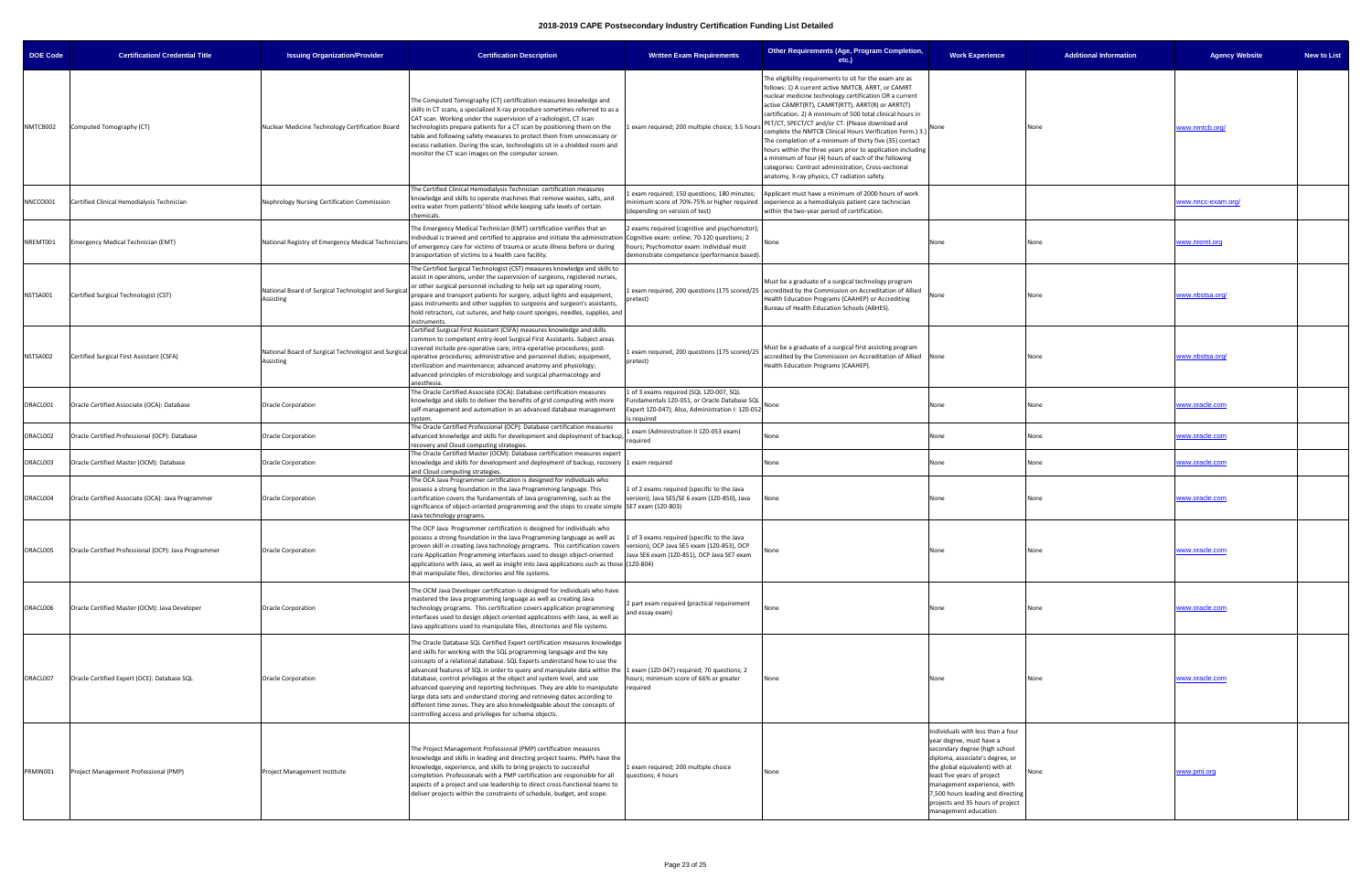| <b>DOE Code</b> | <b>Certification/ Credential Title</b>               | <b>Issuing Organization/Provider</b>                              | <b>Certification Description</b>                                                                                                                                                                                                                                                                                                                                                                                                                                                                                                                                                                                                                                                                                                  | <b>Written Exam Requirements</b>                                                                                                                               | Other Requirements (Age, Program Completion,<br>etc.)                                                                                                                                                                                                                                                                                                                                                                                                                                                                                                                                                                                                                                                | <b>Work Experience</b>                                                                                                                                                                                                                                                                                                              | <b>Additional Information</b> | <b>Agency Website</b> | <b>New to List</b> |
|-----------------|------------------------------------------------------|-------------------------------------------------------------------|-----------------------------------------------------------------------------------------------------------------------------------------------------------------------------------------------------------------------------------------------------------------------------------------------------------------------------------------------------------------------------------------------------------------------------------------------------------------------------------------------------------------------------------------------------------------------------------------------------------------------------------------------------------------------------------------------------------------------------------|----------------------------------------------------------------------------------------------------------------------------------------------------------------|------------------------------------------------------------------------------------------------------------------------------------------------------------------------------------------------------------------------------------------------------------------------------------------------------------------------------------------------------------------------------------------------------------------------------------------------------------------------------------------------------------------------------------------------------------------------------------------------------------------------------------------------------------------------------------------------------|-------------------------------------------------------------------------------------------------------------------------------------------------------------------------------------------------------------------------------------------------------------------------------------------------------------------------------------|-------------------------------|-----------------------|--------------------|
| NMTCB002        | Computed Tomography (CT)                             | Nuclear Medicine Technology Certification Board                   | The Computed Tomography (CT) certification measures knowledge and<br>skills in CT scans, a specialized X-ray procedure sometimes referred to as a<br>CAT scan. Working under the supervision of a radiologist, CT scan<br>technologists prepare patients for a CT scan by positioning them on the<br>table and following safety measures to protect them from unnecessary or<br>excess radiation. During the scan, technologists sit in a shielded room and<br>monitor the CT scan images on the computer screen.                                                                                                                                                                                                                 | exam required; 200 multiple choice; 3.5 hour:                                                                                                                  | The eligibility requirements to sit for the exam are as<br>follows: 1) A current active NMTCB, ARRT, or CAMRT<br>nuclear medicine technology certification OR a current<br>active CAMRT(RT), CAMRT(RTT), ARRT(R) or ARRT(T)<br>certification. 2) A minimum of 500 total clinical hours in<br>PET/CT, SPECT/CT and/or CT. (Please download and<br>complete the NMTCB Clinical Hours Verification Form.) 3.)<br>The completion of a minimum of thirty five (35) contact<br>hours within the three years prior to application including<br>a minimum of four (4) hours of each of the following<br>categories: Contrast administration, Cross-sectional<br>anatomy, X-ray physics, CT radiation safety. | None                                                                                                                                                                                                                                                                                                                                | None                          | www.nmtcb.org/        |                    |
| NNCCO001        | Certified Clinical Hemodialysis Technician           | Nephrology Nursing Certification Commission                       | The Certified Clinical Hemodialysis Technician certification measures<br>knowledge and skills to operate machines that remove wastes, salts, and<br>extra water from patients' blood while keeping safe levels of certain<br>chemicals.                                                                                                                                                                                                                                                                                                                                                                                                                                                                                           | exam required; 150 questions; 180 minutes;<br>minimum score of 70%-75% or higher required<br>(depending on version of test)                                    | Applicant must have a minimum of 2000 hours of work<br>experience as a hemodialysis patient care technician<br>within the two-year period of certification.                                                                                                                                                                                                                                                                                                                                                                                                                                                                                                                                          |                                                                                                                                                                                                                                                                                                                                     |                               | www.nncc-exam.org/    |                    |
| NREMT001        | Emergency Medical Technician (EMT)                   | National Registry of Emergency Medical Technicians                | The Emergency Medical Technician (EMT) certification verifies that an<br>individual is trained and certified to appraise and initiate the administration Cognitive exam: online; 70-120 questions; 2<br>of emergency care for victims of trauma or acute illness before or during<br>transportation of victims to a health care facility.                                                                                                                                                                                                                                                                                                                                                                                         | exams required (cognitive and psychomotor);<br>hours; Psychomotor exam: Individual must<br>demonstrate competence (performance based).                         | None                                                                                                                                                                                                                                                                                                                                                                                                                                                                                                                                                                                                                                                                                                 | None                                                                                                                                                                                                                                                                                                                                | None                          | www.nremt.orc         |                    |
| NSTSA001        | Certified Surgical Technologist (CST)                | National Board of Surgical Technologist and Surgical<br>Assisting | The Certified Surgical Technologist (CST) measures knowledge and skills to<br>assist in operations, under the supervision of surgeons, registered nurses,<br>or other surgical personnel including to help set up operating room,<br>prepare and transport patients for surgery, adjust lights and equipment,<br>pass instruments and other supplies to surgeons and surgeon's assistants,<br>hold retractors, cut sutures, and help count sponges, needles, supplies, and<br>instruments.                                                                                                                                                                                                                                        | oretest)                                                                                                                                                       | Must be a graduate of a surgical technology program<br>exam required, 200 questions (175 scored/25 accredited by the Commission on Accreditation of Allied<br>Health Education Programs (CAAHEP) or Accrediting<br>Bureau of Health Education Schools (ABHES).                                                                                                                                                                                                                                                                                                                                                                                                                                       | None                                                                                                                                                                                                                                                                                                                                | None                          | www.nbstsa.org        |                    |
| NSTSA002        | Certified Surgical First Assistant (CSFA)            | National Board of Surgical Technologist and Surgical<br>Assisting | Certified Surgical First Assistant (CSFA) measures knowledge and skills<br>common to competent entry-level Surgical First Assistants. Subject areas<br>covered include pre-operative care; intra-operative procedures; post-<br>operative procedures; administrative and personnel duties; equipment,<br>sterilization and maintenance; advanced anatomy and physiology;<br>advanced principles of microbiology and surgical pharmacology and<br>anesthesia.                                                                                                                                                                                                                                                                      | exam required, 200 questions (175 scored/25<br>pretest)                                                                                                        | Must be a graduate of a surgical first assisting program<br>accredited by the Commission on Accreditation of Allied None<br>Health Education Programs (CAAHEP).                                                                                                                                                                                                                                                                                                                                                                                                                                                                                                                                      |                                                                                                                                                                                                                                                                                                                                     | None                          | www.nbstsa.org        |                    |
| ORACL001        | Oracle Certified Associate (OCA): Database           | Oracle Corporation                                                | The Oracle Certified Associate (OCA): Database certification measures<br>knowledge and skills to deliver the benefits of grid computing with more<br>self-management and automation in an advanced database management<br>system.                                                                                                                                                                                                                                                                                                                                                                                                                                                                                                 | L of 3 exams required (SQL 1Z0-007, SQL<br>undamentals 1Z0-051, or Oracle Database SQL<br>Expert 120-047); Also, Administration I: 120-052 None<br>is required |                                                                                                                                                                                                                                                                                                                                                                                                                                                                                                                                                                                                                                                                                                      | None                                                                                                                                                                                                                                                                                                                                | None                          | www.oracle.com        |                    |
| ORACL002        | Oracle Certified Professional (OCP): Database        | <b>Oracle Corporation</b>                                         | The Oracle Certified Professional (OCP): Database certification measures<br>advanced knowledge and skills for development and deployment of backup,<br>recovery and Cloud computing strategies.                                                                                                                                                                                                                                                                                                                                                                                                                                                                                                                                   | exam (Administration II 1Z0-053 exam)<br>required                                                                                                              | None                                                                                                                                                                                                                                                                                                                                                                                                                                                                                                                                                                                                                                                                                                 | None                                                                                                                                                                                                                                                                                                                                | None                          | www.oracle.com        |                    |
| ORACL003        | Oracle Certified Master (OCM): Database              | <b>Oracle Corporation</b>                                         | The Oracle Certified Master (OCM): Database certification measures expert<br>knowledge and skills for development and deployment of backup, recovery 1 exam required<br>ind Cloud computing strategies.                                                                                                                                                                                                                                                                                                                                                                                                                                                                                                                           |                                                                                                                                                                | None                                                                                                                                                                                                                                                                                                                                                                                                                                                                                                                                                                                                                                                                                                 | None                                                                                                                                                                                                                                                                                                                                | None                          | www.oracle.com        |                    |
| ORACL004        | Oracle Certified Associate (OCA): Java Programmer    | Oracle Corporation                                                | The OCA Java Programmer certification is designed for individuals who<br>possess a strong foundation in the Java Programming language. This<br>certification covers the fundamentals of Java programming, such as the<br>significance of object-oriented programming and the steps to create simple SE7 exam (120-803)<br>lava technology programs.                                                                                                                                                                                                                                                                                                                                                                               | of 2 exams required (specific to the Java<br>version); Java SE5/SE 6 exam (1Z0-850), Java                                                                      | None                                                                                                                                                                                                                                                                                                                                                                                                                                                                                                                                                                                                                                                                                                 | None                                                                                                                                                                                                                                                                                                                                | None                          | <u>www.oracle.com</u> |                    |
| ORACL005        | Oracle Certified Professional (OCP): Java Programmer | <b>Oracle Corporation</b>                                         | The OCP Java Programmer certification is designed for individuals who<br>possess a strong foundation in the Java Programming language as well as<br>proven skill in creating Java technology programs. This certification covers version); OCP Java SE5 exam (120-853), OCP<br>core Application Programming interfaces used to design object-oriented<br>applications with Java, as well as insight into Java applications such as those (1Z0-804)<br>that manipulate files, directories and file systems.                                                                                                                                                                                                                        | L of 3 exams required (specific to the Java<br>Java SE6 exam (1Z0-851), OCP Java SE7 exam                                                                      | None                                                                                                                                                                                                                                                                                                                                                                                                                                                                                                                                                                                                                                                                                                 | None                                                                                                                                                                                                                                                                                                                                | None                          | www.oracle.com        |                    |
| ORACL006        | Oracle Certified Master (OCM): Java Developer        | <b>Oracle Corporation</b>                                         | The OCM Java Developer certification is designed for individuals who have<br>mastered the Java programming language as well as creating Java<br>technology programs. This certification covers application programming<br>interfaces used to design object-oriented applications with Java, as well as<br>Java applications used to manipulate files, directories and file systems.                                                                                                                                                                                                                                                                                                                                               | 2 part exam required (practical requirement<br>and essay exam)                                                                                                 | None                                                                                                                                                                                                                                                                                                                                                                                                                                                                                                                                                                                                                                                                                                 | None                                                                                                                                                                                                                                                                                                                                | None                          | www.oracle.com        |                    |
| ORACL007        | Oracle Certified Expert (OCE): Database SQL          | <b>Oracle Corporation</b>                                         | The Oracle Database SQL Certified Expert certification measures knowledge<br>and skills for working with the SQL programming language and the key<br>concepts of a relational database. SQL Experts understand how to use the<br>advanced features of SQL in order to query and manipulate data within the 1 exam (120-047) required; 70 questions; 2<br>database, control privileges at the object and system level, and use<br>advanced querying and reporting techniques. They are able to manipulate required<br>large data sets and understand storing and retrieving dates according to<br>different time zones. They are also knowledgeable about the concepts of<br>controlling access and privileges for schema objects. | hours; minimum score of 66% or greater                                                                                                                         | None                                                                                                                                                                                                                                                                                                                                                                                                                                                                                                                                                                                                                                                                                                 | None                                                                                                                                                                                                                                                                                                                                | None                          | www.oracle.com        |                    |
| PRMIN001        | Project Management Professional (PMP)                | Project Management Institute                                      | The Project Management Professional (PMP) certification measures<br>knowledge and skills in leading and directing project teams. PMPs have the<br>knowledge, experience, and skills to bring projects to successful<br>completion. Professionals with a PMP certification are responsible for all<br>aspects of a project and use leadership to direct cross-functional teams to<br>deliver projects within the constraints of schedule, budget, and scope.                                                                                                                                                                                                                                                                       | exam required; 200 multiple choice<br>questions; 4 hours                                                                                                       | None                                                                                                                                                                                                                                                                                                                                                                                                                                                                                                                                                                                                                                                                                                 | Individuals with less than a four<br>year degree, must have a<br>secondary degree (high school<br>diploma, associate's degree, or<br>the global equivalent) with at<br>least five years of project<br>management experience, with<br>7,500 hours leading and directing<br>projects and 35 hours of project<br>management education. |                               | www.pmi.org           |                    |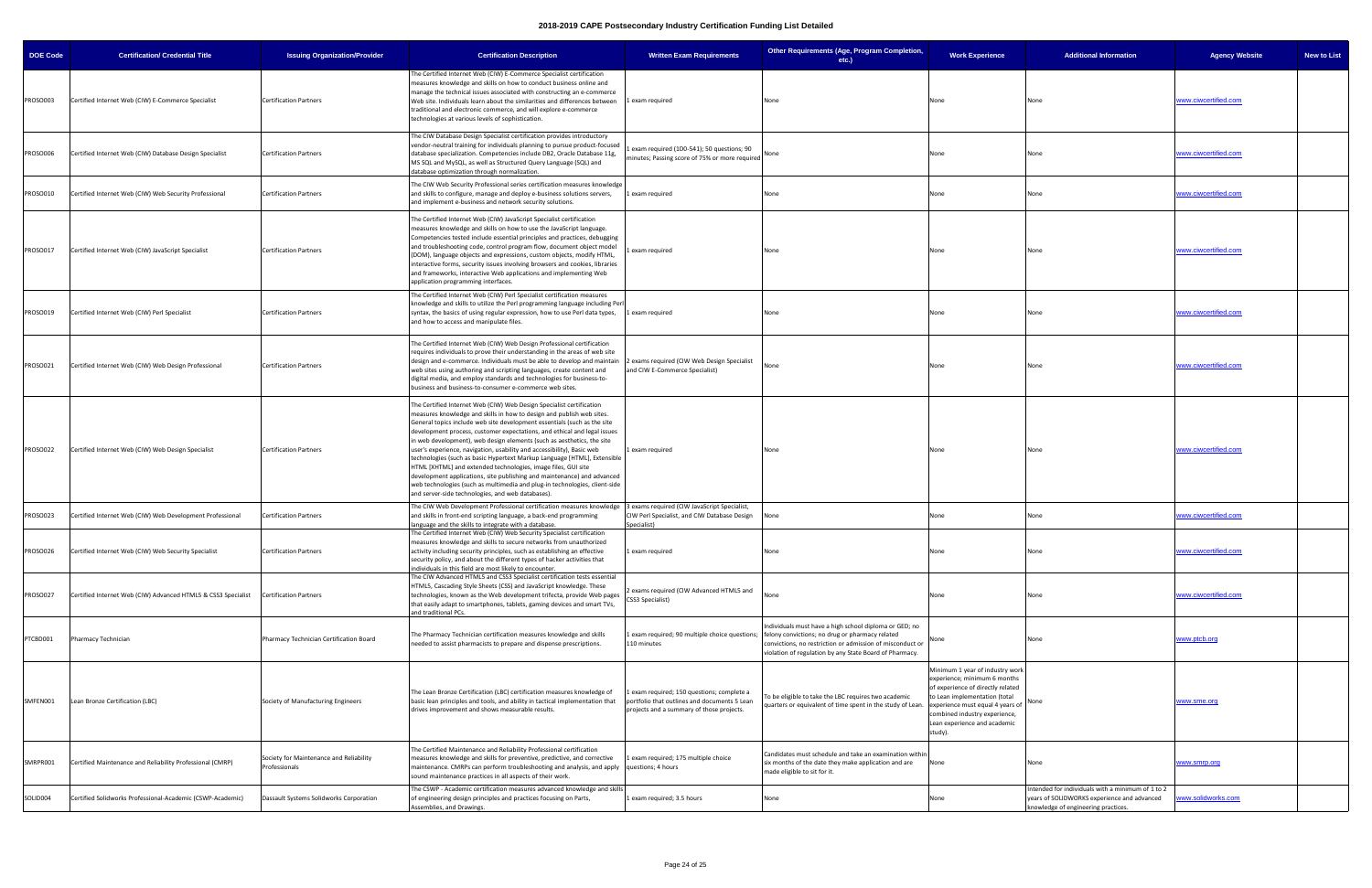| <b>DOE Code</b> | <b>Certification/ Credential Title</b>                        | <b>Issuing Organization/Provider</b>                     | <b>Certification Description</b>                                                                                                                                                                                                                                                                                                                                                                                                                                                                                                                                                                                                                                                                                                                                                                                     | <b>Written Exam Requirements</b>                                                                                                      | Other Requirements (Age, Program Completion,<br>$etc.$ )                                                                                                                                                                                                                         | <b>Work Experience</b>                                                                                                                                                                                                                                | <b>Additional Information</b>                                                                                                           | <b>Agency Website</b> | <b>New to List</b> |
|-----------------|---------------------------------------------------------------|----------------------------------------------------------|----------------------------------------------------------------------------------------------------------------------------------------------------------------------------------------------------------------------------------------------------------------------------------------------------------------------------------------------------------------------------------------------------------------------------------------------------------------------------------------------------------------------------------------------------------------------------------------------------------------------------------------------------------------------------------------------------------------------------------------------------------------------------------------------------------------------|---------------------------------------------------------------------------------------------------------------------------------------|----------------------------------------------------------------------------------------------------------------------------------------------------------------------------------------------------------------------------------------------------------------------------------|-------------------------------------------------------------------------------------------------------------------------------------------------------------------------------------------------------------------------------------------------------|-----------------------------------------------------------------------------------------------------------------------------------------|-----------------------|--------------------|
| PROSO003        | Certified Internet Web (CIW) E-Commerce Specialist            | <b>Certification Partners</b>                            | The Certified Internet Web (CIW) E-Commerce Specialist certification<br>measures knowledge and skills on how to conduct business online and<br>manage the technical issues associated with constructing an e-commerce<br>Web site. Individuals learn about the similarities and differences between 1 exam required<br>traditional and electronic commerce, and will explore e-commerce<br>technologies at various levels of sophistication.                                                                                                                                                                                                                                                                                                                                                                         |                                                                                                                                       | None                                                                                                                                                                                                                                                                             | None                                                                                                                                                                                                                                                  | None                                                                                                                                    | www.ciwcertified.com  |                    |
| PROSO006        | Certified Internet Web (CIW) Database Design Specialist       | <b>Certification Partners</b>                            | The CIW Database Design Specialist certification provides introductory<br>vendor-neutral training for individuals planning to pursue product-focused<br>database specialization. Competencies include DB2, Oracle Database 11g,<br>MS SQL and MySQL, as well as Structured Query Language (SQL) and<br>database optimization through normalization.                                                                                                                                                                                                                                                                                                                                                                                                                                                                  | exam required (1D0-541); 50 questions; 90<br>minutes; Passing score of 75% or more required None                                      |                                                                                                                                                                                                                                                                                  | None                                                                                                                                                                                                                                                  | None                                                                                                                                    | www.ciwcertified.com  |                    |
| PROSO010        | Certified Internet Web (CIW) Web Security Professional        | <b>Certification Partners</b>                            | The CIW Web Security Professional series certification measures knowledge<br>and skills to configure, manage and deploy e-business solutions servers,<br>and implement e-business and network security solutions.                                                                                                                                                                                                                                                                                                                                                                                                                                                                                                                                                                                                    | 1 exam required                                                                                                                       | None                                                                                                                                                                                                                                                                             | None                                                                                                                                                                                                                                                  | None                                                                                                                                    | www.ciwcertified.com  |                    |
| PROSO017        | Certified Internet Web (CIW) JavaScript Specialist            | <b>Certification Partners</b>                            | The Certified Internet Web (CIW) JavaScript Specialist certification<br>measures knowledge and skills on how to use the JavaScript language.<br>Competencies tested include essential principles and practices, debugging<br>and troubleshooting code, control program flow, document object model<br>(DOM), language objects and expressions, custom objects, modify HTML,<br>interactive forms, security issues involving browsers and cookies, libraries<br>and frameworks, interactive Web applications and implementing Web<br>application programming interfaces.                                                                                                                                                                                                                                              | Lexam required                                                                                                                        | None                                                                                                                                                                                                                                                                             | None                                                                                                                                                                                                                                                  | None                                                                                                                                    | www.ciwcertified.com  |                    |
| PROSO019        | Certified Internet Web (CIW) Perl Specialist                  | <b>Certification Partners</b>                            | The Certified Internet Web (CIW) Perl Specialist certification measures<br>knowledge and skills to utilize the Perl programming language including Perl<br>syntax, the basics of using regular expression, how to use Perl data types,<br>and how to access and manipulate files.                                                                                                                                                                                                                                                                                                                                                                                                                                                                                                                                    | 1 exam required                                                                                                                       | None                                                                                                                                                                                                                                                                             | None                                                                                                                                                                                                                                                  | None                                                                                                                                    | www.ciwcertified.com  |                    |
| PROSO021        | Certified Internet Web (CIW) Web Design Professional          | <b>Certification Partners</b>                            | The Certified Internet Web (CIW) Web Design Professional certification<br>requires individuals to prove their understanding in the areas of web site<br>design and e-commerce. Individuals must be able to develop and maintain 2 exams required (CIW Web Design Specialist<br>web sites using authoring and scripting languages, create content and<br>digital media, and employ standards and technologies for business-to-<br>business and business-to-consumer e-commerce web sites.                                                                                                                                                                                                                                                                                                                             | and CIW E-Commerce Specialist)                                                                                                        | None                                                                                                                                                                                                                                                                             | None                                                                                                                                                                                                                                                  | None                                                                                                                                    | www.ciwcertified.com  |                    |
| PROSO022        | Certified Internet Web (CIW) Web Design Specialist            | <b>Certification Partners</b>                            | The Certified Internet Web (CIW) Web Design Specialist certification<br>measures knowledge and skills in how to design and publish web sites.<br>General topics include web site development essentials (such as the site<br>development process, customer expectations, and ethical and legal issues<br>in web development), web design elements (such as aesthetics, the site<br>user's experience, navigation, usability and accessibility), Basic web<br>technologies (such as basic Hypertext Markup Language [HTML], Extensible<br>HTML [XHTML] and extended technologies, image files, GUI site<br>development applications, site publishing and maintenance) and advanced<br>web technologies (such as multimedia and plug-in technologies, client-side<br>and server-side technologies, and web databases). | 1 exam required                                                                                                                       | None                                                                                                                                                                                                                                                                             | None                                                                                                                                                                                                                                                  | None                                                                                                                                    | www.ciwcertified.com  |                    |
| PROSO023        | Certified Internet Web (CIW) Web Development Professional     | <b>Certification Partners</b>                            | The CIW Web Development Professional certification measures knowledge 3 exams required (CIW JavaScript Specialist,<br>and skills in front-end scripting language, a back-end programming<br>language and the skills to integrate with a database.                                                                                                                                                                                                                                                                                                                                                                                                                                                                                                                                                                    | CIW Perl Specialist, and CIW Database Design<br>Specialist)                                                                           | None                                                                                                                                                                                                                                                                             | None                                                                                                                                                                                                                                                  | None                                                                                                                                    | www.ciwcertified.com  |                    |
| PROSO026        | Certified Internet Web (CIW) Web Security Specialist          | <b>Certification Partners</b>                            | The Certified Internet Web (CIW) Web Security Specialist certification<br>measures knowledge and skills to secure networks from unauthorized<br>activity including security principles, such as establishing an effective<br>security policy, and about the different types of hacker activities that<br>individuals in this field are most likely to encounter.                                                                                                                                                                                                                                                                                                                                                                                                                                                     | Lexam required                                                                                                                        | None                                                                                                                                                                                                                                                                             | None                                                                                                                                                                                                                                                  | None                                                                                                                                    | www.ciwcertified.com  |                    |
| PROSO027        | Certified Internet Web (CIW) Advanced HTML5 & CSS3 Specialist | <b>Certification Partners</b>                            | The CIW Advanced HTML5 and CSS3 Specialist certification tests essential<br>HTML5, Cascading Style Sheets (CSS) and JavaScript knowledge. These<br>technologies, known as the Web development trifecta, provide Web pages<br>that easily adapt to smartphones, tablets, gaming devices and smart TVs,<br>and traditional PCs.                                                                                                                                                                                                                                                                                                                                                                                                                                                                                        | exams required (CIW Advanced HTML5 and<br>CSS3 Specialist)                                                                            |                                                                                                                                                                                                                                                                                  | None                                                                                                                                                                                                                                                  | None                                                                                                                                    | www.ciwcertified.com  |                    |
| PTCBD001        | Pharmacy Technician                                           | Pharmacy Technician Certification Board                  | The Pharmacy Technician certification measures knowledge and skills<br>needed to assist pharmacists to prepare and dispense prescriptions.                                                                                                                                                                                                                                                                                                                                                                                                                                                                                                                                                                                                                                                                           | 110 minutes                                                                                                                           | Individuals must have a high school diploma or GED; no<br>exam required; 90 multiple choice questions;   felony convictions; no drug or pharmacy related<br>convictions, no restriction or admission of misconduct or<br>violation of regulation by any State Board of Pharmacy. |                                                                                                                                                                                                                                                       | None                                                                                                                                    | www.ptcb.org          |                    |
| SMFEN001        | Lean Bronze Certification (LBC)                               | Society of Manufacturing Engineers                       | The Lean Bronze Certification (LBC) certification measures knowledge of<br>basic lean principles and tools, and ability in tactical implementation that<br>drives improvement and shows measurable results.                                                                                                                                                                                                                                                                                                                                                                                                                                                                                                                                                                                                          | exam required; 150 questions; complete a<br>portfolio that outlines and documents 5 Lean<br>projects and a summary of those projects. | To be eligible to take the LBC requires two academic<br>quarters or equivalent of time spent in the study of Lean.                                                                                                                                                               | Minimum 1 year of industry work<br>experience; minimum 6 months<br>of experience of directly related<br>to Lean implementation (total<br>experience must equal 4 years of<br>combined industry experience,<br>Lean experience and academic<br>study). |                                                                                                                                         | www.sme.org           |                    |
| SMRPR001        | Certified Maintenance and Reliability Professional (CMRP)     | Society for Maintenance and Reliability<br>Professionals | The Certified Maintenance and Reliability Professional certification<br>measures knowledge and skills for preventive, predictive, and corrective<br>maintenance. CMRPs can perform troubleshooting and analysis, and apply questions; 4 hours<br>sound maintenance practices in all aspects of their work.                                                                                                                                                                                                                                                                                                                                                                                                                                                                                                           | exam required; 175 multiple choice                                                                                                    | Candidates must schedule and take an examination withir<br>six months of the date they make application and are<br>made eligible to sit for it.                                                                                                                                  | None                                                                                                                                                                                                                                                  | None                                                                                                                                    | www.smrp.org          |                    |
| SOLID004        | Certified Solidworks Professional-Academic (CSWP-Academic)    | Dassault Systems Solidworks Corporation                  | The CSWP - Academic certification measures advanced knowledge and skills<br>of engineering design principles and practices focusing on Parts,<br>Assemblies, and Drawings.                                                                                                                                                                                                                                                                                                                                                                                                                                                                                                                                                                                                                                           | exam required; 3.5 hours                                                                                                              | None                                                                                                                                                                                                                                                                             | None                                                                                                                                                                                                                                                  | Intended for individuals with a minimum of 1 to 2<br>years of SOLIDWORKS experience and advanced<br>knowledge of engineering practices. | www.solidworks.com    |                    |